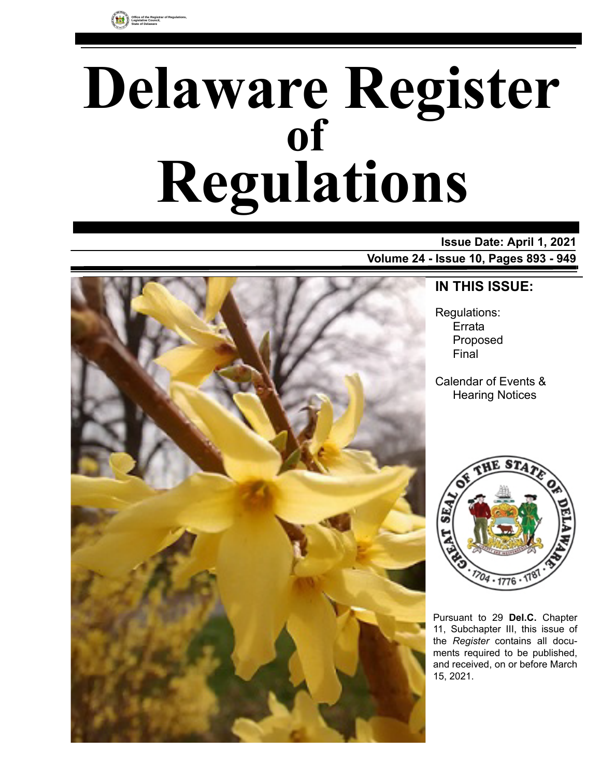# **Delaware Register Regulations of**

**Issue Date: April 1, 2021 Volume 24 - Issue 10, Pages 893 - 949**



### **IN THIS ISSUE:**

Regulations: Errata Proposed Final

Calendar of Events & Hearing Notices



Pursuant to 29 **Del.C.** Chapter 11, Subchapter III, this issue of the *Register* contains all documents required to be published, and received, on or before March 15, 2021.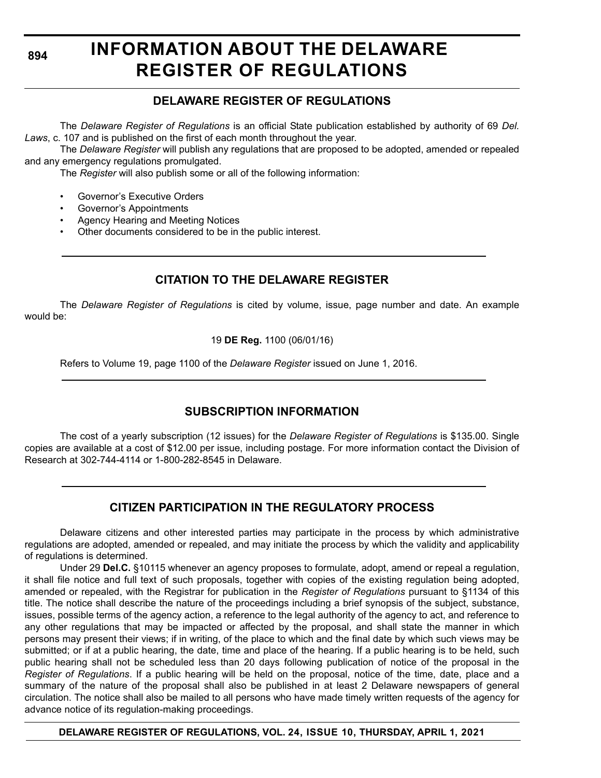**894**

### **INFORMATION ABOUT THE DELAWARE REGISTER OF REGULATIONS**

#### **DELAWARE REGISTER OF REGULATIONS**

The *Delaware Register of Regulations* is an official State publication established by authority of 69 *Del. Laws*, c. 107 and is published on the first of each month throughout the year.

The *Delaware Register* will publish any regulations that are proposed to be adopted, amended or repealed and any emergency regulations promulgated.

The *Register* will also publish some or all of the following information:

- Governor's Executive Orders
- Governor's Appointments
- Agency Hearing and Meeting Notices
- Other documents considered to be in the public interest.

#### **CITATION TO THE DELAWARE REGISTER**

The *Delaware Register of Regulations* is cited by volume, issue, page number and date. An example would be:

19 **DE Reg.** 1100 (06/01/16)

Refers to Volume 19, page 1100 of the *Delaware Register* issued on June 1, 2016.

#### **SUBSCRIPTION INFORMATION**

The cost of a yearly subscription (12 issues) for the *Delaware Register of Regulations* is \$135.00. Single copies are available at a cost of \$12.00 per issue, including postage. For more information contact the Division of Research at 302-744-4114 or 1-800-282-8545 in Delaware.

#### **CITIZEN PARTICIPATION IN THE REGULATORY PROCESS**

Delaware citizens and other interested parties may participate in the process by which administrative regulations are adopted, amended or repealed, and may initiate the process by which the validity and applicability of regulations is determined.

Under 29 **Del.C.** §10115 whenever an agency proposes to formulate, adopt, amend or repeal a regulation, it shall file notice and full text of such proposals, together with copies of the existing regulation being adopted, amended or repealed, with the Registrar for publication in the *Register of Regulations* pursuant to §1134 of this title. The notice shall describe the nature of the proceedings including a brief synopsis of the subject, substance, issues, possible terms of the agency action, a reference to the legal authority of the agency to act, and reference to any other regulations that may be impacted or affected by the proposal, and shall state the manner in which persons may present their views; if in writing, of the place to which and the final date by which such views may be submitted; or if at a public hearing, the date, time and place of the hearing. If a public hearing is to be held, such public hearing shall not be scheduled less than 20 days following publication of notice of the proposal in the *Register of Regulations*. If a public hearing will be held on the proposal, notice of the time, date, place and a summary of the nature of the proposal shall also be published in at least 2 Delaware newspapers of general circulation. The notice shall also be mailed to all persons who have made timely written requests of the agency for advance notice of its regulation-making proceedings.

**DELAWARE REGISTER OF REGULATIONS, VOL. 24, ISSUE 10, THURSDAY, APRIL 1, 2021**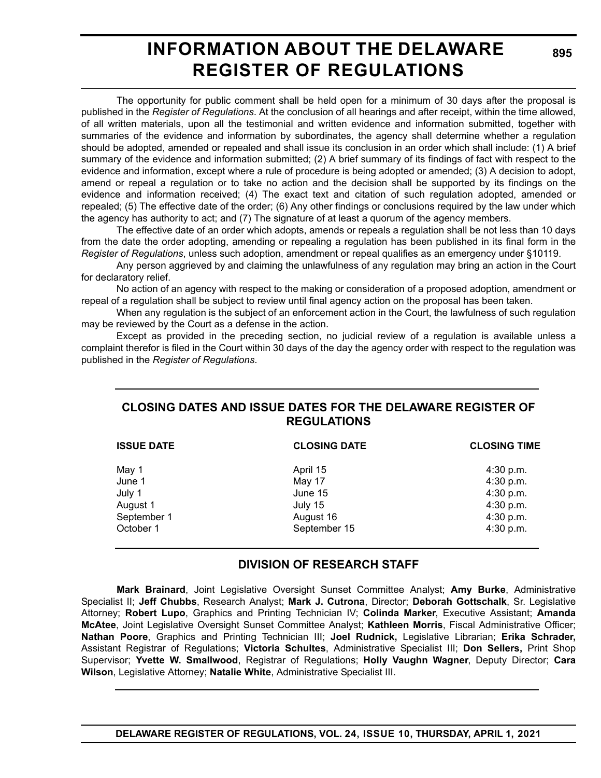### **INFORMATION ABOUT THE DELAWARE REGISTER OF REGULATIONS**

The opportunity for public comment shall be held open for a minimum of 30 days after the proposal is published in the *Register of Regulations*. At the conclusion of all hearings and after receipt, within the time allowed, of all written materials, upon all the testimonial and written evidence and information submitted, together with summaries of the evidence and information by subordinates, the agency shall determine whether a regulation should be adopted, amended or repealed and shall issue its conclusion in an order which shall include: (1) A brief summary of the evidence and information submitted; (2) A brief summary of its findings of fact with respect to the evidence and information, except where a rule of procedure is being adopted or amended; (3) A decision to adopt, amend or repeal a regulation or to take no action and the decision shall be supported by its findings on the evidence and information received; (4) The exact text and citation of such regulation adopted, amended or repealed; (5) The effective date of the order; (6) Any other findings or conclusions required by the law under which the agency has authority to act; and (7) The signature of at least a quorum of the agency members.

The effective date of an order which adopts, amends or repeals a regulation shall be not less than 10 days from the date the order adopting, amending or repealing a regulation has been published in its final form in the *Register of Regulations*, unless such adoption, amendment or repeal qualifies as an emergency under §10119.

Any person aggrieved by and claiming the unlawfulness of any regulation may bring an action in the Court for declaratory relief.

No action of an agency with respect to the making or consideration of a proposed adoption, amendment or repeal of a regulation shall be subject to review until final agency action on the proposal has been taken.

When any regulation is the subject of an enforcement action in the Court, the lawfulness of such regulation may be reviewed by the Court as a defense in the action.

Except as provided in the preceding section, no judicial review of a regulation is available unless a complaint therefor is filed in the Court within 30 days of the day the agency order with respect to the regulation was published in the *Register of Regulations*.

#### **CLOSING DATES AND ISSUE DATES FOR THE DELAWARE REGISTER OF REGULATIONS**

| <b>ISSUE DATE</b> | <b>CLOSING DATE</b> | <b>CLOSING TIME</b> |  |
|-------------------|---------------------|---------------------|--|
| May 1             | April 15            | $4:30$ p.m.         |  |
| June 1            | May 17              | 4:30 p.m.           |  |
| July 1            | June 15             | 4:30 p.m.           |  |
| August 1          | July 15             | 4:30 p.m.           |  |
| September 1       | August 16           | 4:30 p.m.           |  |
| October 1         | September 15        | $4:30$ p.m.         |  |

#### **DIVISION OF RESEARCH STAFF**

**Mark Brainard**, Joint Legislative Oversight Sunset Committee Analyst; **Amy Burke**, Administrative Specialist II; **Jeff Chubbs**, Research Analyst; **Mark J. Cutrona**, Director; **Deborah Gottschalk**, Sr. Legislative Attorney; **Robert Lupo**, Graphics and Printing Technician IV; **Colinda Marker**, Executive Assistant; **Amanda McAtee**, Joint Legislative Oversight Sunset Committee Analyst; **Kathleen Morris**, Fiscal Administrative Officer; **Nathan Poore**, Graphics and Printing Technician III; **Joel Rudnick,** Legislative Librarian; **Erika Schrader,** Assistant Registrar of Regulations; **Victoria Schultes**, Administrative Specialist III; **Don Sellers,** Print Shop Supervisor; **Yvette W. Smallwood**, Registrar of Regulations; **Holly Vaughn Wagner**, Deputy Director; **Cara Wilson**, Legislative Attorney; **Natalie White**, Administrative Specialist III.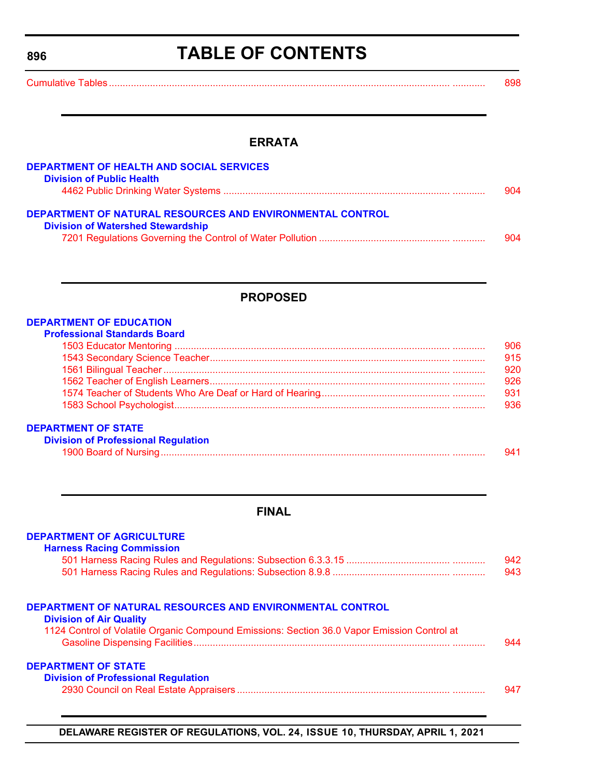<span id="page-3-0"></span>**896**

### **TABLE OF CONTENTS**

[Cumulative Tables............................................................................................................................. ............ 898](#page-5-0)

#### **ERRATA**

| <b>DEPARTMENT OF HEALTH AND SOCIAL SERVICES</b>                                                              |     |
|--------------------------------------------------------------------------------------------------------------|-----|
| <b>Division of Public Health</b>                                                                             |     |
|                                                                                                              | 904 |
| <b>DEPARTMENT OF NATURAL RESOURCES AND ENVIRONMENTAL CONTROL</b><br><b>Division of Watershed Stewardship</b> |     |
|                                                                                                              | 904 |

#### **PROPOSED**

#### **[DEPARTMENT OF EDUCATION](https://www.doe.k12.de.us/)**

#### **[DEPARTMENT OF STATE](https://sos.delaware.gov/)**

| <b>Division of Professional Regulation</b> |  |
|--------------------------------------------|--|
| 1900 Board of Nursing                      |  |

#### **FINAL**

| <b>DEPARTMENT OF AGRICULTURE</b><br><b>Harness Racing Commission</b>                        |     |
|---------------------------------------------------------------------------------------------|-----|
|                                                                                             | 942 |
|                                                                                             | 943 |
| DEPARTMENT OF NATURAL RESOURCES AND ENVIRONMENTAL CONTROL<br><b>Division of Air Quality</b> |     |
| 1124 Control of Volatile Organic Compound Emissions: Section 36.0 Vapor Emission Control at |     |
|                                                                                             | 944 |
| <b>DEPARTMENT OF STATE</b>                                                                  |     |
| <b>Division of Professional Regulation</b>                                                  |     |
|                                                                                             | 947 |

**DELAWARE REGISTER OF REGULATIONS, VOL. 24, ISSUE 10, THURSDAY, APRIL 1, 2021**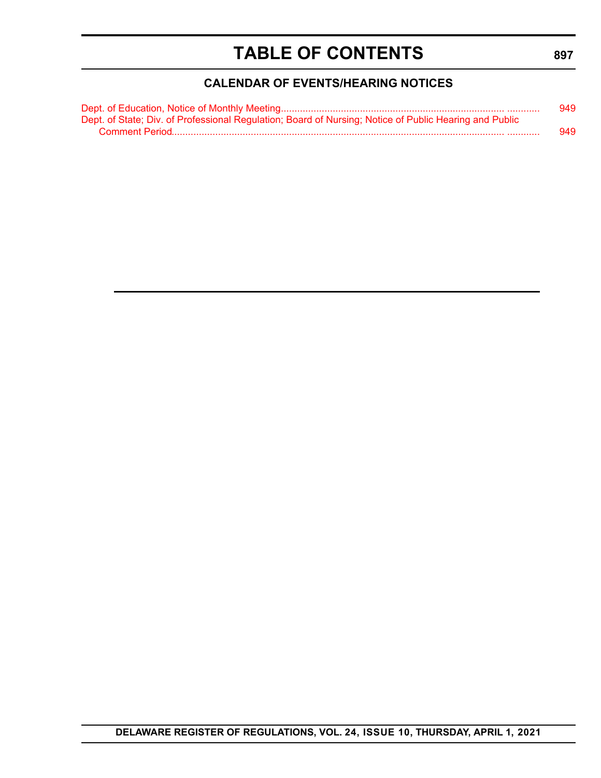### **TABLE OF CONTENTS**

#### **CALENDAR OF EVENTS/HEARING NOTICES**

<span id="page-4-0"></span>

|                                                                                                        | 949 |
|--------------------------------------------------------------------------------------------------------|-----|
| Dept. of State; Div. of Professional Regulation; Board of Nursing; Notice of Public Hearing and Public |     |
|                                                                                                        | 949 |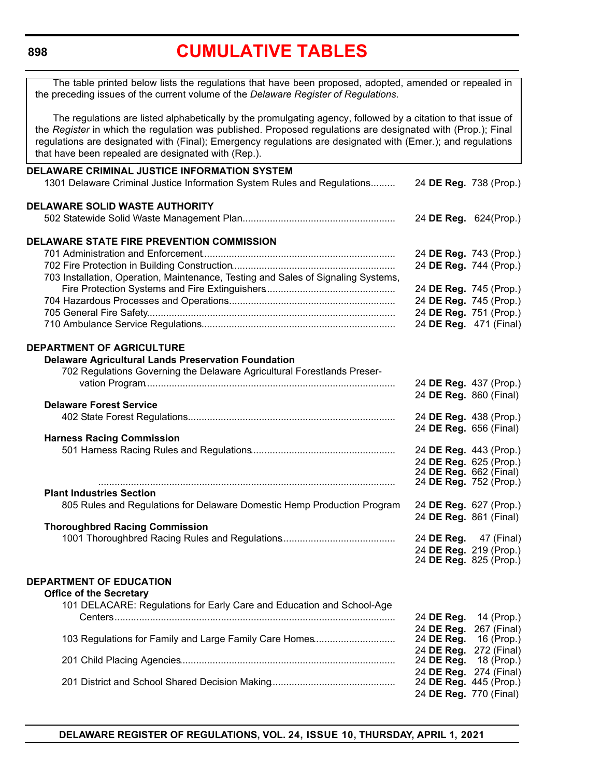<span id="page-5-0"></span>**898**

### **[CUMULATIVE TABLES](#page-3-0)**

| The table printed below lists the regulations that have been proposed, adopted, amended or repealed in<br>the preceding issues of the current volume of the Delaware Register of Regulations.                                                                                                                                                                                                      |                        |                        |
|----------------------------------------------------------------------------------------------------------------------------------------------------------------------------------------------------------------------------------------------------------------------------------------------------------------------------------------------------------------------------------------------------|------------------------|------------------------|
| The regulations are listed alphabetically by the promulgating agency, followed by a citation to that issue of<br>the Register in which the regulation was published. Proposed regulations are designated with (Prop.); Final<br>regulations are designated with (Final); Emergency regulations are designated with (Emer.); and regulations<br>that have been repealed are designated with (Rep.). |                        |                        |
| DELAWARE CRIMINAL JUSTICE INFORMATION SYSTEM                                                                                                                                                                                                                                                                                                                                                       |                        |                        |
| 1301 Delaware Criminal Justice Information System Rules and Regulations                                                                                                                                                                                                                                                                                                                            | 24 DE Reg. 738 (Prop.) |                        |
| <b>DELAWARE SOLID WASTE AUTHORITY</b>                                                                                                                                                                                                                                                                                                                                                              |                        |                        |
|                                                                                                                                                                                                                                                                                                                                                                                                    | 24 DE Reg. 624(Prop.)  |                        |
| <b>DELAWARE STATE FIRE PREVENTION COMMISSION</b>                                                                                                                                                                                                                                                                                                                                                   |                        |                        |
|                                                                                                                                                                                                                                                                                                                                                                                                    | 24 DE Reg. 743 (Prop.) |                        |
|                                                                                                                                                                                                                                                                                                                                                                                                    | 24 DE Reg. 744 (Prop.) |                        |
| 703 Installation, Operation, Maintenance, Testing and Sales of Signaling Systems,                                                                                                                                                                                                                                                                                                                  |                        |                        |
|                                                                                                                                                                                                                                                                                                                                                                                                    |                        | 24 DE Reg. 745 (Prop.) |
|                                                                                                                                                                                                                                                                                                                                                                                                    | 24 DE Reg. 745 (Prop.) |                        |
|                                                                                                                                                                                                                                                                                                                                                                                                    | 24 DE Reg. 751 (Prop.) |                        |
|                                                                                                                                                                                                                                                                                                                                                                                                    | 24 DE Reg. 471 (Final) |                        |
|                                                                                                                                                                                                                                                                                                                                                                                                    |                        |                        |
| <b>DEPARTMENT OF AGRICULTURE</b>                                                                                                                                                                                                                                                                                                                                                                   |                        |                        |
| <b>Delaware Agricultural Lands Preservation Foundation</b>                                                                                                                                                                                                                                                                                                                                         |                        |                        |
| 702 Regulations Governing the Delaware Agricultural Forestlands Preser-                                                                                                                                                                                                                                                                                                                            |                        |                        |
|                                                                                                                                                                                                                                                                                                                                                                                                    |                        | 24 DE Reg. 437 (Prop.) |
|                                                                                                                                                                                                                                                                                                                                                                                                    | 24 DE Reg. 860 (Final) |                        |
| <b>Delaware Forest Service</b>                                                                                                                                                                                                                                                                                                                                                                     |                        |                        |
|                                                                                                                                                                                                                                                                                                                                                                                                    | 24 DE Reg. 438 (Prop.) |                        |
|                                                                                                                                                                                                                                                                                                                                                                                                    | 24 DE Reg. 656 (Final) |                        |
| <b>Harness Racing Commission</b>                                                                                                                                                                                                                                                                                                                                                                   |                        |                        |
|                                                                                                                                                                                                                                                                                                                                                                                                    | 24 DE Reg. 443 (Prop.) |                        |
|                                                                                                                                                                                                                                                                                                                                                                                                    | 24 DE Reg. 625 (Prop.) |                        |
|                                                                                                                                                                                                                                                                                                                                                                                                    | 24 DE Reg. 662 (Final) |                        |
|                                                                                                                                                                                                                                                                                                                                                                                                    | 24 DE Reg. 752 (Prop.) |                        |
| <b>Plant Industries Section</b>                                                                                                                                                                                                                                                                                                                                                                    |                        |                        |
| 805 Rules and Regulations for Delaware Domestic Hemp Production Program                                                                                                                                                                                                                                                                                                                            | 24 DE Reg. 627 (Prop.) |                        |
|                                                                                                                                                                                                                                                                                                                                                                                                    | 24 DE Reg. 861 (Final) |                        |
| <b>Thoroughbred Racing Commission</b>                                                                                                                                                                                                                                                                                                                                                              |                        |                        |
|                                                                                                                                                                                                                                                                                                                                                                                                    | 24 DE Reg.             | 47 (Final)             |
|                                                                                                                                                                                                                                                                                                                                                                                                    | 24 DE Reg. 219 (Prop.) |                        |
|                                                                                                                                                                                                                                                                                                                                                                                                    |                        | 24 DE Reg. 825 (Prop.) |
|                                                                                                                                                                                                                                                                                                                                                                                                    |                        |                        |
| <b>DEPARTMENT OF EDUCATION</b>                                                                                                                                                                                                                                                                                                                                                                     |                        |                        |
| <b>Office of the Secretary</b>                                                                                                                                                                                                                                                                                                                                                                     |                        |                        |
| 101 DELACARE: Regulations for Early Care and Education and School-Age                                                                                                                                                                                                                                                                                                                              |                        |                        |
| Centers…………………………………………………………………………………………                                                                                                                                                                                                                                                                                                                                                          | 24 DE Reg.             | 14 (Prop.)             |
|                                                                                                                                                                                                                                                                                                                                                                                                    | 24 DE Reg.             | 267 (Final)            |
| 103 Regulations for Family and Large Family Care Homes                                                                                                                                                                                                                                                                                                                                             | 24 DE Reg.             | 16 (Prop.)             |
|                                                                                                                                                                                                                                                                                                                                                                                                    | 24 DE Reg.             | 272 (Final)            |
|                                                                                                                                                                                                                                                                                                                                                                                                    | 24 DE Reg.             | 18 (Prop.)             |
|                                                                                                                                                                                                                                                                                                                                                                                                    | 24 DE Reg.             | 274 (Final)            |
|                                                                                                                                                                                                                                                                                                                                                                                                    | 24 DE Reg. 445 (Prop.) |                        |
|                                                                                                                                                                                                                                                                                                                                                                                                    | 24 DE Reg. 770 (Final) |                        |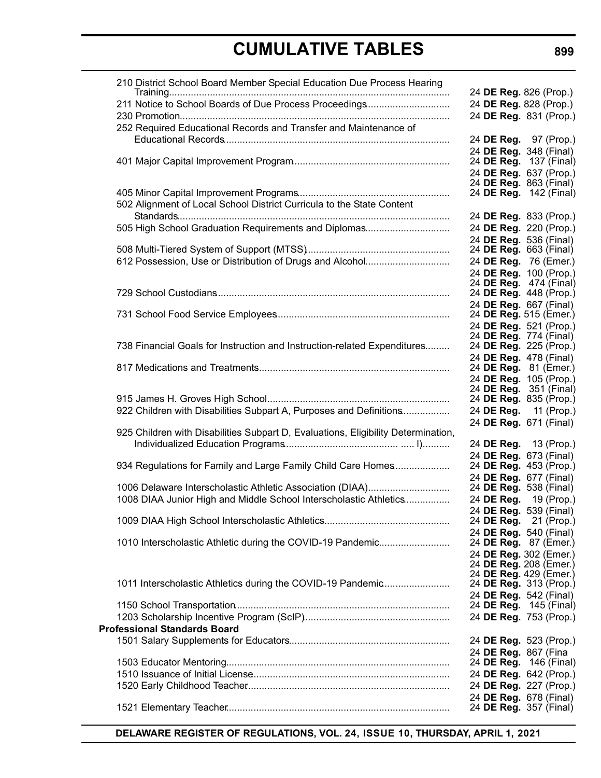| 210 District School Board Member Special Education Due Process Hearing            |                                                         |
|-----------------------------------------------------------------------------------|---------------------------------------------------------|
| 211 Notice to School Boards of Due Process Proceedings                            | 24 DE Reg. 826 (Prop.)<br>24 DE Reg. 828 (Prop.)        |
|                                                                                   | 24 DE Reg. 831 (Prop.)                                  |
| 252 Required Educational Records and Transfer and Maintenance of                  |                                                         |
|                                                                                   | 24 DE Reg. 97 (Prop.)                                   |
|                                                                                   | 24 DE Reg. 348 (Final)                                  |
|                                                                                   | 24 DE Reg. 137 (Final)                                  |
|                                                                                   | 24 DE Reg. 637 (Prop.)                                  |
|                                                                                   | 24 DE Reg. 863 (Final)<br>24 <b>DE Reg.</b> 142 (Final) |
| 502 Alignment of Local School District Curricula to the State Content             |                                                         |
|                                                                                   | 24 DE Reg. 833 (Prop.)                                  |
| 505 High School Graduation Requirements and Diplomas                              | 24 DE Reg. 220 (Prop.)                                  |
|                                                                                   | 24 DE Reg. 536 (Final)                                  |
|                                                                                   | 24 <b>DE Reg.</b> 663 (Final)                           |
| 612 Possession, Use or Distribution of Drugs and Alcohol                          | 24 DE Reg. 76 (Emer.)                                   |
|                                                                                   | 24 DE Reg. 100 (Prop.)                                  |
|                                                                                   | 24 DE Reg. 474 (Final)<br>24 DE Reg. 448 (Prop.)        |
|                                                                                   | 24 DE Reg. 667 (Final)                                  |
|                                                                                   | 24 DE Reg. 515 (Emer.)                                  |
|                                                                                   | 24 DE Reg. 521 (Prop.)                                  |
| 738 Financial Goals for Instruction and Instruction-related Expenditures          | 24 DE Reg. 774 (Final)<br>24 DE Reg. 225 (Prop.)        |
|                                                                                   | 24 DE Reg. 478 (Final)                                  |
|                                                                                   | 24 DE Reg. 81 (Emer.)                                   |
|                                                                                   | 24 DE Reg. 105 (Prop.)                                  |
|                                                                                   | 24 <b>DE Reg.</b> 351 (Final)                           |
| 922 Children with Disabilities Subpart A, Purposes and Definitions                | 24 DE Reg. 835 (Prop.)<br>24 DE Reg. 11 (Prop.)         |
|                                                                                   | 24 DE Reg. 671 (Final)                                  |
| 925 Children with Disabilities Subpart D, Evaluations, Eligibility Determination, |                                                         |
|                                                                                   | 24 DE Reg. 13 (Prop.)                                   |
|                                                                                   | 24 DE Reg. 673 (Final)                                  |
| 934 Regulations for Family and Large Family Child Care Homes                      | 24 DE Reg. 453 (Prop.)                                  |
| 1006 Delaware Interscholastic Athletic Association (DIAA)                         | 24 DE Reg. 677 (Final)<br>24 <b>DE Reg.</b> 538 (Final) |
| 1008 DIAA Junior High and Middle School Interscholastic Athletics                 | 24 DE Reg. 19 (Prop.)                                   |
|                                                                                   | 24 DE Reg. 539 (Final)                                  |
|                                                                                   | 24 DE Reg. 21 (Prop.)                                   |
|                                                                                   | 24 DE Reg. 540 (Final)                                  |
| 1010 Interscholastic Athletic during the COVID-19 Pandemic                        | 24 DE Reg. 87 (Emer.)                                   |
|                                                                                   | 24 DE Reg. 302 (Emer.)<br>24 DE Reg. 208 (Emer.)        |
|                                                                                   | 24 DE Reg. 429 (Emer.)                                  |
| 1011 Interscholastic Athletics during the COVID-19 Pandemic                       | 24 DE Reg. 313 (Prop.)                                  |
|                                                                                   | 24 DE Reg. 542 (Final)                                  |
|                                                                                   | 24 DE Reg. 145 (Final)                                  |
| <b>Professional Standards Board</b>                                               | 24 DE Reg. 753 (Prop.)                                  |
|                                                                                   | 24 DE Reg. 523 (Prop.)                                  |
|                                                                                   | 24 DE Reg. 867 (Fina                                    |
|                                                                                   | 24 DE Reg. 146 (Final)                                  |
|                                                                                   | 24 DE Reg. 642 (Prop.)                                  |
|                                                                                   | 24 DE Reg. 227 (Prop.)                                  |
|                                                                                   | 24 DE Reg. 678 (Final)                                  |
|                                                                                   | 24 DE Reg. 357 (Final)                                  |

**DELAWARE REGISTER OF REGULATIONS, VOL. 24, ISSUE 10, THURSDAY, APRIL 1, 2021**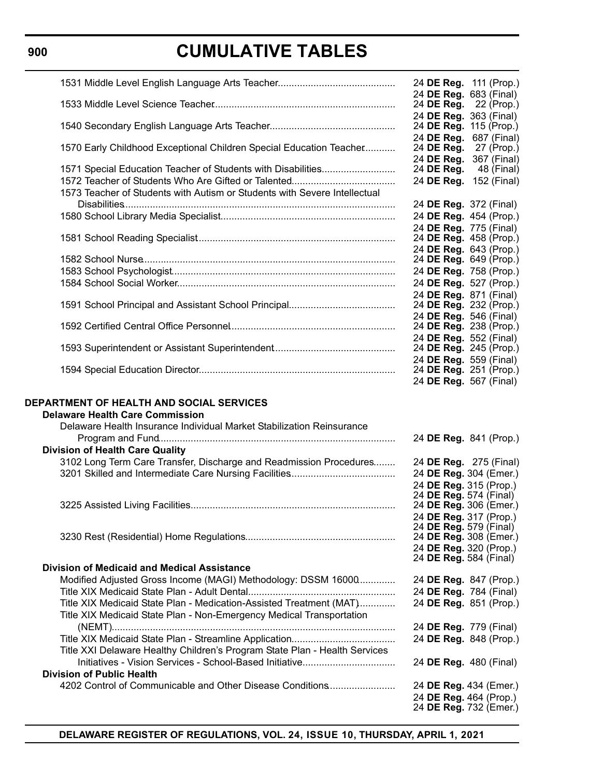|                                                                            | 24 DE Reg. 111 (Prop.)                             |
|----------------------------------------------------------------------------|----------------------------------------------------|
|                                                                            | 24 DE Reg. 683 (Final)<br>24 DE Reg. 22 (Prop.)    |
|                                                                            | 24 DE Reg. 363 (Final)                             |
|                                                                            | 24 DE Reg. 115 (Prop.)                             |
|                                                                            | 24 DE Reg. 687 (Final)                             |
| 1570 Early Childhood Exceptional Children Special Education Teacher        | 24 DE Reg. 27 (Prop.)                              |
| 1571 Special Education Teacher of Students with Disabilities               | 24 DE Reg. 367 (Final)<br>24 DE Reg.<br>48 (Final) |
|                                                                            | 24 DE Reg. 152 (Final)                             |
| 1573 Teacher of Students with Autism or Students with Severe Intellectual  |                                                    |
|                                                                            | 24 DE Reg. 372 (Final)                             |
|                                                                            | 24 DE Reg. 454 (Prop.)                             |
|                                                                            | 24 DE Reg. 775 (Final)                             |
|                                                                            | 24 DE Reg. 458 (Prop.)                             |
|                                                                            | 24 DE Reg. 643 (Prop.)                             |
|                                                                            | 24 DE Reg. 649 (Prop.)                             |
|                                                                            | 24 DE Reg. 758 (Prop.)                             |
|                                                                            | 24 DE Reg. 527 (Prop.)                             |
|                                                                            | 24 DE Reg. 871 (Final)<br>24 DE Reg. 232 (Prop.)   |
|                                                                            | 24 DE Reg. 546 (Final)                             |
|                                                                            | 24 DE Reg. 238 (Prop.)                             |
|                                                                            | 24 DE Reg. 552 (Final)                             |
|                                                                            | 24 DE Reg. 245 (Prop.)                             |
|                                                                            | 24 DE Reg. 559 (Final)                             |
|                                                                            | 24 DE Reg. 251 (Prop.)                             |
|                                                                            | 24 DE Reg. 567 (Final)                             |
|                                                                            |                                                    |
|                                                                            |                                                    |
|                                                                            |                                                    |
| <b>Delaware Health Care Commission</b>                                     |                                                    |
| Delaware Health Insurance Individual Market Stabilization Reinsurance      |                                                    |
|                                                                            | 24 DE Reg. 841 (Prop.)                             |
| <b>Division of Health Care Quality</b>                                     |                                                    |
| 3102 Long Term Care Transfer, Discharge and Readmission Procedures         | 24 DE Reg. 275 (Final)<br>24 DE Reg. 304 (Emer.)   |
|                                                                            | 24 DE Reg. 315 (Prop.)                             |
|                                                                            | 24 DE Reg. 574 (Final)                             |
|                                                                            | 24 DE Reg. 306 (Emer.)                             |
|                                                                            | 24 DE Reg. 317 (Prop.)                             |
|                                                                            | 24 DE Reg. 579 (Final)                             |
| <b>DEPARTMENT OF HEALTH AND SOCIAL SERVICES</b>                            | 24 DE Reg. 308 (Emer.)                             |
|                                                                            | 24 DE Reg. 320 (Prop.)<br>24 DE Reg. 584 (Final)   |
| <b>Division of Medicaid and Medical Assistance</b>                         |                                                    |
| Modified Adjusted Gross Income (MAGI) Methodology: DSSM 16000              | 24 DE Reg. 847 (Prop.)                             |
|                                                                            | 24 DE Reg. 784 (Final)                             |
| Title XIX Medicaid State Plan - Medication-Assisted Treatment (MAT)        | 24 DE Reg. 851 (Prop.)                             |
| Title XIX Medicaid State Plan - Non-Emergency Medical Transportation       |                                                    |
|                                                                            | 24 DE Reg. 779 (Final)                             |
|                                                                            | 24 DE Reg. 848 (Prop.)                             |
| Title XXI Delaware Healthy Children's Program State Plan - Health Services |                                                    |
|                                                                            | 24 DE Reg. 480 (Final)                             |
| <b>Division of Public Health</b>                                           |                                                    |
| 4202 Control of Communicable and Other Disease Conditions                  | 24 DE Reg. 434 (Emer.)<br>24 DE Reg. 464 (Prop.)   |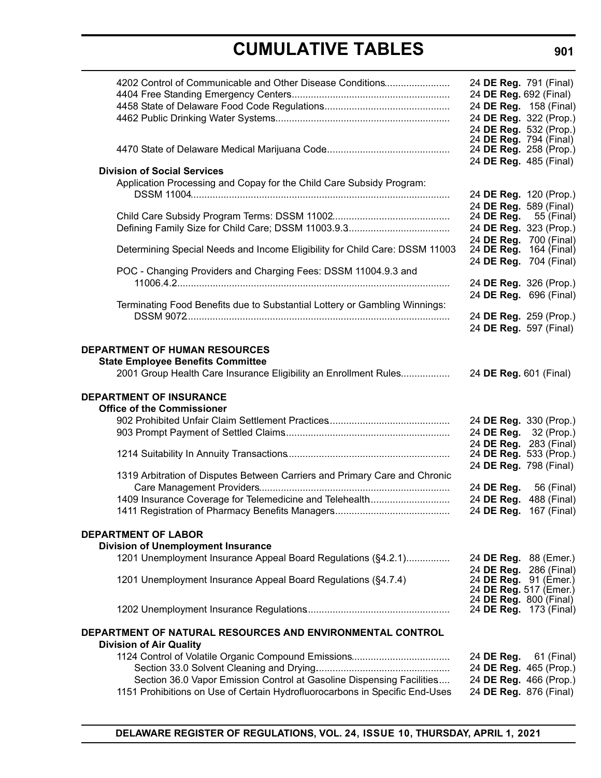| 4202 Control of Communicable and Other Disease Conditions                   | 24 DE Reg. 791 (Final)                              |
|-----------------------------------------------------------------------------|-----------------------------------------------------|
|                                                                             | 24 DE Reg. 692 (Final)                              |
|                                                                             | 24 DE Reg. 158 (Final)                              |
|                                                                             | 24 DE Reg. 322 (Prop.)                              |
|                                                                             | 24 DE Reg. 532 (Prop.)                              |
|                                                                             | 24 DE Reg. 794 (Final)                              |
|                                                                             | 24 DE Reg. 258 (Prop.)<br>24 DE Reg. 485 (Final)    |
| <b>Division of Social Services</b>                                          |                                                     |
| Application Processing and Copay for the Child Care Subsidy Program:        |                                                     |
|                                                                             | 24 DE Reg. 120 (Prop.)                              |
|                                                                             | 24 DE Reg. 589 (Final)                              |
|                                                                             | 24 DE Reg.<br>55 (Final)                            |
|                                                                             | 24 DE Reg. 323 (Prop.)                              |
| Determining Special Needs and Income Eligibility for Child Care: DSSM 11003 | 24 DE Reg. 700 (Final)<br>24 DE Reg. 164 (Final)    |
|                                                                             | 24 DE Reg. 704 (Final)                              |
| POC - Changing Providers and Charging Fees: DSSM 11004.9.3 and              |                                                     |
|                                                                             | 24 DE Reg. 326 (Prop.)                              |
|                                                                             | 24 DE Reg. 696 (Final)                              |
| Terminating Food Benefits due to Substantial Lottery or Gambling Winnings:  |                                                     |
|                                                                             | 24 DE Reg. 259 (Prop.)                              |
|                                                                             | 24 DE Reg. 597 (Final)                              |
| <b>DEPARTMENT OF HUMAN RESOURCES</b>                                        |                                                     |
| <b>State Employee Benefits Committee</b>                                    |                                                     |
| 2001 Group Health Care Insurance Eligibility an Enrollment Rules            | 24 DE Reg. 601 (Final)                              |
| <b>DEPARTMENT OF INSURANCE</b><br><b>Office of the Commissioner</b>         |                                                     |
|                                                                             | 24 DE Reg. 330 (Prop.)                              |
|                                                                             | 24 DE Reg. 32 (Prop.)                               |
|                                                                             | 24 DE Reg. 283 (Final)                              |
|                                                                             | 24 DE Reg. 533 (Prop.)                              |
|                                                                             | 24 DE Reg. 798 (Final)                              |
| 1319 Arbitration of Disputes Between Carriers and Primary Care and Chronic  |                                                     |
|                                                                             | 24 DE Reg.<br>56 (Final)                            |
| 1409 Insurance Coverage for Telemedicine and Telehealth                     | 24 DE Reg. 488 (Final)<br>24 DE Reg.<br>167 (Final) |
|                                                                             |                                                     |
| <b>DEPARTMENT OF LABOR</b>                                                  |                                                     |
| <b>Division of Unemployment Insurance</b>                                   |                                                     |
| 1201 Unemployment Insurance Appeal Board Regulations (§4.2.1)               | 24 DE Reg. 88 (Emer.)                               |
|                                                                             | 24 DE Reg. 286 (Final)                              |
| 1201 Unemployment Insurance Appeal Board Regulations (§4.7.4)               | 24 DE Reg. 91 (Emer.)                               |
|                                                                             | 24 DE Reg. 517 (Emer.)<br>24 DE Reg. 800 (Final)    |
|                                                                             | 24 DE Reg. 173 (Final)                              |
| DEPARTMENT OF NATURAL RESOURCES AND ENVIRONMENTAL CONTROL                   |                                                     |
| <b>Division of Air Quality</b>                                              |                                                     |
|                                                                             | 24 DE Reg. 61 (Final)                               |
|                                                                             | 24 DE Reg. 465 (Prop.)                              |
| Section 36.0 Vapor Emission Control at Gasoline Dispensing Facilities       | 24 DE Reg. 466 (Prop.)                              |
| 1151 Prohibitions on Use of Certain Hydrofluorocarbons in Specific End-Uses | 24 DE Reg. 876 (Final)                              |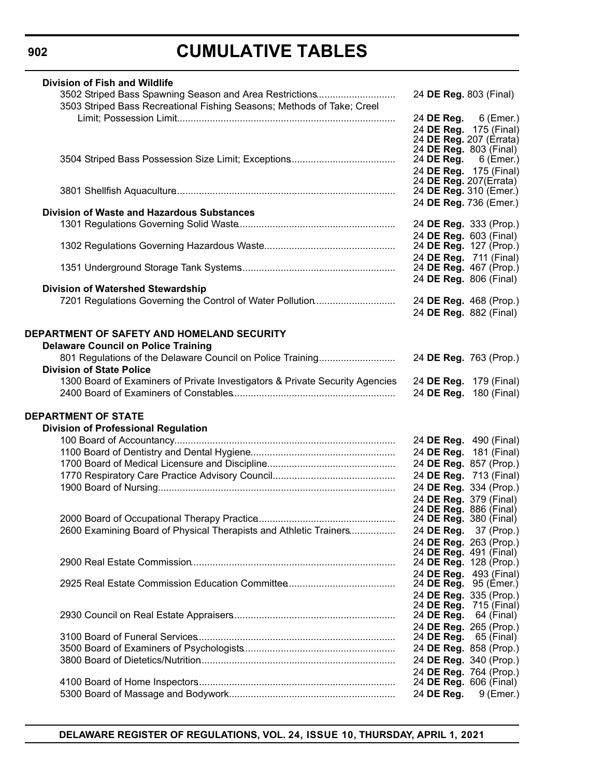| <b>Division of Fish and Wildlife</b>                                         |                                                   |                                                 |
|------------------------------------------------------------------------------|---------------------------------------------------|-------------------------------------------------|
| 3502 Striped Bass Spawning Season and Area Restrictions                      | 24 DE Reg. 803 (Final)                            |                                                 |
| 3503 Striped Bass Recreational Fishing Seasons; Methods of Take; Creel       |                                                   |                                                 |
|                                                                              |                                                   | 24 DE Reg. 6 (Emer.)                            |
|                                                                              |                                                   |                                                 |
|                                                                              | 24 DE Reg. 175 (Final)<br>24 DE Reg. 207 (Errata) |                                                 |
|                                                                              | 24 DE Reg. 803 (Final)                            |                                                 |
|                                                                              | 24 DE Reg. 6 (Emer.)                              |                                                 |
|                                                                              |                                                   | 24 DE Reg. 175 (Final)                          |
|                                                                              | 24 DE Reg. 207(Errata)<br>24 DE Reg. 310 (Emer.)  |                                                 |
|                                                                              | 24 DE Reg. 736 (Emer.)                            |                                                 |
| <b>Division of Waste and Hazardous Substances</b>                            |                                                   |                                                 |
|                                                                              | 24 DE Reg. 333 (Prop.)                            |                                                 |
|                                                                              | 24 DE Reg. 603 (Final)                            |                                                 |
|                                                                              |                                                   | 24 DE Reg. 127 (Prop.)                          |
|                                                                              |                                                   | 24 DE Reg. 711 (Final)                          |
|                                                                              |                                                   | 24 DE Reg. 467 (Prop.)                          |
|                                                                              | 24 DE Reg. 806 (Final)                            |                                                 |
| <b>Division of Watershed Stewardship</b>                                     |                                                   |                                                 |
| 7201 Regulations Governing the Control of Water Pollution                    | 24 DE Reg. 468 (Prop.)                            |                                                 |
|                                                                              | 24 DE Reg. 882 (Final)                            |                                                 |
|                                                                              |                                                   |                                                 |
| DEPARTMENT OF SAFETY AND HOMELAND SECURITY                                   |                                                   |                                                 |
| <b>Delaware Council on Police Training</b>                                   |                                                   |                                                 |
| 801 Regulations of the Delaware Council on Police Training                   | 24 DE Reg. 763 (Prop.)                            |                                                 |
| <b>Division of State Police</b>                                              |                                                   |                                                 |
| 1300 Board of Examiners of Private Investigators & Private Security Agencies | 24 DE Reg. 179 (Final)                            |                                                 |
|                                                                              |                                                   | 24 DE Reg. 180 (Final)                          |
|                                                                              |                                                   |                                                 |
| <b>DEPARTMENT OF STATE</b>                                                   |                                                   |                                                 |
| <b>Division of Professional Regulation</b>                                   |                                                   |                                                 |
|                                                                              |                                                   | 24 DE Reg. 490 (Final)                          |
|                                                                              |                                                   | 24 DE Reg. 181 (Final)                          |
|                                                                              |                                                   | 24 DE Reg. 857 (Prop.)                          |
|                                                                              |                                                   | 24 DE Reg. 713 (Final)                          |
|                                                                              |                                                   | 24 DE Reg. 334 (Prop.)                          |
|                                                                              |                                                   | 24 DE Reg. 379 (Final)                          |
|                                                                              | 24 DE Reg. 886 (Final)                            |                                                 |
|                                                                              |                                                   | 24 DE Reg. 380 (Final)                          |
| 2600 Examining Board of Physical Therapists and Athletic Trainers            |                                                   | 24 <b>DE Reg.</b> 37 (Prop.)                    |
|                                                                              |                                                   | 24 DE Reg. 263 (Prop.)                          |
|                                                                              |                                                   | 24 <b>DE Reg.</b> 491 (Final)                   |
|                                                                              |                                                   | 24 DE Reg. 128 (Prop.)                          |
|                                                                              |                                                   | 24 DE Reg. 493 (Final)<br>24 DE Reg. 95 (Emer.) |
|                                                                              |                                                   | 24 DE Reg. 335 (Prop.)                          |
|                                                                              |                                                   | 24 <b>DE Reg.</b> 715 (Final)                   |
|                                                                              | 24 DE Reg.                                        | 64 (Final)                                      |
|                                                                              |                                                   | 24 DE Reg. 265 (Prop.)                          |
|                                                                              | 24 DE Reg. 65 (Final)                             |                                                 |
|                                                                              |                                                   | 24 DE Reg. 858 (Prop.)                          |
|                                                                              |                                                   | 24 DE Reg. 340 (Prop.)                          |
|                                                                              |                                                   | 24 DE Reg. 764 (Prop.)                          |
|                                                                              |                                                   | 24 <b>DE Reg.</b> 606 (Final)                   |
|                                                                              |                                                   | 24 DE Reg. 9 (Emer.)                            |

**DELAWARE REGISTER OF REGULATIONS, VOL. 24, ISSUE 10, THURSDAY, APRIL 1, 2021**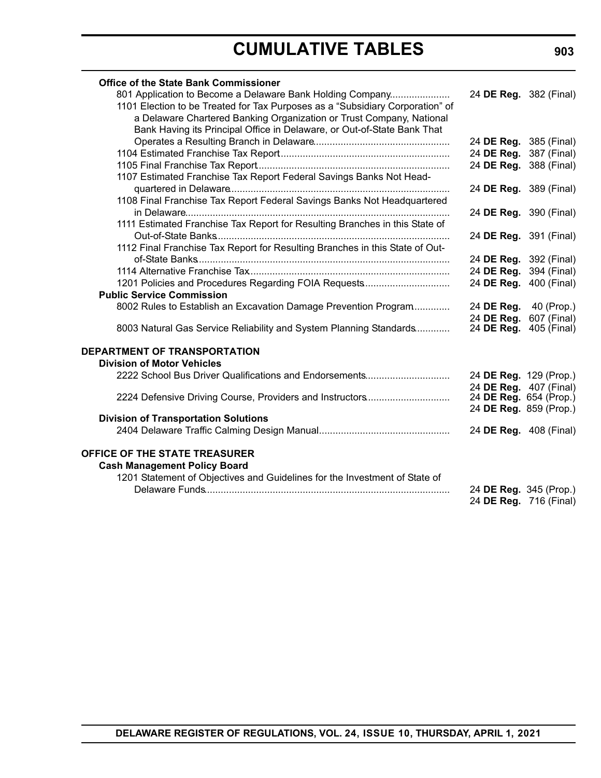| <b>Office of the State Bank Commissioner</b>                                  |                        |             |
|-------------------------------------------------------------------------------|------------------------|-------------|
| 801 Application to Become a Delaware Bank Holding Company                     | 24 DE Reg. 382 (Final) |             |
| 1101 Election to be Treated for Tax Purposes as a "Subsidiary Corporation" of |                        |             |
| a Delaware Chartered Banking Organization or Trust Company, National          |                        |             |
| Bank Having its Principal Office in Delaware, or Out-of-State Bank That       |                        |             |
|                                                                               | 24 DE Reg. 385 (Final) |             |
|                                                                               | 24 DE Reg. 387 (Final) |             |
|                                                                               | 24 DE Reg. 388 (Final) |             |
| 1107 Estimated Franchise Tax Report Federal Savings Banks Not Head-           |                        |             |
|                                                                               | 24 DE Reg. 389 (Final) |             |
| 1108 Final Franchise Tax Report Federal Savings Banks Not Headquartered       |                        |             |
|                                                                               | 24 DE Reg. 390 (Final) |             |
| 1111 Estimated Franchise Tax Report for Resulting Branches in this State of   |                        |             |
|                                                                               | 24 DE Reg. 391 (Final) |             |
| 1112 Final Franchise Tax Report for Resulting Branches in this State of Out-  |                        |             |
|                                                                               | 24 DE Reg. 392 (Final) |             |
|                                                                               | 24 DE Reg. 394 (Final) |             |
| 1201 Policies and Procedures Regarding FOIA Requests                          | 24 DE Reg.             | 400 (Final) |
| <b>Public Service Commission</b>                                              |                        |             |
| 8002 Rules to Establish an Excavation Damage Prevention Program               | 24 DE Reg. 40 (Prop.)  |             |
|                                                                               | 24 DE Reg.             | 607 (Final) |
| 8003 Natural Gas Service Reliability and System Planning Standards            | 24 DE Reg.             | 405 (Final) |
| DEPARTMENT OF TRANSPORTATION                                                  |                        |             |
| <b>Division of Motor Vehicles</b>                                             |                        |             |
| 2222 School Bus Driver Qualifications and Endorsements                        | 24 DE Reg. 129 (Prop.) |             |
|                                                                               | 24 DE Reg. 407 (Final) |             |
| 2224 Defensive Driving Course, Providers and Instructors                      | 24 DE Reg. 654 (Prop.) |             |
|                                                                               | 24 DE Reg. 859 (Prop.) |             |
| <b>Division of Transportation Solutions</b>                                   |                        |             |
|                                                                               | 24 DE Reg. 408 (Final) |             |
| OFFICE OF THE STATE TREASURER                                                 |                        |             |
| <b>Cash Management Policy Board</b>                                           |                        |             |
| 1201 Statement of Objectives and Guidelines for the Investment of State of    |                        |             |
|                                                                               | 24 DE Reg. 345 (Prop.) |             |
|                                                                               | 24 DE Reg. 716 (Final) |             |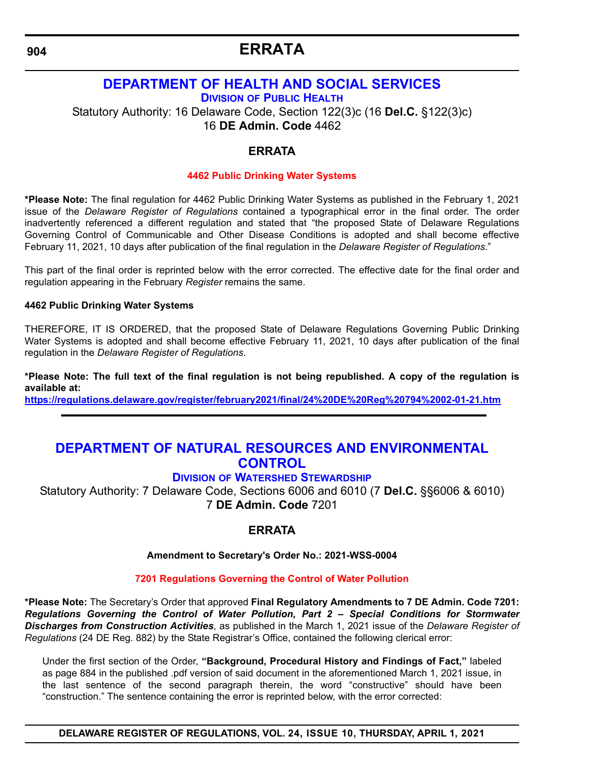### **ERRATA**

### <span id="page-11-0"></span>**[DEPARTMENT OF HEALTH AND SOCIAL SERVICES](https://www.dhss.delaware.gov/dhss/index.html) DIVISION [OF PUBLIC HEALTH](https://www.dhss.delaware.gov/dhss/dph/index.html)** Statutory Authority: 16 Delaware Code, Section 122(3)c (16 **Del.C.** §122(3)c)

16 **DE Admin. Code** 4462

#### **ERRATA**

#### **[4462 Public Drinking Water Systems](#page-3-0)**

**\*Please Note:** The final regulation for 4462 Public Drinking Water Systems as published in the February 1, 2021 issue of the *Delaware Register of Regulations* contained a typographical error in the final order. The order inadvertently referenced a different regulation and stated that "the proposed State of Delaware Regulations Governing Control of Communicable and Other Disease Conditions is adopted and shall become effective February 11, 2021, 10 days after publication of the final regulation in the *Delaware Register of Regulations*."

This part of the final order is reprinted below with the error corrected. The effective date for the final order and regulation appearing in the February *Register* remains the same.

#### **4462 Public Drinking Water Systems**

THEREFORE, IT IS ORDERED, that the proposed State of Delaware Regulations Governing Public Drinking Water Systems is adopted and shall become effective February 11, 2021, 10 days after publication of the final regulation in the *Delaware Register of Regulations*.

**\*Please Note: The full text of the final regulation is not being republished. A copy of the regulation is available at:**

**<https://regulations.delaware.gov/register/february2021/final/24%20DE%20Reg%20794%2002-01-21.htm>**

### **[DEPARTMENT OF NATURAL RESOURCES AND ENVIRONMENTAL](https://dnrec.alpha.delaware.gov/)  CONTROL**

#### **DIVISION [OF WATERSHED STEWARDSHIP](https://dnrec.alpha.delaware.gov/watershed-stewardship/ )**

Statutory Authority: 7 Delaware Code, Sections 6006 and 6010 (7 **Del.C.** §§6006 & 6010) 7 **DE Admin. Code** 7201

#### **ERRATA**

**Amendment to Secretary's Order No.: 2021-WSS-0004**

#### **[7201 Regulations Governing the Control of Water Pollution](#page-3-0)**

**\*Please Note:** The Secretary's Order that approved **Final Regulatory Amendments to 7 DE Admin. Code 7201:** *Regulations Governing the Control of Water Pollution, Part 2 – Special Conditions for Stormwater Discharges from Construction Activities*, as published in the March 1, 2021 issue of the *Delaware Register of Regulations* (24 DE Reg. 882) by the State Registrar's Office, contained the following clerical error:

Under the first section of the Order, **"Background, Procedural History and Findings of Fact,"** labeled as page 884 in the published .pdf version of said document in the aforementioned March 1, 2021 issue, in the last sentence of the second paragraph therein, the word "constructive" should have been "construction." The sentence containing the error is reprinted below, with the error corrected:

**DELAWARE REGISTER OF REGULATIONS, VOL. 24, ISSUE 10, THURSDAY, APRIL 1, 2021**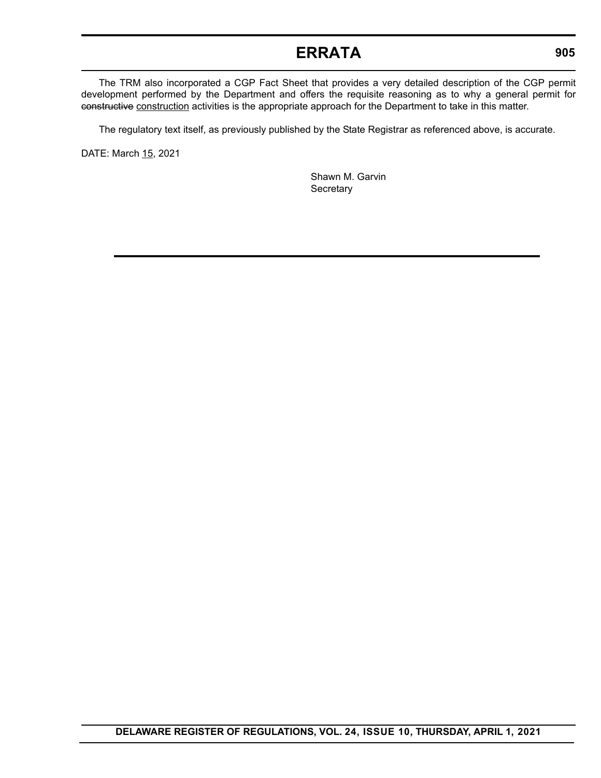### **ERRATA**

The TRM also incorporated a CGP Fact Sheet that provides a very detailed description of the CGP permit development performed by the Department and offers the requisite reasoning as to why a general permit for constructive construction activities is the appropriate approach for the Department to take in this matter.

The regulatory text itself, as previously published by the State Registrar as referenced above, is accurate.

DATE: March 15, 2021

Shawn M. Garvin **Secretary**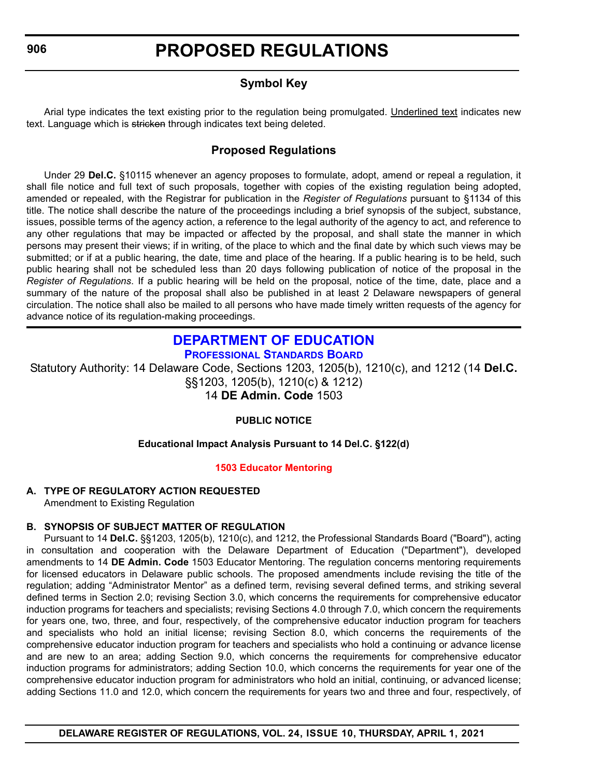#### **Symbol Key**

<span id="page-13-0"></span>Arial type indicates the text existing prior to the regulation being promulgated. Underlined text indicates new text. Language which is stricken through indicates text being deleted.

#### **Proposed Regulations**

Under 29 **Del.C.** §10115 whenever an agency proposes to formulate, adopt, amend or repeal a regulation, it shall file notice and full text of such proposals, together with copies of the existing regulation being adopted, amended or repealed, with the Registrar for publication in the *Register of Regulations* pursuant to §1134 of this title. The notice shall describe the nature of the proceedings including a brief synopsis of the subject, substance, issues, possible terms of the agency action, a reference to the legal authority of the agency to act, and reference to any other regulations that may be impacted or affected by the proposal, and shall state the manner in which persons may present their views; if in writing, of the place to which and the final date by which such views may be submitted; or if at a public hearing, the date, time and place of the hearing. If a public hearing is to be held, such public hearing shall not be scheduled less than 20 days following publication of notice of the proposal in the *Register of Regulations*. If a public hearing will be held on the proposal, notice of the time, date, place and a summary of the nature of the proposal shall also be published in at least 2 Delaware newspapers of general circulation. The notice shall also be mailed to all persons who have made timely written requests of the agency for advance notice of its regulation-making proceedings.

#### **[DEPARTMENT OF EDUCATION](https://www.doe.k12.de.us/) [PROFESSIONAL STANDARDS BOARD](https://www.doe.k12.de.us/domain/172)**

Statutory Authority: 14 Delaware Code, Sections 1203, 1205(b), 1210(c), and 1212 (14 **Del.C.** §§1203, 1205(b), 1210(c) & 1212) 14 **DE Admin. Code** 1503

#### **PUBLIC NOTICE**

#### **Educational Impact Analysis Pursuant to 14 Del.C. §122(d)**

#### **[1503 Educator Mentoring](#page-3-0)**

#### **A. TYPE OF REGULATORY ACTION REQUESTED** Amendment to Existing Regulation

#### **B. SYNOPSIS OF SUBJECT MATTER OF REGULATION**

Pursuant to 14 **Del.C.** §§1203, 1205(b), 1210(c), and 1212, the Professional Standards Board ("Board"), acting in consultation and cooperation with the Delaware Department of Education ("Department"), developed amendments to 14 **DE Admin. Code** 1503 Educator Mentoring. The regulation concerns mentoring requirements for licensed educators in Delaware public schools. The proposed amendments include revising the title of the regulation; adding "Administrator Mentor" as a defined term, revising several defined terms, and striking several defined terms in Section 2.0; revising Section 3.0, which concerns the requirements for comprehensive educator induction programs for teachers and specialists; revising Sections 4.0 through 7.0, which concern the requirements for years one, two, three, and four, respectively, of the comprehensive educator induction program for teachers and specialists who hold an initial license; revising Section 8.0, which concerns the requirements of the comprehensive educator induction program for teachers and specialists who hold a continuing or advance license and are new to an area; adding Section 9.0, which concerns the requirements for comprehensive educator induction programs for administrators; adding Section 10.0, which concerns the requirements for year one of the comprehensive educator induction program for administrators who hold an initial, continuing, or advanced license; adding Sections 11.0 and 12.0, which concern the requirements for years two and three and four, respectively, of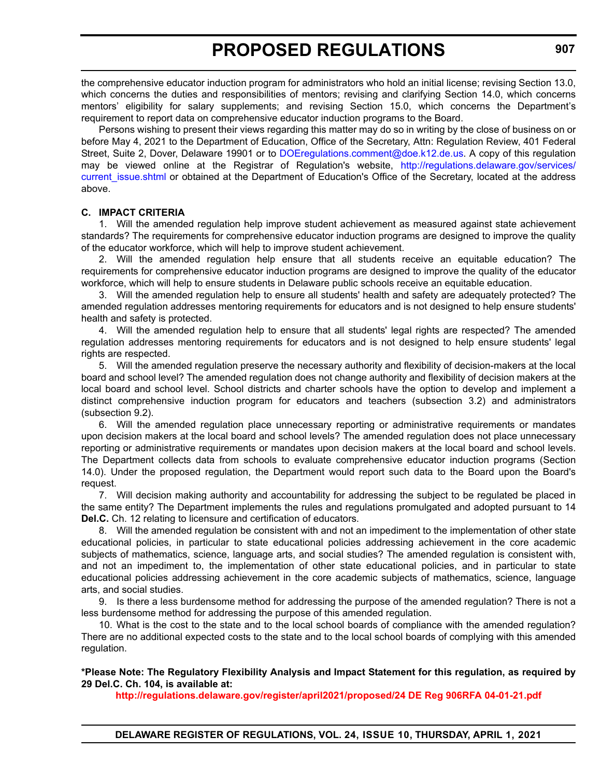the comprehensive educator induction program for administrators who hold an initial license; revising Section 13.0, which concerns the duties and responsibilities of mentors; revising and clarifying Section 14.0, which concerns mentors' eligibility for salary supplements; and revising Section 15.0, which concerns the Department's requirement to report data on comprehensive educator induction programs to the Board.

Persons wishing to present their views regarding this matter may do so in writing by the close of business on or before May 4, 2021 to the Department of Education, Office of the Secretary, Attn: Regulation Review, 401 Federal Street, Suite 2, Dover, Delaware 19901 or to [DOEregulations.comment@doe.k12.de.us](mailto:DOEregulations.comment@doe.k12.de.us). A copy of this regulation may be viewed online at the Registrar of Regulation's website, [http://regulations.delaware.gov/services/](http://regulations.delaware.gov/services/current_issue.shtml) current issue.shtml or obtained at the Department of Education's Office of the Secretary, located at the address above.

#### **C. IMPACT CRITERIA**

1. Will the amended regulation help improve student achievement as measured against state achievement standards? The requirements for comprehensive educator induction programs are designed to improve the quality of the educator workforce, which will help to improve student achievement.

2. Will the amended regulation help ensure that all students receive an equitable education? The requirements for comprehensive educator induction programs are designed to improve the quality of the educator workforce, which will help to ensure students in Delaware public schools receive an equitable education.

3. Will the amended regulation help to ensure all students' health and safety are adequately protected? The amended regulation addresses mentoring requirements for educators and is not designed to help ensure students' health and safety is protected.

4. Will the amended regulation help to ensure that all students' legal rights are respected? The amended regulation addresses mentoring requirements for educators and is not designed to help ensure students' legal rights are respected.

5. Will the amended regulation preserve the necessary authority and flexibility of decision-makers at the local board and school level? The amended regulation does not change authority and flexibility of decision makers at the local board and school level. School districts and charter schools have the option to develop and implement a distinct comprehensive induction program for educators and teachers (subsection 3.2) and administrators (subsection 9.2).

6. Will the amended regulation place unnecessary reporting or administrative requirements or mandates upon decision makers at the local board and school levels? The amended regulation does not place unnecessary reporting or administrative requirements or mandates upon decision makers at the local board and school levels. The Department collects data from schools to evaluate comprehensive educator induction programs (Section 14.0). Under the proposed regulation, the Department would report such data to the Board upon the Board's request.

7. Will decision making authority and accountability for addressing the subject to be regulated be placed in the same entity? The Department implements the rules and regulations promulgated and adopted pursuant to 14 **Del.C.** Ch. 12 relating to licensure and certification of educators.

8. Will the amended regulation be consistent with and not an impediment to the implementation of other state educational policies, in particular to state educational policies addressing achievement in the core academic subjects of mathematics, science, language arts, and social studies? The amended regulation is consistent with, and not an impediment to, the implementation of other state educational policies, and in particular to state educational policies addressing achievement in the core academic subjects of mathematics, science, language arts, and social studies.

9. Is there a less burdensome method for addressing the purpose of the amended regulation? There is not a less burdensome method for addressing the purpose of this amended regulation.

10. What is the cost to the state and to the local school boards of compliance with the amended regulation? There are no additional expected costs to the state and to the local school boards of complying with this amended regulation.

**\*Please Note: The Regulatory Flexibility Analysis and Impact Statement for this regulation, as required by 29 Del.C. Ch. 104, is available at:**

**<http://regulations.delaware.gov/register/april2021/proposed/24 DE Reg 906RFA 04-01-21.pdf>**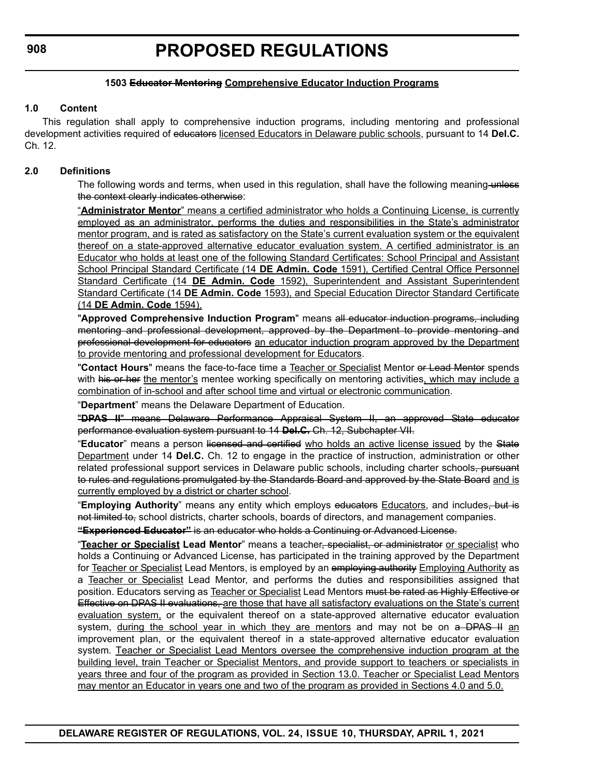#### **1503 Educator Mentoring Comprehensive Educator Induction Programs**

#### **1.0 Content**

This regulation shall apply to comprehensive induction programs, including mentoring and professional development activities required of educators licensed Educators in Delaware public schools, pursuant to 14 **Del.C.** Ch. 12.

#### **2.0 Definitions**

The following words and terms, when used in this regulation, shall have the following meaning-unless the context clearly indicates otherwise:

"**Administrator Mentor**" means a certified administrator who holds a Continuing License, is currently employed as an administrator, performs the duties and responsibilities in the State's administrator mentor program, and is rated as satisfactory on the State's current evaluation system or the equivalent thereof on a state-approved alternative educator evaluation system. A certified administrator is an Educator who holds at least one of the following Standard Certificates: School Principal and Assistant School Principal Standard Certificate (14 **DE Admin. Code** 1591), Certified Central Office Personnel Standard Certificate (14 **DE Admin. Code** 1592), Superintendent and Assistant Superintendent Standard Certificate (14 **DE Admin. Code** 1593), and Special Education Director Standard Certificate (14 **DE Admin. Code** 1594).

"**Approved Comprehensive Induction Program**" means all educator induction programs, including mentoring and professional development, approved by the Department to provide mentoring and professional development for educators an educator induction program approved by the Department to provide mentoring and professional development for Educators.

"**Contact Hours**" means the face-to-face time a Teacher or Specialist Mentor or Lead Mentor spends with his or her the mentor's mentee working specifically on mentoring activities, which may include a combination of in-school and after school time and virtual or electronic communication.

"**Department**" means the Delaware Department of Education.

"**DPAS II**" means Delaware Performance Appraisal System II, an approved State educator performance evaluation system pursuant to 14 **Del.C.** Ch. 12, Subchapter VII.

"**Educator**" means a person licensed and certified who holds an active license issued by the State Department under 14 **Del.C.** Ch. 12 to engage in the practice of instruction, administration or other related professional support services in Delaware public schools, including charter schools, pursuant to rules and regulations promulgated by the Standards Board and approved by the State Board and is currently employed by a district or charter school.

"**Employing Authority**" means any entity which employs educators Educators, and includes, but is not limited to, school districts, charter schools, boards of directors, and management companies.

**"Experienced Educator"** is an educator who holds a Continuing or Advanced License.

"**Teacher or Specialist Lead Mentor**" means a teacher, specialist, or administrator or specialist who holds a Continuing or Advanced License, has participated in the training approved by the Department for Teacher or Specialist Lead Mentors, is employed by an employing authority Employing Authority as a Teacher or Specialist Lead Mentor, and performs the duties and responsibilities assigned that position. Educators serving as Teacher or Specialist Lead Mentors must be rated as Highly Effective or Effective on DPAS II evaluations, are those that have all satisfactory evaluations on the State's current evaluation system, or the equivalent thereof on a state-approved alternative educator evaluation system, during the school year in which they are mentors and may not be on a DPAS II an improvement plan, or the equivalent thereof in a state-approved alternative educator evaluation system. Teacher or Specialist Lead Mentors oversee the comprehensive induction program at the building level, train Teacher or Specialist Mentors, and provide support to teachers or specialists in years three and four of the program as provided in Section 13.0. Teacher or Specialist Lead Mentors may mentor an Educator in years one and two of the program as provided in Sections 4.0 and 5.0.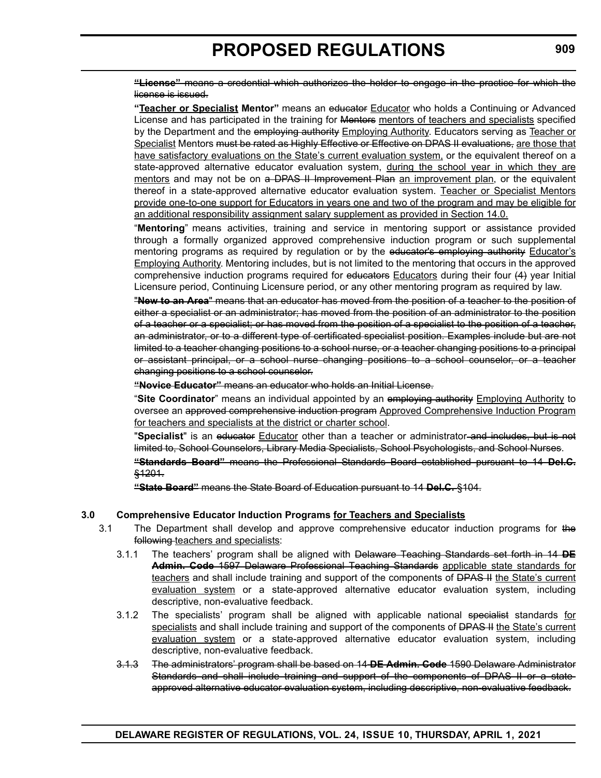**"License"** means a credential which authorizes the holder to engage in the practice for which the license is issued.

**"Teacher or Specialist Mentor"** means an educator Educator who holds a Continuing or Advanced License and has participated in the training for Mentors mentors of teachers and specialists specified by the Department and the employing authority Employing Authority. Educators serving as Teacher or Specialist Mentors must be rated as Highly Effective or Effective on DPAS II evaluations, are those that have satisfactory evaluations on the State's current evaluation system, or the equivalent thereof on a state-approved alternative educator evaluation system, during the school year in which they are mentors and may not be on a DPAS II Improvement Plan an improvement plan, or the equivalent thereof in a state-approved alternative educator evaluation system. Teacher or Specialist Mentors provide one-to-one support for Educators in years one and two of the program and may be eligible for an additional responsibility assignment salary supplement as provided in Section 14.0.

"**Mentoring**" means activities, training and service in mentoring support or assistance provided through a formally organized approved comprehensive induction program or such supplemental mentoring programs as required by regulation or by the educator's employing authority Educator's Employing Authority. Mentoring includes, but is not limited to the mentoring that occurs in the approved comprehensive induction programs required for educators Educators during their four (4) year Initial Licensure period, Continuing Licensure period, or any other mentoring program as required by law.

"**New to an Area**" means that an educator has moved from the position of a teacher to the position of either a specialist or an administrator; has moved from the position of an administrator to the position of a teacher or a specialist; or has moved from the position of a specialist to the position of a teacher, an administrator, or to a different type of certificated specialist position. Examples include but are not limited to a teacher changing positions to a school nurse, or a teacher changing positions to a principal or assistant principal, or a school nurse changing positions to a school counselor, or a teacher changing positions to a school counselor.

**"Novice Educator"** means an educator who holds an Initial License.

"**Site Coordinator**" means an individual appointed by an employing authority Employing Authority to oversee an approved comprehensive induction program Approved Comprehensive Induction Program for teachers and specialists at the district or charter school.

"Specialist" is an educator Educator other than a teacher or administrator-and includes, but is not limited to, School Counselors, Library Media Specialists, School Psychologists, and School Nurses.

**"Standards Board"** means the Professional Standards Board established pursuant to 14 **Del.C.** §1201.

**"State Board"** means the State Board of Education pursuant to 14 **Del.C.** §104.

#### **3.0 Comprehensive Educator Induction Programs for Teachers and Specialists**

- 3.1 The Department shall develop and approve comprehensive educator induction programs for the following teachers and specialists:
	- 3.1.1 The teachers' program shall be aligned with Delaware Teaching Standards set forth in 14 **DE Admin. Code** 1597 Delaware Professional Teaching Standards applicable state standards for teachers and shall include training and support of the components of <del>DPAS II</del> the State's current evaluation system or a state-approved alternative educator evaluation system, including descriptive, non-evaluative feedback.
	- 3.1.2 The specialists' program shall be aligned with applicable national specialist standards for specialists and shall include training and support of the components of DPAS II the State's current evaluation system or a state-approved alternative educator evaluation system, including descriptive, non-evaluative feedback.
	- 3.1.3 The administrators' program shall be based on 14 **DE Admin. Code** 1590 Delaware Administrator Standards and shall include training and support of the components of DPAS II or a stateapproved alternative educator evaluation system, including descriptive, non-evaluative feedback.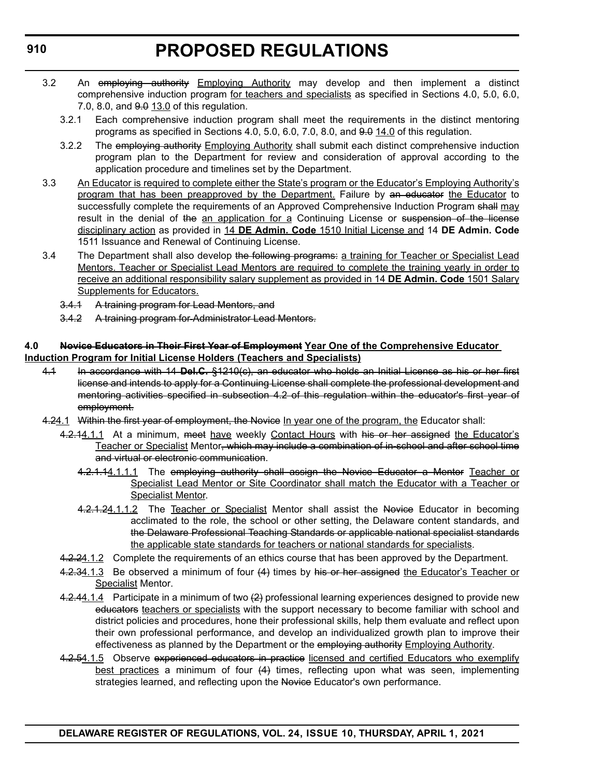- 3.2 An employing authority Employing Authority may develop and then implement a distinct comprehensive induction program for teachers and specialists as specified in Sections 4.0, 5.0, 6.0, 7.0, 8.0, and  $9.0$  13.0 of this regulation.
	- 3.2.1 Each comprehensive induction program shall meet the requirements in the distinct mentoring programs as specified in Sections  $4.0, 5.0, 6.0, 7.0, 8.0,$  and  $9.0, 14.0$  of this regulation.
	- 3.2.2 The employing authority Employing Authority shall submit each distinct comprehensive induction program plan to the Department for review and consideration of approval according to the application procedure and timelines set by the Department.
- 3.3 An Educator is required to complete either the State's program or the Educator's Employing Authority's program that has been preapproved by the Department. Failure by an educator the Educator to successfully complete the requirements of an Approved Comprehensive Induction Program shall may result in the denial of the an application for a Continuing License or suspension of the license disciplinary action as provided in 14 **DE Admin. Code** 1510 Initial License and 14 **DE Admin. Code** 1511 Issuance and Renewal of Continuing License.
- 3.4 The Department shall also develop the following programs: a training for Teacher or Specialist Lead Mentors. Teacher or Specialist Lead Mentors are required to complete the training yearly in order to receive an additional responsibility salary supplement as provided in 14 **DE Admin. Code** 1501 Salary **Supplements for Educators.** 
	- 3.4.1 A training program for Lead Mentors, and
	- 3.4.2 A training program for Administrator Lead Mentors.

#### **4.0 Novice Educators in Their First Year of Employment Year One of the Comprehensive Educator Induction Program for Initial License Holders (Teachers and Specialists)**

- 4.1 In accordance with 14 **Del.C.** §1210(c), an educator who holds an Initial License as his or her first license and intends to apply for a Continuing License shall complete the professional development and mentoring activities specified in subsection 4.2 of this regulation within the educator's first year of employment.
- 4.24.1 Within the first year of employment, the Novice In year one of the program, the Educator shall:
	- 4.2.14.1.1 At a minimum, meet have weekly Contact Hours with his or her assigned the Educator's Teacher or Specialist Mentor, which may include a combination of in-school and after school time and virtual or electronic communication.
		- 4.2.1.14.1.1.1 The employing authority shall assign the Novice Educator a Mentor Teacher or Specialist Lead Mentor or Site Coordinator shall match the Educator with a Teacher or Specialist Mentor.
		- 4.2.1.24.1.1.2 The Teacher or Specialist Mentor shall assist the Novice Educator in becoming acclimated to the role, the school or other setting, the Delaware content standards, and the Delaware Professional Teaching Standards or applicable national specialist standards the applicable state standards for teachers or national standards for specialists.
	- 4.2.24.1.2 Complete the requirements of an ethics course that has been approved by the Department.
	- 4.2.34.1.3 Be observed a minimum of four (4) times by his or her assigned the Educator's Teacher or Specialist Mentor.
	- 4.2.44.1.4 Participate in a minimum of two  $(2)$  professional learning experiences designed to provide new educators teachers or specialists with the support necessary to become familiar with school and district policies and procedures, hone their professional skills, help them evaluate and reflect upon their own professional performance, and develop an individualized growth plan to improve their effectiveness as planned by the Department or the employing authority Employing Authority.
	- 4.2.54.1.5 Observe experienced educators in practice licensed and certified Educators who exemplify best practices a minimum of four  $(4)$  times, reflecting upon what was seen, implementing strategies learned, and reflecting upon the Novice Educator's own performance.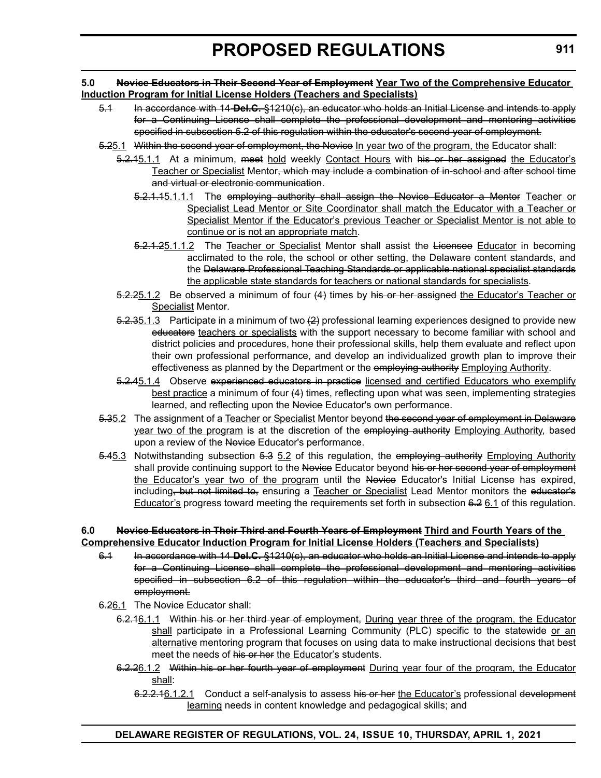#### **5.0 Novice Educators in Their Second Year of Employment Year Two of the Comprehensive Educator Induction Program for Initial License Holders (Teachers and Specialists)**

- 5.1 In accordance with 14 **Del.C.** §1210(c), an educator who holds an Initial License and intends to apply for a Continuing License shall complete the professional development and mentoring activities specified in subsection 5.2 of this regulation within the educator's second year of employment.
- 5.25.1 Within the second year of employment, the Novice In year two of the program, the Educator shall:
	- 5.2.15.1.1 At a minimum, meet hold weekly Contact Hours with his or her assigned the Educator's Teacher or Specialist Mentor<del>, which may include a combination of in school and after school time</del> and virtual or electronic communication.
		- 5.2.1.15.1.1.1 The employing authority shall assign the Novice Educator a Mentor Teacher or Specialist Lead Mentor or Site Coordinator shall match the Educator with a Teacher or Specialist Mentor if the Educator's previous Teacher or Specialist Mentor is not able to continue or is not an appropriate match.
		- 5.2.1.25.1.1.2 The Teacher or Specialist Mentor shall assist the Licensee Educator in becoming acclimated to the role, the school or other setting, the Delaware content standards, and the Delaware Professional Teaching Standards or applicable national specialist standards the applicable state standards for teachers or national standards for specialists.
	- 5.2.25.1.2 Be observed a minimum of four (4) times by his or her assigned the Educator's Teacher or Specialist Mentor.
	- $5.2.35.1.3$  Participate in a minimum of two  $(2)$  professional learning experiences designed to provide new educators teachers or specialists with the support necessary to become familiar with school and district policies and procedures, hone their professional skills, help them evaluate and reflect upon their own professional performance, and develop an individualized growth plan to improve their effectiveness as planned by the Department or the employing authority Employing Authority.
	- 5.2.45.1.4 Observe experienced educators in practice licensed and certified Educators who exemplify best practice a minimum of four (4) times, reflecting upon what was seen, implementing strategies learned, and reflecting upon the Novice Educator's own performance.
- 5.35.2 The assignment of a Teacher or Specialist Mentor beyond the second year of employment in Delaware year two of the program is at the discretion of the employing authority Employing Authority, based upon a review of the Novice Educator's performance.
- 5.45.3 Notwithstanding subsection 5.3 5.2 of this regulation, the employing authority Employing Authority shall provide continuing support to the Novice Educator beyond his or her second year of employment the Educator's year two of the program until the Novice Educator's Initial License has expired, including, but not limited to, ensuring a Teacher or Specialist Lead Mentor monitors the educator's Educator's progress toward meeting the requirements set forth in subsection 6.2 6.1 of this regulation.

#### **6.0 Novice Educators in Their Third and Fourth Years of Employment Third and Fourth Years of the Comprehensive Educator Induction Program for Initial License Holders (Teachers and Specialists)**

- 6.1 In accordance with 14 **Del.C.** §1210(c), an educator who holds an Initial License and intends to apply for a Continuing License shall complete the professional development and mentoring activities specified in subsection 6.2 of this regulation within the educator's third and fourth years of employment.
- 6.26.1 The Novice Educator shall:
	- 6.2.16.1.1 Within his or her third year of employment, During year three of the program, the Educator shall participate in a Professional Learning Community (PLC) specific to the statewide or an alternative mentoring program that focuses on using data to make instructional decisions that best meet the needs of his or her the Educator's students.
	- 6.2.26.1.2 Within his or her fourth year of employment During year four of the program, the Educator shall:
		- 6.2.2.16.1.2.1 Conduct a self-analysis to assess his or her the Educator's professional development learning needs in content knowledge and pedagogical skills; and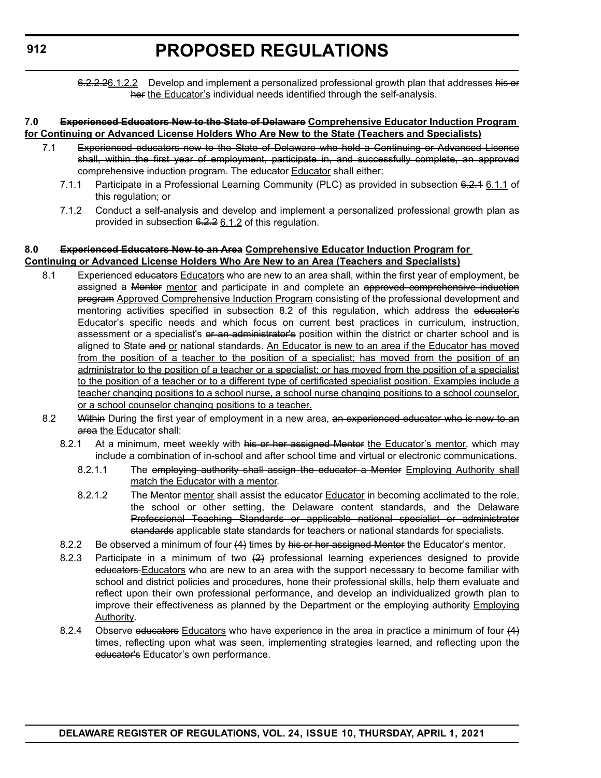6.2.2.26.1.2.2 Develop and implement a personalized professional growth plan that addresses his or her the Educator's individual needs identified through the self-analysis.

#### **7.0 Experienced Educators New to the State of Delaware Comprehensive Educator Induction Program for Continuing or Advanced License Holders Who Are New to the State (Teachers and Specialists)**

- 7.1 Experienced educators new to the State of Delaware who hold a Continuing or Advanced License shall, within the first year of employment, participate in, and successfully complete, an approved comprehensive induction program. The educator Educator shall either:
	- 7.1.1 Participate in a Professional Learning Community (PLC) as provided in subsection 6.2.4 6.1.1 of this regulation; or
	- 7.1.2 Conduct a self-analysis and develop and implement a personalized professional growth plan as provided in subsection 6.2.2 6.1.2 of this regulation.

#### **8.0 Experienced Educators New to an Area Comprehensive Educator Induction Program for Continuing or Advanced License Holders Who Are New to an Area (Teachers and Specialists)**

- 8.1 Experienced educators Educators who are new to an area shall, within the first year of employment, be assigned a Mentor mentor and participate in and complete an approved comprehensive induction program Approved Comprehensive Induction Program consisting of the professional development and mentoring activities specified in subsection 8.2 of this regulation, which address the educator's **Educator's** specific needs and which focus on current best practices in curriculum, instruction, assessment or a specialist's or an administrator's position within the district or charter school and is aligned to State and or national standards. An Educator is new to an area if the Educator has moved from the position of a teacher to the position of a specialist; has moved from the position of an administrator to the position of a teacher or a specialist; or has moved from the position of a specialist to the position of a teacher or to a different type of certificated specialist position. Examples include a teacher changing positions to a school nurse, a school nurse changing positions to a school counselor, or a school counselor changing positions to a teacher.
- 8.2 Within During the first year of employment in a new area, an experienced educator who is new to an area the Educator shall:
	- 8.2.1 At a minimum, meet weekly with his or her assigned Mentor the Educator's mentor, which may include a combination of in-school and after school time and virtual or electronic communications.
		- 8.2.1.1 The employing authority shall assign the educator a Mentor Employing Authority shall match the Educator with a mentor.
		- 8.2.1.2 The Mentor mentor shall assist the educator Educator in becoming acclimated to the role, the school or other setting, the Delaware content standards, and the Delaware Professional Teaching Standards or applicable national specialist or administrator standards applicable state standards for teachers or national standards for specialists.
	- 8.2.2 Be observed a minimum of four (4) times by his or her assigned Mentor the Educator's mentor.
	- 8.2.3 Participate in a minimum of two  $(2)$  professional learning experiences designed to provide educators Educators who are new to an area with the support necessary to become familiar with school and district policies and procedures, hone their professional skills, help them evaluate and reflect upon their own professional performance, and develop an individualized growth plan to improve their effectiveness as planned by the Department or the employing authority Employing Authority.
	- 8.2.4 Observe educators Educators who have experience in the area in practice a minimum of four  $(4)$ times, reflecting upon what was seen, implementing strategies learned, and reflecting upon the educator's Educator's own performance.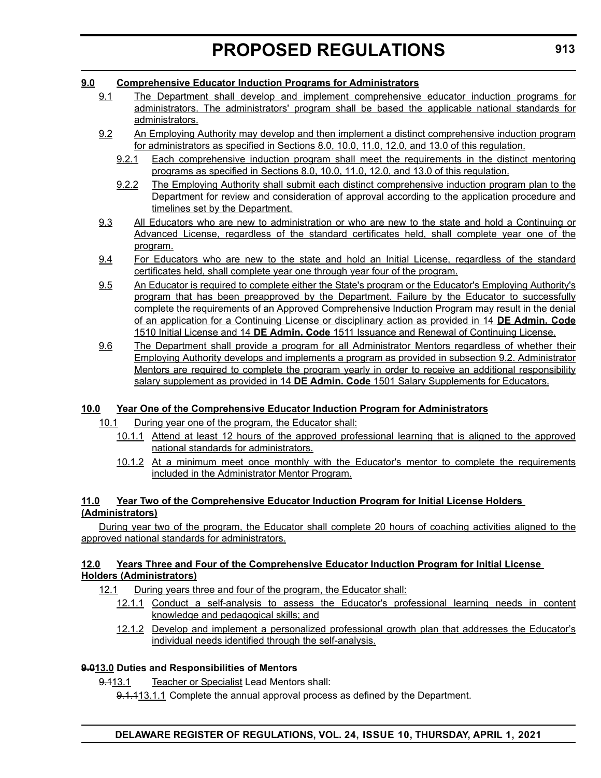#### **9.0 Comprehensive Educator Induction Programs for Administrators**

- 9.1 The Department shall develop and implement comprehensive educator induction programs for administrators. The administrators' program shall be based the applicable national standards for administrators.
- 9.2 An Employing Authority may develop and then implement a distinct comprehensive induction program for administrators as specified in Sections 8.0, 10.0, 11.0, 12.0, and 13.0 of this regulation.
	- 9.2.1 Each comprehensive induction program shall meet the requirements in the distinct mentoring programs as specified in Sections 8.0, 10.0, 11.0, 12.0, and 13.0 of this regulation.
	- 9.2.2 The Employing Authority shall submit each distinct comprehensive induction program plan to the Department for review and consideration of approval according to the application procedure and timelines set by the Department.
- 9.3 All Educators who are new to administration or who are new to the state and hold a Continuing or Advanced License, regardless of the standard certificates held, shall complete year one of the program.
- 9.4 For Educators who are new to the state and hold an Initial License, regardless of the standard certificates held, shall complete year one through year four of the program.
- 9.5 An Educator is required to complete either the State's program or the Educator's Employing Authority's program that has been preapproved by the Department. Failure by the Educator to successfully complete the requirements of an Approved Comprehensive Induction Program may result in the denial of an application for a Continuing License or disciplinary action as provided in 14 **DE Admin. Code** 1510 Initial License and 14 **DE Admin. Code** 1511 Issuance and Renewal of Continuing License.
- 9.6 The Department shall provide a program for all Administrator Mentors regardless of whether their Employing Authority develops and implements a program as provided in subsection 9.2. Administrator Mentors are required to complete the program yearly in order to receive an additional responsibility salary supplement as provided in 14 **DE Admin. Code** 1501 Salary Supplements for Educators.

#### **10.0 Year One of the Comprehensive Educator Induction Program for Administrators**

- 10.1 During year one of the program, the Educator shall:
	- 10.1.1 Attend at least 12 hours of the approved professional learning that is aligned to the approved national standards for administrators.
	- 10.1.2 At a minimum meet once monthly with the Educator's mentor to complete the requirements included in the Administrator Mentor Program.

#### **11.0 Year Two of the Comprehensive Educator Induction Program for Initial License Holders (Administrators)**

During year two of the program, the Educator shall complete 20 hours of coaching activities aligned to the approved national standards for administrators.

#### **12.0 Years Three and Four of the Comprehensive Educator Induction Program for Initial License Holders (Administrators)**

- 12.1 During years three and four of the program, the Educator shall:
	- 12.1.1 Conduct a self-analysis to assess the Educator's professional learning needs in content knowledge and pedagogical skills; and
	- 12.1.2 Develop and implement a personalized professional growth plan that addresses the Educator's individual needs identified through the self-analysis.

#### **9.013.0 Duties and Responsibilities of Mentors**

9.113.1 Teacher or Specialist Lead Mentors shall:

9.1.113.1.1 Complete the annual approval process as defined by the Department.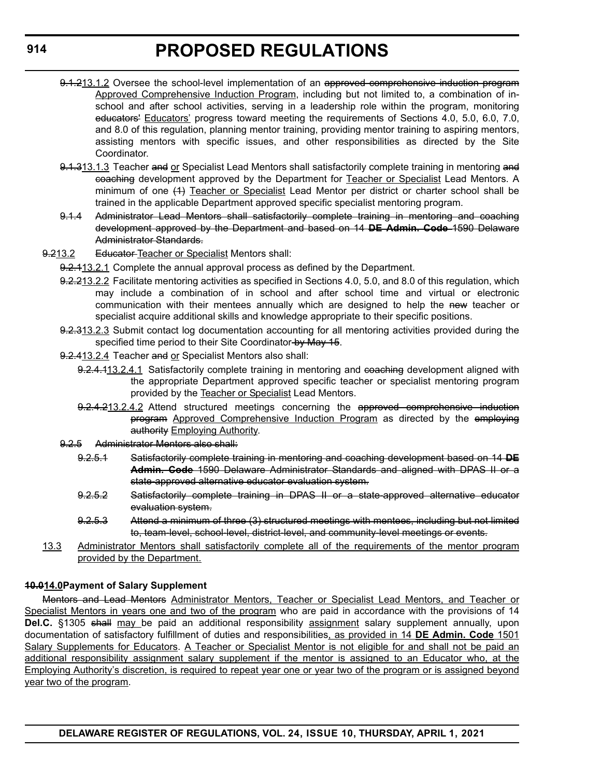- 9.1.213.1.2 Oversee the school-level implementation of an approved comprehensive induction program Approved Comprehensive Induction Program, including but not limited to, a combination of inschool and after school activities, serving in a leadership role within the program, monitoring educators' Educators' progress toward meeting the requirements of Sections 4.0, 5.0, 6.0, 7.0, and 8.0 of this regulation, planning mentor training, providing mentor training to aspiring mentors, assisting mentors with specific issues, and other responsibilities as directed by the Site Coordinator.
- 9.1.313.1.3 Teacher and or Specialist Lead Mentors shall satisfactorily complete training in mentoring and coaching development approved by the Department for Teacher or Specialist Lead Mentors. A minimum of one (4) Teacher or Specialist Lead Mentor per district or charter school shall be trained in the applicable Department approved specific specialist mentoring program.
- 9.1.4 Administrator Lead Mentors shall satisfactorily complete training in mentoring and coaching development approved by the Department and based on 14 **DE Admin. Code** 1590 Delaware Administrator Standards.
- 9.213.2 Educator-Teacher or Specialist Mentors shall:
	- 9.2.113.2.1 Complete the annual approval process as defined by the Department.
	- 9.2.213.2.2 Facilitate mentoring activities as specified in Sections 4.0, 5.0, and 8.0 of this regulation, which may include a combination of in school and after school time and virtual or electronic communication with their mentees annually which are designed to help the new teacher or specialist acquire additional skills and knowledge appropriate to their specific positions.
	- 9.2.313.2.3 Submit contact log documentation accounting for all mentoring activities provided during the specified time period to their Site Coordinator-by May 15.
	- 9.2.413.2.4 Teacher and or Specialist Mentors also shall:
		- 9.2.4.113.2.4.1 Satisfactorily complete training in mentoring and coaching development aligned with the appropriate Department approved specific teacher or specialist mentoring program provided by the Teacher or Specialist Lead Mentors.
		- 9.2.4.213.2.4.2 Attend structured meetings concerning the approved comprehensive induction program Approved Comprehensive Induction Program as directed by the employing authority Employing Authority.
	- 9.2.5 Administrator Mentors also shall:
		- 9.2.5.1 Satisfactorily complete training in mentoring and coaching development based on 14 **DE Admin. Code** 1590 Delaware Administrator Standards and aligned with DPAS II or a state-approved alternative educator evaluation system.
		- 9.2.5.2 Satisfactorily complete training in DPAS II or a state-approved alternative educator evaluation system.
		- 9.2.5.3 Attend a minimum of three (3) structured meetings with mentees, including but not limited to, team-level, school-level, district-level, and community-level meetings or events.
- 13.3 Administrator Mentors shall satisfactorily complete all of the requirements of the mentor program provided by the Department.

#### **10.014.0Payment of Salary Supplement**

Mentors and Lead Mentors Administrator Mentors, Teacher or Specialist Lead Mentors, and Teacher or Specialist Mentors in years one and two of the program who are paid in accordance with the provisions of 14 **Del.C.** §1305 shall may be paid an additional responsibility assignment salary supplement annually, upon documentation of satisfactory fulfillment of duties and responsibilities, as provided in 14 **DE Admin. Code** 1501 Salary Supplements for Educators. A Teacher or Specialist Mentor is not eligible for and shall not be paid an additional responsibility assignment salary supplement if the mentor is assigned to an Educator who, at the Employing Authority's discretion, is required to repeat year one or year two of the program or is assigned beyond year two of the program.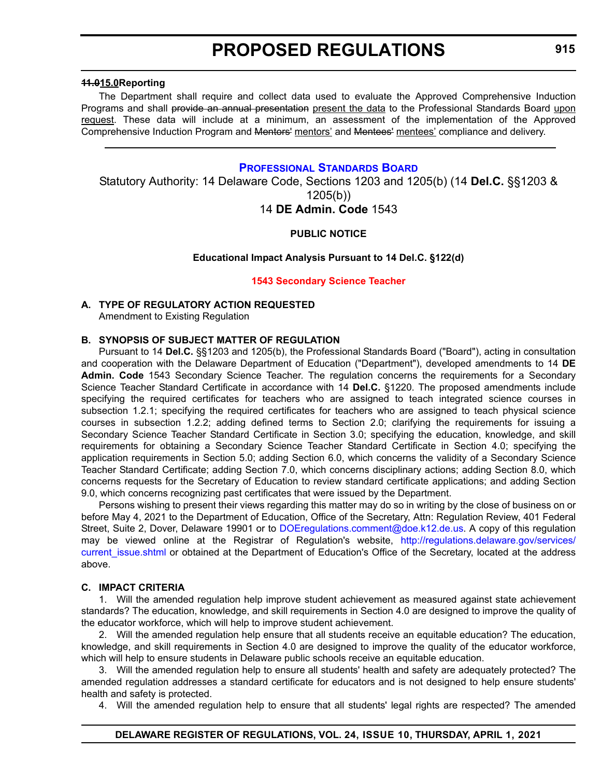#### <span id="page-22-0"></span>**11.015.0Reporting**

The Department shall require and collect data used to evaluate the Approved Comprehensive Induction Programs and shall provide an annual presentation present the data to the Professional Standards Board upon request. These data will include at a minimum, an assessment of the implementation of the Approved Comprehensive Induction Program and Mentors' mentors' and Mentees' mentees' compliance and delivery.

#### **[PROFESSIONAL STANDARDS BOARD](https://www.doe.k12.de.us/domain/172)**

Statutory Authority: 14 Delaware Code, Sections 1203 and 1205(b) (14 **Del.C.** §§1203 & 1205(b))

#### 14 **DE Admin. Code** 1543

#### **PUBLIC NOTICE**

#### **Educational Impact Analysis Pursuant to 14 Del.C. §122(d)**

#### **[1543 Secondary Science Teacher](#page-3-0)**

#### **A. TYPE OF REGULATORY ACTION REQUESTED**

Amendment to Existing Regulation

#### **B. SYNOPSIS OF SUBJECT MATTER OF REGULATION**

Pursuant to 14 **Del.C.** §§1203 and 1205(b), the Professional Standards Board ("Board"), acting in consultation and cooperation with the Delaware Department of Education ("Department"), developed amendments to 14 **DE Admin. Code** 1543 Secondary Science Teacher. The regulation concerns the requirements for a Secondary Science Teacher Standard Certificate in accordance with 14 **Del.C.** §1220. The proposed amendments include specifying the required certificates for teachers who are assigned to teach integrated science courses in subsection 1.2.1; specifying the required certificates for teachers who are assigned to teach physical science courses in subsection 1.2.2; adding defined terms to Section 2.0; clarifying the requirements for issuing a Secondary Science Teacher Standard Certificate in Section 3.0; specifying the education, knowledge, and skill requirements for obtaining a Secondary Science Teacher Standard Certificate in Section 4.0; specifying the application requirements in Section 5.0; adding Section 6.0, which concerns the validity of a Secondary Science Teacher Standard Certificate; adding Section 7.0, which concerns disciplinary actions; adding Section 8.0, which concerns requests for the Secretary of Education to review standard certificate applications; and adding Section 9.0, which concerns recognizing past certificates that were issued by the Department.

Persons wishing to present their views regarding this matter may do so in writing by the close of business on or before May 4, 2021 to the Department of Education, Office of the Secretary, Attn: Regulation Review, 401 Federal Street, Suite 2, Dover, Delaware 19901 or to [DOEregulations.comment@doe.k12.de.us](mailto:DOEregulations.comment@doe.k12.de.us). A copy of this regulation may be viewed online at the Registrar of Regulation's website, [http://regulations.delaware.gov/services/](http://regulations.delaware.gov/services/current_issue.shtml) current issue.shtml or obtained at the Department of Education's Office of the Secretary, located at the address above.

#### **C. IMPACT CRITERIA**

1. Will the amended regulation help improve student achievement as measured against state achievement standards? The education, knowledge, and skill requirements in Section 4.0 are designed to improve the quality of the educator workforce, which will help to improve student achievement.

2. Will the amended regulation help ensure that all students receive an equitable education? The education, knowledge, and skill requirements in Section 4.0 are designed to improve the quality of the educator workforce, which will help to ensure students in Delaware public schools receive an equitable education.

3. Will the amended regulation help to ensure all students' health and safety are adequately protected? The amended regulation addresses a standard certificate for educators and is not designed to help ensure students' health and safety is protected.

4. Will the amended regulation help to ensure that all students' legal rights are respected? The amended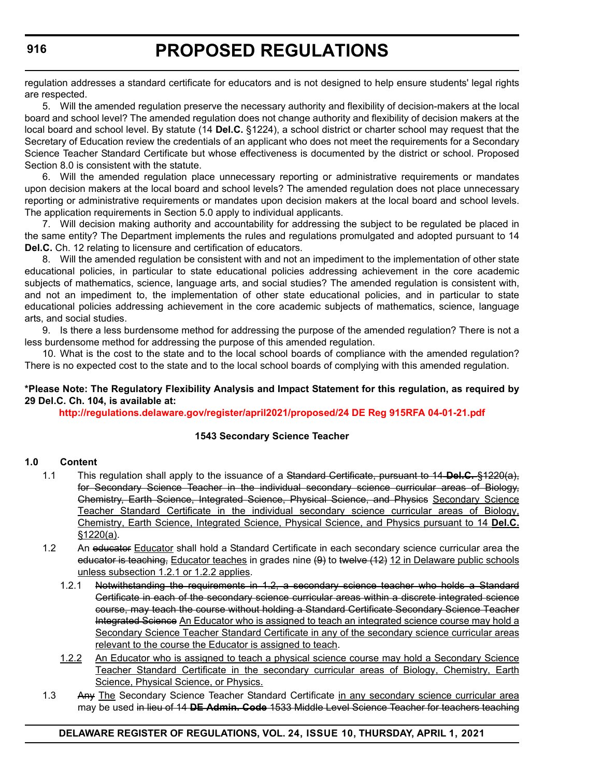regulation addresses a standard certificate for educators and is not designed to help ensure students' legal rights are respected.

5. Will the amended regulation preserve the necessary authority and flexibility of decision-makers at the local board and school level? The amended regulation does not change authority and flexibility of decision makers at the local board and school level. By statute (14 **Del.C.** §1224), a school district or charter school may request that the Secretary of Education review the credentials of an applicant who does not meet the requirements for a Secondary Science Teacher Standard Certificate but whose effectiveness is documented by the district or school. Proposed Section 8.0 is consistent with the statute.

6. Will the amended regulation place unnecessary reporting or administrative requirements or mandates upon decision makers at the local board and school levels? The amended regulation does not place unnecessary reporting or administrative requirements or mandates upon decision makers at the local board and school levels. The application requirements in Section 5.0 apply to individual applicants.

7. Will decision making authority and accountability for addressing the subject to be regulated be placed in the same entity? The Department implements the rules and regulations promulgated and adopted pursuant to 14 **Del.C.** Ch. 12 relating to licensure and certification of educators.

8. Will the amended regulation be consistent with and not an impediment to the implementation of other state educational policies, in particular to state educational policies addressing achievement in the core academic subjects of mathematics, science, language arts, and social studies? The amended regulation is consistent with, and not an impediment to, the implementation of other state educational policies, and in particular to state educational policies addressing achievement in the core academic subjects of mathematics, science, language arts, and social studies.

9. Is there a less burdensome method for addressing the purpose of the amended regulation? There is not a less burdensome method for addressing the purpose of this amended regulation.

10. What is the cost to the state and to the local school boards of compliance with the amended regulation? There is no expected cost to the state and to the local school boards of complying with this amended regulation.

#### **\*Please Note: The Regulatory Flexibility Analysis and Impact Statement for this regulation, as required by 29 Del.C. Ch. 104, is available at:**

**<http://regulations.delaware.gov/register/april2021/proposed/24 DE Reg 915RFA 04-01-21.pdf>**

#### **1543 Secondary Science Teacher**

#### **1.0 Content**

- 1.1 This regulation shall apply to the issuance of a Standard Certificate, pursuant to 14 **Del.C.** §1220(a), for Secondary Science Teacher in the individual secondary science curricular areas of Biology, Chemistry, Earth Science, Integrated Science, Physical Science, and Physics Secondary Science Teacher Standard Certificate in the individual secondary science curricular areas of Biology, Chemistry, Earth Science, Integrated Science, Physical Science, and Physics pursuant to 14 **Del.C.** §1220(a).
- 1.2 An educator Educator shall hold a Standard Certificate in each secondary science curricular area the educator is teaching, Educator teaches in grades nine (9) to twelve (12) 12 in Delaware public schools unless subsection 1.2.1 or 1.2.2 applies.
	- 1.2.1 Notwithstanding the requirements in 1.2, a secondary science teacher who holds a Standard Certificate in each of the secondary science curricular areas within a discrete integrated science course, may teach the course without holding a Standard Certificate Secondary Science Teacher Integrated Science An Educator who is assigned to teach an integrated science course may hold a Secondary Science Teacher Standard Certificate in any of the secondary science curricular areas relevant to the course the Educator is assigned to teach.
	- 1.2.2 An Educator who is assigned to teach a physical science course may hold a Secondary Science Teacher Standard Certificate in the secondary curricular areas of Biology, Chemistry, Earth Science, Physical Science, or Physics.
- 1.3 Any The Secondary Science Teacher Standard Certificate in any secondary science curricular area may be used in lieu of 14 **DE Admin. Code** 1533 Middle Level Science Teacher for teachers teaching

#### **DELAWARE REGISTER OF REGULATIONS, VOL. 24, ISSUE 10, THURSDAY, APRIL 1, 2021**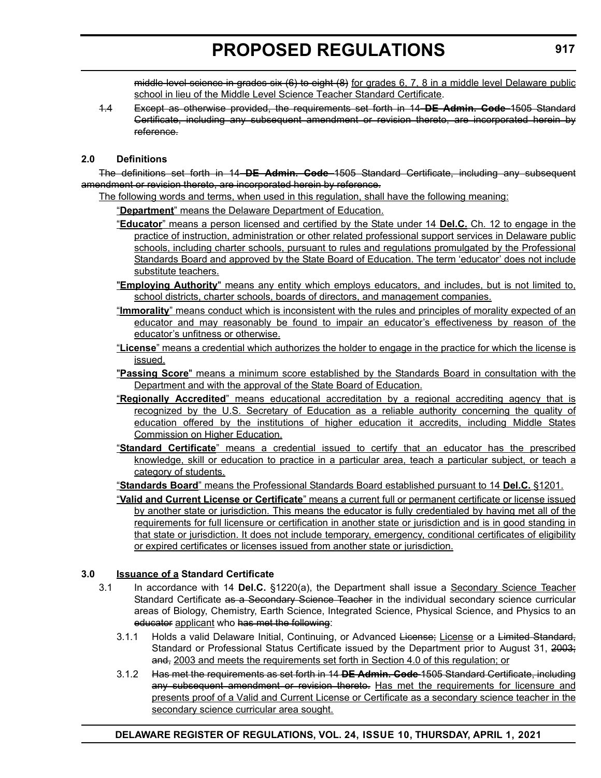middle level science in grades six (6) to eight (8) for grades 6, 7, 8 in a middle level Delaware public school in lieu of the Middle Level Science Teacher Standard Certificate.

1.4 Except as otherwise provided, the requirements set forth in 14 **DE Admin. Code** 1505 Standard Certificate, including any subsequent amendment or revision thereto, are incorporated herein by reference.

#### **2.0 Definitions**

The definitions set forth in 14 **DE Admin. Code** 1505 Standard Certificate, including any subsequent amendment or revision thereto, are incorporated herein by reference.

The following words and terms, when used in this regulation, shall have the following meaning:

"**Department**" means the Delaware Department of Education.

- "**Educator**" means a person licensed and certified by the State under 14 **Del.C.** Ch. 12 to engage in the practice of instruction, administration or other related professional support services in Delaware public schools, including charter schools, pursuant to rules and regulations promulgated by the Professional Standards Board and approved by the State Board of Education. The term 'educator' does not include substitute teachers.
- "**Employing Authority**" means any entity which employs educators, and includes, but is not limited to, school districts, charter schools, boards of directors, and management companies.
- "**Immorality**" means conduct which is inconsistent with the rules and principles of morality expected of an educator and may reasonably be found to impair an educator's effectiveness by reason of the educator's unfitness or otherwise.
- "**License**" means a credential which authorizes the holder to engage in the practice for which the license is issued.
- "**Passing Score**" means a minimum score established by the Standards Board in consultation with the Department and with the approval of the State Board of Education.
- "**Regionally Accredited**" means educational accreditation by a regional accrediting agency that is recognized by the U.S. Secretary of Education as a reliable authority concerning the quality of education offered by the institutions of higher education it accredits, including Middle States Commission on Higher Education.
- "**Standard Certificate**" means a credential issued to certify that an educator has the prescribed knowledge, skill or education to practice in a particular area, teach a particular subject, or teach a category of students.

"**Standards Board**" means the Professional Standards Board established pursuant to 14 **Del.C.** §1201.

"**Valid and Current License or Certificate**" means a current full or permanent certificate or license issued by another state or jurisdiction. This means the educator is fully credentialed by having met all of the requirements for full licensure or certification in another state or jurisdiction and is in good standing in that state or jurisdiction. It does not include temporary, emergency, conditional certificates of eligibility or expired certificates or licenses issued from another state or jurisdiction.

#### **3.0 Issuance of a Standard Certificate**

- 3.1 In accordance with 14 **Del.C.** §1220(a), the Department shall issue a Secondary Science Teacher Standard Certificate as a Secondary Science Teacher in the individual secondary science curricular areas of Biology, Chemistry, Earth Science, Integrated Science, Physical Science, and Physics to an educator applicant who has met the following:
	- 3.1.1 Holds a valid Delaware Initial, Continuing, or Advanced License; License or a Limited Standard, Standard or Professional Status Certificate issued by the Department prior to August 31, 2003; and, 2003 and meets the requirements set forth in Section 4.0 of this regulation; or
	- 3.1.2 Has met the requirements as set forth in 14 **DE Admin. Code** 1505 Standard Certificate, including any subsequent amendment or revision thereto. Has met the requirements for licensure and presents proof of a Valid and Current License or Certificate as a secondary science teacher in the secondary science curricular area sought.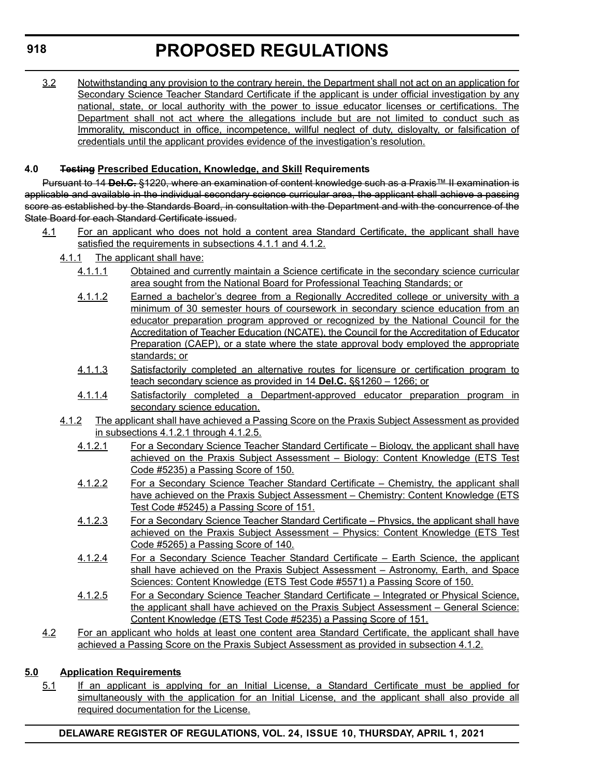3.2 Notwithstanding any provision to the contrary herein, the Department shall not act on an application for Secondary Science Teacher Standard Certificate if the applicant is under official investigation by any national, state, or local authority with the power to issue educator licenses or certifications. The Department shall not act where the allegations include but are not limited to conduct such as Immorality, misconduct in office, incompetence, willful neglect of duty, disloyalty, or falsification of credentials until the applicant provides evidence of the investigation's resolution.

#### **4.0 Testing Prescribed Education, Knowledge, and Skill Requirements**

Pursuant to 14 **Del.C.** §1220, where an examination of content knowledge such as a Praxis™ II examination is applicable and available in the individual secondary science curricular area, the applicant shall achieve a passing score as established by the Standards Board, in consultation with the Department and with the concurrence of the State Board for each Standard Certificate issued.

- 4.1 For an applicant who does not hold a content area Standard Certificate, the applicant shall have satisfied the requirements in subsections 4.1.1 and 4.1.2.
	- 4.1.1 The applicant shall have:
		- 4.1.1.1 Obtained and currently maintain a Science certificate in the secondary science curricular area sought from the National Board for Professional Teaching Standards; or
		- 4.1.1.2 Earned a bachelor's degree from a Regionally Accredited college or university with a minimum of 30 semester hours of coursework in secondary science education from an educator preparation program approved or recognized by the National Council for the Accreditation of Teacher Education (NCATE), the Council for the Accreditation of Educator Preparation (CAEP), or a state where the state approval body employed the appropriate standards; or
		- 4.1.1.3 Satisfactorily completed an alternative routes for licensure or certification program to teach secondary science as provided in 14 **Del.C.** §§1260 – 1266; or
		- 4.1.1.4 Satisfactorily completed a Department-approved educator preparation program in secondary science education.
	- 4.1.2 The applicant shall have achieved a Passing Score on the Praxis Subject Assessment as provided in subsections 4.1.2.1 through 4.1.2.5.
		- 4.1.2.1 For a Secondary Science Teacher Standard Certificate Biology, the applicant shall have achieved on the Praxis Subject Assessment – Biology: Content Knowledge (ETS Test Code #5235) a Passing Score of 150.
		- 4.1.2.2 For a Secondary Science Teacher Standard Certificate Chemistry, the applicant shall have achieved on the Praxis Subject Assessment – Chemistry: Content Knowledge (ETS Test Code #5245) a Passing Score of 151.
		- 4.1.2.3 For a Secondary Science Teacher Standard Certificate Physics, the applicant shall have achieved on the Praxis Subject Assessment – Physics: Content Knowledge (ETS Test Code #5265) a Passing Score of 140.
		- 4.1.2.4 For a Secondary Science Teacher Standard Certificate Earth Science, the applicant shall have achieved on the Praxis Subject Assessment – Astronomy, Earth, and Space Sciences: Content Knowledge (ETS Test Code #5571) a Passing Score of 150.
		- 4.1.2.5 For a Secondary Science Teacher Standard Certificate Integrated or Physical Science, the applicant shall have achieved on the Praxis Subject Assessment – General Science: Content Knowledge (ETS Test Code #5235) a Passing Score of 151.
- 4.2 For an applicant who holds at least one content area Standard Certificate, the applicant shall have achieved a Passing Score on the Praxis Subject Assessment as provided in subsection 4.1.2.

#### **5.0 Application Requirements**

5.1 If an applicant is applying for an Initial License, a Standard Certificate must be applied for simultaneously with the application for an Initial License, and the applicant shall also provide all required documentation for the License.

**DELAWARE REGISTER OF REGULATIONS, VOL. 24, ISSUE 10, THURSDAY, APRIL 1, 2021**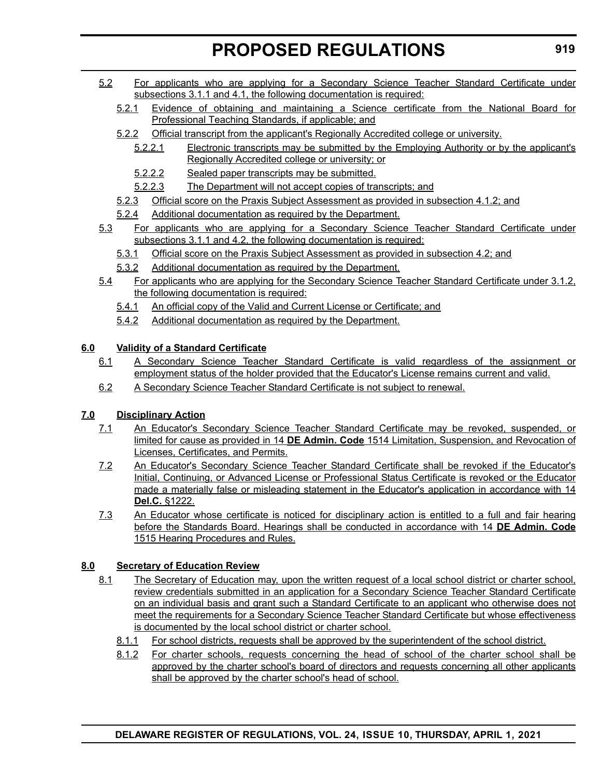- 5.2 For applicants who are applying for a Secondary Science Teacher Standard Certificate under subsections 3.1.1 and 4.1, the following documentation is required:
	- 5.2.1 Evidence of obtaining and maintaining a Science certificate from the National Board for Professional Teaching Standards, if applicable; and
	- 5.2.2 Official transcript from the applicant's Regionally Accredited college or university.
		- 5.2.2.1 Electronic transcripts may be submitted by the Employing Authority or by the applicant's Regionally Accredited college or university; or
		- 5.2.2.2 Sealed paper transcripts may be submitted.
		- 5.2.2.3 The Department will not accept copies of transcripts; and
	- 5.2.3 Official score on the Praxis Subject Assessment as provided in subsection 4.1.2; and
	- 5.2.4 Additional documentation as required by the Department.
- 5.3 For applicants who are applying for a Secondary Science Teacher Standard Certificate under subsections 3.1.1 and 4.2, the following documentation is required:
	- 5.3.1 Official score on the Praxis Subject Assessment as provided in subsection 4.2; and
	- 5.3.2 Additional documentation as required by the Department.
- 5.4 For applicants who are applying for the Secondary Science Teacher Standard Certificate under 3.1.2, the following documentation is required:
	- 5.4.1 An official copy of the Valid and Current License or Certificate; and
	- 5.4.2 Additional documentation as required by the Department.

#### **6.0 Validity of a Standard Certificate**

- 6.1 A Secondary Science Teacher Standard Certificate is valid regardless of the assignment or employment status of the holder provided that the Educator's License remains current and valid.
- 6.2 A Secondary Science Teacher Standard Certificate is not subject to renewal.

#### **7.0 Disciplinary Action**

- 7.1 An Educator's Secondary Science Teacher Standard Certificate may be revoked, suspended, or limited for cause as provided in 14 **DE Admin. Code** 1514 Limitation, Suspension, and Revocation of Licenses, Certificates, and Permits.
- 7.2 An Educator's Secondary Science Teacher Standard Certificate shall be revoked if the Educator's Initial, Continuing, or Advanced License or Professional Status Certificate is revoked or the Educator made a materially false or misleading statement in the Educator's application in accordance with 14 **Del.C.** §1222.
- 7.3 An Educator whose certificate is noticed for disciplinary action is entitled to a full and fair hearing before the Standards Board. Hearings shall be conducted in accordance with 14 **DE Admin. Code** 1515 Hearing Procedures and Rules.

#### **8.0 Secretary of Education Review**

- 8.1 The Secretary of Education may, upon the written request of a local school district or charter school, review credentials submitted in an application for a Secondary Science Teacher Standard Certificate on an individual basis and grant such a Standard Certificate to an applicant who otherwise does not meet the requirements for a Secondary Science Teacher Standard Certificate but whose effectiveness is documented by the local school district or charter school.
	- 8.1.1 For school districts, requests shall be approved by the superintendent of the school district.
	- 8.1.2 For charter schools, requests concerning the head of school of the charter school shall be approved by the charter school's board of directors and requests concerning all other applicants shall be approved by the charter school's head of school.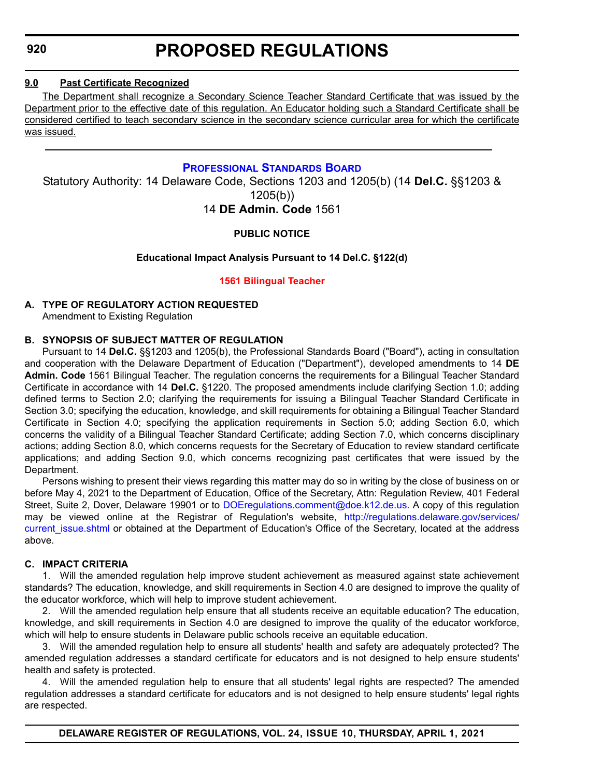#### <span id="page-27-0"></span>**9.0 Past Certificate Recognized**

The Department shall recognize a Secondary Science Teacher Standard Certificate that was issued by the Department prior to the effective date of this regulation. An Educator holding such a Standard Certificate shall be considered certified to teach secondary science in the secondary science curricular area for which the certificate was issued.

#### **[PROFESSIONAL STANDARDS BOARD](https://www.doe.k12.de.us/domain/172)**

Statutory Authority: 14 Delaware Code, Sections 1203 and 1205(b) (14 **Del.C.** §§1203 & 1205(b)) 14 **DE Admin. Code** 1561

**PUBLIC NOTICE**

#### **Educational Impact Analysis Pursuant to 14 Del.C. §122(d)**

**[1561 Bilingual Teacher](#page-3-0)**

#### **A. TYPE OF REGULATORY ACTION REQUESTED**

Amendment to Existing Regulation

#### **B. SYNOPSIS OF SUBJECT MATTER OF REGULATION**

Pursuant to 14 **Del.C.** §§1203 and 1205(b), the Professional Standards Board ("Board"), acting in consultation and cooperation with the Delaware Department of Education ("Department"), developed amendments to 14 **DE Admin. Code** 1561 Bilingual Teacher. The regulation concerns the requirements for a Bilingual Teacher Standard Certificate in accordance with 14 **Del.C.** §1220. The proposed amendments include clarifying Section 1.0; adding defined terms to Section 2.0; clarifying the requirements for issuing a Bilingual Teacher Standard Certificate in Section 3.0; specifying the education, knowledge, and skill requirements for obtaining a Bilingual Teacher Standard Certificate in Section 4.0; specifying the application requirements in Section 5.0; adding Section 6.0, which concerns the validity of a Bilingual Teacher Standard Certificate; adding Section 7.0, which concerns disciplinary actions; adding Section 8.0, which concerns requests for the Secretary of Education to review standard certificate applications; and adding Section 9.0, which concerns recognizing past certificates that were issued by the Department.

Persons wishing to present their views regarding this matter may do so in writing by the close of business on or before May 4, 2021 to the Department of Education, Office of the Secretary, Attn: Regulation Review, 401 Federal Street, Suite 2, Dover, Delaware 19901 or to [DOEregulations.comment@doe.k12.de.us.](mailto:DOEregulations.comment@doe.k12.de.us) A copy of this regulation may be viewed online at the Registrar of Regulation's website, [http://regulations.delaware.gov/services/](http://regulations.delaware.gov/services/current_issue.shtml) current issue.shtml or obtained at the Department of Education's Office of the Secretary, located at the address above.

#### **C. IMPACT CRITERIA**

1. Will the amended regulation help improve student achievement as measured against state achievement standards? The education, knowledge, and skill requirements in Section 4.0 are designed to improve the quality of the educator workforce, which will help to improve student achievement.

2. Will the amended regulation help ensure that all students receive an equitable education? The education, knowledge, and skill requirements in Section 4.0 are designed to improve the quality of the educator workforce, which will help to ensure students in Delaware public schools receive an equitable education.

3. Will the amended regulation help to ensure all students' health and safety are adequately protected? The amended regulation addresses a standard certificate for educators and is not designed to help ensure students' health and safety is protected.

4. Will the amended regulation help to ensure that all students' legal rights are respected? The amended regulation addresses a standard certificate for educators and is not designed to help ensure students' legal rights are respected.

**DELAWARE REGISTER OF REGULATIONS, VOL. 24, ISSUE 10, THURSDAY, APRIL 1, 2021**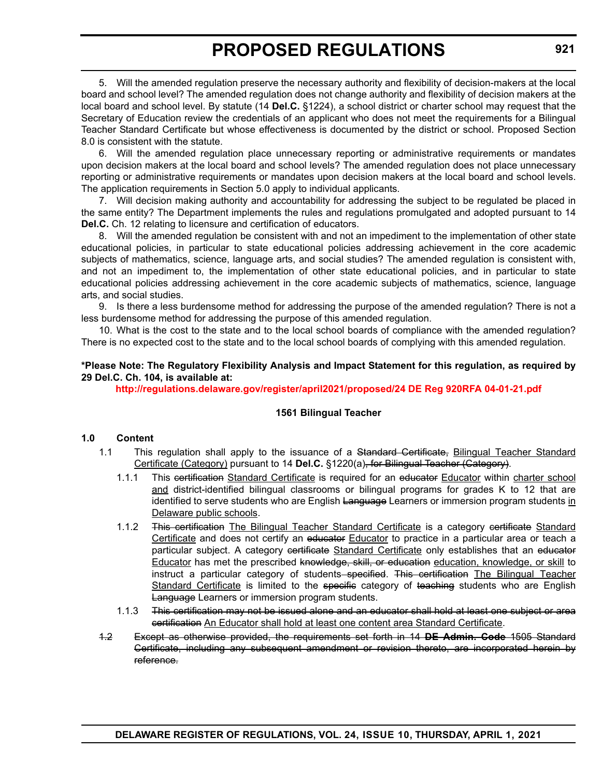5. Will the amended regulation preserve the necessary authority and flexibility of decision-makers at the local board and school level? The amended regulation does not change authority and flexibility of decision makers at the local board and school level. By statute (14 **Del.C.** §1224), a school district or charter school may request that the Secretary of Education review the credentials of an applicant who does not meet the requirements for a Bilingual Teacher Standard Certificate but whose effectiveness is documented by the district or school. Proposed Section 8.0 is consistent with the statute.

6. Will the amended regulation place unnecessary reporting or administrative requirements or mandates upon decision makers at the local board and school levels? The amended regulation does not place unnecessary reporting or administrative requirements or mandates upon decision makers at the local board and school levels. The application requirements in Section 5.0 apply to individual applicants.

7. Will decision making authority and accountability for addressing the subject to be regulated be placed in the same entity? The Department implements the rules and regulations promulgated and adopted pursuant to 14 **Del.C.** Ch. 12 relating to licensure and certification of educators.

8. Will the amended regulation be consistent with and not an impediment to the implementation of other state educational policies, in particular to state educational policies addressing achievement in the core academic subjects of mathematics, science, language arts, and social studies? The amended regulation is consistent with, and not an impediment to, the implementation of other state educational policies, and in particular to state educational policies addressing achievement in the core academic subjects of mathematics, science, language arts, and social studies.

9. Is there a less burdensome method for addressing the purpose of the amended regulation? There is not a less burdensome method for addressing the purpose of this amended regulation.

10. What is the cost to the state and to the local school boards of compliance with the amended regulation? There is no expected cost to the state and to the local school boards of complying with this amended regulation.

#### **\*Please Note: The Regulatory Flexibility Analysis and Impact Statement for this regulation, as required by 29 Del.C. Ch. 104, is available at:**

**<http://regulations.delaware.gov/register/april2021/proposed/24 DE Reg 920RFA 04-01-21.pdf>**

#### **1561 Bilingual Teacher**

#### **1.0 Content**

- 1.1 This regulation shall apply to the issuance of a Standard Certificate, Bilingual Teacher Standard Certificate (Category) pursuant to 14 **Del.C.** §1220(a), for Bilingual Teacher (Category).
	- 1.1.1 This eertification Standard Certificate is required for an educator Educator within charter school and district-identified bilingual classrooms or bilingual programs for grades K to 12 that are identified to serve students who are English Language Learners or immersion program students in Delaware public schools.
	- 1.1.2 This certification The Bilingual Teacher Standard Certificate is a category certificate Standard Certificate and does not certify an educator Educator to practice in a particular area or teach a particular subject. A category certificate Standard Certificate only establishes that an educator Educator has met the prescribed knowledge, skill, or education education, knowledge, or skill to instruct a particular category of students–specified. This certification The Bilingual Teacher Standard Certificate is limited to the specific category of teaching students who are English Language Learners or immersion program students.
	- 1.1.3 This certification may not be issued alone and an educator shall hold at least one subject or area certification An Educator shall hold at least one content area Standard Certificate.
- 1.2 Except as otherwise provided, the requirements set forth in 14 **DE Admin. Code** 1505 Standard Certificate, including any subsequent amendment or revision thereto, are incorporated herein by reference.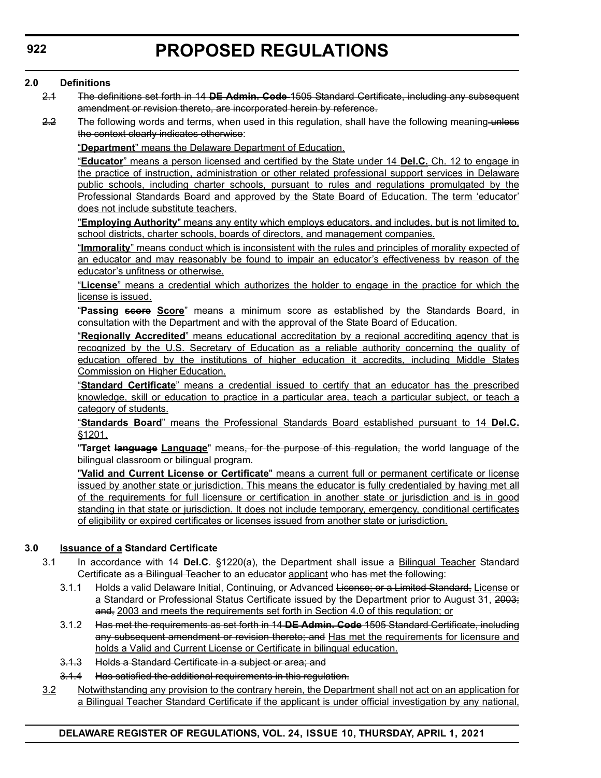#### **2.0 Definitions**

- 2.1 The definitions set forth in 14 **DE Admin. Code** 1505 Standard Certificate, including any subsequent amendment or revision thereto, are incorporated herein by reference.
- 2.2 The following words and terms, when used in this regulation, shall have the following meaning unless the context clearly indicates otherwise:

"**Department**" means the Delaware Department of Education.

"**Educator**" means a person licensed and certified by the State under 14 **Del.C.** Ch. 12 to engage in the practice of instruction, administration or other related professional support services in Delaware public schools, including charter schools, pursuant to rules and regulations promulgated by the Professional Standards Board and approved by the State Board of Education. The term 'educator' does not include substitute teachers.

"**Employing Authority**" means any entity which employs educators, and includes, but is not limited to, school districts, charter schools, boards of directors, and management companies.

"**Immorality**" means conduct which is inconsistent with the rules and principles of morality expected of an educator and may reasonably be found to impair an educator's effectiveness by reason of the educator's unfitness or otherwise.

"**License**" means a credential which authorizes the holder to engage in the practice for which the license is issued.

"**Passing score Score**" means a minimum score as established by the Standards Board, in consultation with the Department and with the approval of the State Board of Education.

"**Regionally Accredited**" means educational accreditation by a regional accrediting agency that is recognized by the U.S. Secretary of Education as a reliable authority concerning the quality of education offered by the institutions of higher education it accredits, including Middle States Commission on Higher Education.

"**Standard Certificate**" means a credential issued to certify that an educator has the prescribed knowledge, skill or education to practice in a particular area, teach a particular subject, or teach a category of students.

"**Standards Board**" means the Professional Standards Board established pursuant to 14 **Del.C.** §1201.

"**Target language Language**" means, for the purpose of this regulation, the world language of the bilingual classroom or bilingual program.

"**Valid and Current License or Certificate**" means a current full or permanent certificate or license issued by another state or jurisdiction. This means the educator is fully credentialed by having met all of the requirements for full licensure or certification in another state or jurisdiction and is in good standing in that state or jurisdiction. It does not include temporary, emergency, conditional certificates of eligibility or expired certificates or licenses issued from another state or jurisdiction.

#### **3.0 Issuance of a Standard Certificate**

- 3.1 In accordance with 14 **Del.C**. §1220(a), the Department shall issue a Bilingual Teacher Standard Certificate as a Bilingual Teacher to an educator applicant who has met the following:
	- 3.1.1 Holds a valid Delaware Initial, Continuing, or Advanced License; or a Limited Standard, License or a Standard or Professional Status Certificate issued by the Department prior to August 31, 2003; and, 2003 and meets the requirements set forth in Section 4.0 of this regulation; or
	- 3.1.2 Has met the requirements as set forth in 14 **DE Admin. Code** 1505 Standard Certificate, including any subsequent amendment or revision thereto; and Has met the requirements for licensure and holds a Valid and Current License or Certificate in bilingual education.
	- 3.1.3 Holds a Standard Certificate in a subject or area; and
	- 3.1.4 Has satisfied the additional requirements in this regulation.
- 3.2 Notwithstanding any provision to the contrary herein, the Department shall not act on an application for a Bilingual Teacher Standard Certificate if the applicant is under official investigation by any national,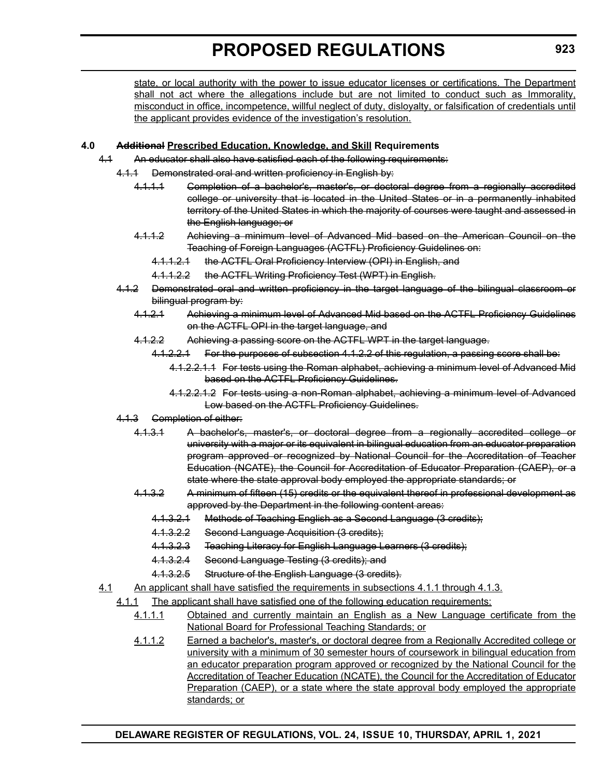state, or local authority with the power to issue educator licenses or certifications. The Department shall not act where the allegations include but are not limited to conduct such as Immorality, misconduct in office, incompetence, willful neglect of duty, disloyalty, or falsification of credentials until the applicant provides evidence of the investigation's resolution.

#### **4.0 Additional Prescribed Education, Knowledge, and Skill Requirements**

- 4.1 An educator shall also have satisfied each of the following requirements:
	- 4.1.1 Demonstrated oral and written proficiency in English by:
		- 4.1.1.1 Completion of a bachelor's, master's, or doctoral degree from a regionally accredited college or university that is located in the United States or in a permanently inhabited territory of the United States in which the majority of courses were taught and assessed in the English language; or
		- 4.1.1.2 Achieving a minimum level of Advanced Mid based on the American Council on the Teaching of Foreign Languages (ACTFL) Proficiency Guidelines on:
			- 4.1.1.2.1 the ACTFL Oral Proficiency Interview (OPI) in English, and
			- 4.1.1.2.2 the ACTFL Writing Proficiency Test (WPT) in English.
	- 4.1.2 Demonstrated oral and written proficiency in the target language of the bilingual classroom or bilingual program by:
		- 4.1.2.1 Achieving a minimum level of Advanced Mid based on the ACTFL Proficiency Guidelines on the ACTFL OPI in the target language, and
		- 4.1.2.2 Achieving a passing score on the ACTFL WPT in the target language.
			- 4.1.2.2.1 For the purposes of subsection 4.1.2.2 of this regulation, a passing score shall be:
				- 4.1.2.2.1.1 For tests using the Roman alphabet, achieving a minimum level of Advanced Mid based on the ACTFL Proficiency Guidelines.
				- 4.1.2.2.1.2 For tests using a non-Roman alphabet, achieving a minimum level of Advanced Low based on the ACTFL Proficiency Guidelines.
	- 4.1.3 Completion of either:
		- 4.1.3.1 A bachelor's, master's, or doctoral degree from a regionally accredited college or university with a major or its equivalent in bilingual education from an educator preparation program approved or recognized by National Council for the Accreditation of Teacher Education (NCATE), the Council for Accreditation of Educator Preparation (CAEP), or a state where the state approval body employed the appropriate standards; or
		- 4.1.3.2 A minimum of fifteen (15) credits or the equivalent thereof in professional development as approved by the Department in the following content areas:
			- 4.1.3.2.1 Methods of Teaching English as a Second Language (3 credits);
			- 4.1.3.2.2 Second Language Acquisition (3 credits);
			- 4.1.3.2.3 Teaching Literacy for English Language Learners (3 credits);
			- 4.1.3.2.4 Second Language Testing (3 credits); and
			- 4.1.3.2.5 Structure of the English Language (3 credits).
- 4.1 An applicant shall have satisfied the requirements in subsections 4.1.1 through 4.1.3.
	- 4.1.1 The applicant shall have satisfied one of the following education requirements:
		- 4.1.1.1 Obtained and currently maintain an English as a New Language certificate from the National Board for Professional Teaching Standards; or
		- 4.1.1.2 Earned a bachelor's, master's, or doctoral degree from a Regionally Accredited college or university with a minimum of 30 semester hours of coursework in bilingual education from an educator preparation program approved or recognized by the National Council for the Accreditation of Teacher Education (NCATE), the Council for the Accreditation of Educator Preparation (CAEP), or a state where the state approval body employed the appropriate standards; or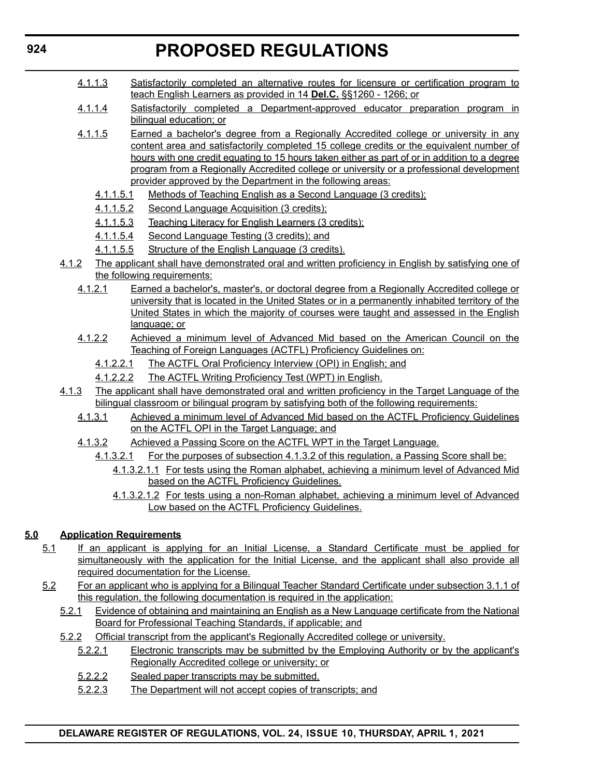- 4.1.1.3 Satisfactorily completed an alternative routes for licensure or certification program to teach English Learners as provided in 14 **Del.C.** §§1260 - 1266; or
- 4.1.1.4 Satisfactorily completed a Department-approved educator preparation program in bilingual education; or
- 4.1.1.5 Earned a bachelor's degree from a Regionally Accredited college or university in any content area and satisfactorily completed 15 college credits or the equivalent number of hours with one credit equating to 15 hours taken either as part of or in addition to a degree program from a Regionally Accredited college or university or a professional development provider approved by the Department in the following areas:
	- 4.1.1.5.1 Methods of Teaching English as a Second Language (3 credits);
	- 4.1.1.5.2 Second Language Acquisition (3 credits);
	- 4.1.1.5.3 Teaching Literacy for English Learners (3 credits);
	- 4.1.1.5.4 Second Language Testing (3 credits); and
	- 4.1.1.5.5 Structure of the English Language (3 credits).
- 4.1.2 The applicant shall have demonstrated oral and written proficiency in English by satisfying one of the following requirements:
	- 4.1.2.1 Earned a bachelor's, master's, or doctoral degree from a Regionally Accredited college or university that is located in the United States or in a permanently inhabited territory of the United States in which the majority of courses were taught and assessed in the English language; or
	- 4.1.2.2 Achieved a minimum level of Advanced Mid based on the American Council on the Teaching of Foreign Languages (ACTFL) Proficiency Guidelines on:
		- 4.1.2.2.1 The ACTFL Oral Proficiency Interview (OPI) in English; and
		- 4.1.2.2.2 The ACTFL Writing Proficiency Test (WPT) in English.
- 4.1.3 The applicant shall have demonstrated oral and written proficiency in the Target Language of the bilingual classroom or bilingual program by satisfying both of the following requirements:
	- 4.1.3.1 Achieved a minimum level of Advanced Mid based on the ACTFL Proficiency Guidelines on the ACTFL OPI in the Target Language; and
	- 4.1.3.2 Achieved a Passing Score on the ACTFL WPT in the Target Language.
		- 4.1.3.2.1 For the purposes of subsection 4.1.3.2 of this regulation, a Passing Score shall be:
			- 4.1.3.2.1.1 For tests using the Roman alphabet, achieving a minimum level of Advanced Mid based on the ACTFL Proficiency Guidelines.
			- 4.1.3.2.1.2 For tests using a non-Roman alphabet, achieving a minimum level of Advanced Low based on the ACTFL Proficiency Guidelines.

#### **5.0 Application Requirements**

- 5.1 If an applicant is applying for an Initial License, a Standard Certificate must be applied for simultaneously with the application for the Initial License, and the applicant shall also provide all required documentation for the License.
- 5.2 For an applicant who is applying for a Bilingual Teacher Standard Certificate under subsection 3.1.1 of this regulation, the following documentation is required in the application:
	- 5.2.1 Evidence of obtaining and maintaining an English as a New Language certificate from the National Board for Professional Teaching Standards, if applicable; and
	- 5.2.2 Official transcript from the applicant's Regionally Accredited college or university.
		- 5.2.2.1 Electronic transcripts may be submitted by the Employing Authority or by the applicant's Regionally Accredited college or university; or
		- 5.2.2.2 Sealed paper transcripts may be submitted.
		- 5.2.2.3 The Department will not accept copies of transcripts; and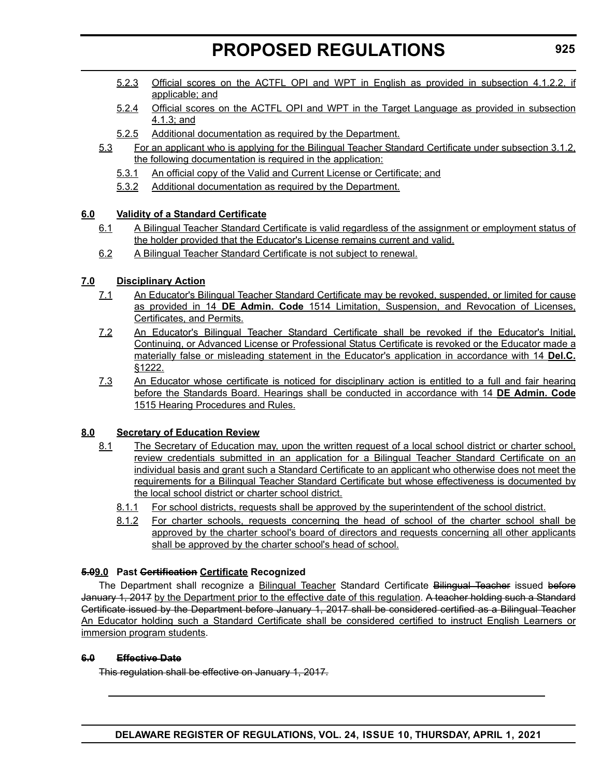- 5.2.3 Official scores on the ACTFL OPI and WPT in English as provided in subsection 4.1.2.2, if applicable; and
- 5.2.4 Official scores on the ACTFL OPI and WPT in the Target Language as provided in subsection 4.1.3; and
- 5.2.5 Additional documentation as required by the Department.
- 5.3 For an applicant who is applying for the Bilingual Teacher Standard Certificate under subsection 3.1.2, the following documentation is required in the application:
	- 5.3.1 An official copy of the Valid and Current License or Certificate; and
	- 5.3.2 Additional documentation as required by the Department.

#### **6.0 Validity of a Standard Certificate**

- 6.1 A Bilingual Teacher Standard Certificate is valid regardless of the assignment or employment status of the holder provided that the Educator's License remains current and valid.
- 6.2 A Bilingual Teacher Standard Certificate is not subject to renewal.

#### **7.0 Disciplinary Action**

- 7.1 An Educator's Bilingual Teacher Standard Certificate may be revoked, suspended, or limited for cause as provided in 14 **DE Admin. Code** 1514 Limitation, Suspension, and Revocation of Licenses, Certificates, and Permits.
- 7.2 An Educator's Bilingual Teacher Standard Certificate shall be revoked if the Educator's Initial, Continuing, or Advanced License or Professional Status Certificate is revoked or the Educator made a materially false or misleading statement in the Educator's application in accordance with 14 **Del.C.** §1222.
- 7.3 An Educator whose certificate is noticed for disciplinary action is entitled to a full and fair hearing before the Standards Board. Hearings shall be conducted in accordance with 14 **DE Admin. Code** 1515 Hearing Procedures and Rules.

#### **8.0 Secretary of Education Review**

- 8.1 The Secretary of Education may, upon the written request of a local school district or charter school, review credentials submitted in an application for a Bilingual Teacher Standard Certificate on an individual basis and grant such a Standard Certificate to an applicant who otherwise does not meet the requirements for a Bilingual Teacher Standard Certificate but whose effectiveness is documented by the local school district or charter school district.
	- 8.1.1 For school districts, requests shall be approved by the superintendent of the school district.
	- 8.1.2 For charter schools, requests concerning the head of school of the charter school shall be approved by the charter school's board of directors and requests concerning all other applicants shall be approved by the charter school's head of school.

#### **5.09.0 Past Certification Certificate Recognized**

The Department shall recognize a Bilingual Teacher Standard Certificate Bilingual Teacher issued before January 1, 2017 by the Department prior to the effective date of this regulation. A teacher holding such a Standard Certificate issued by the Department before January 1, 2017 shall be considered certified as a Bilingual Teacher An Educator holding such a Standard Certificate shall be considered certified to instruct English Learners or immersion program students.

#### **6.0 Effective Date**

This regulation shall be effective on January 1, 2017.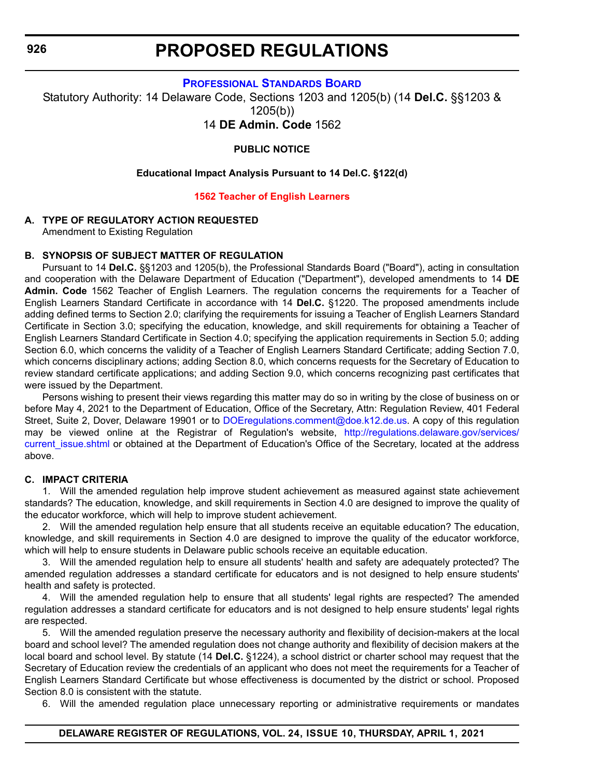**[PROFESSIONAL STANDARDS BOARD](https://www.doe.k12.de.us/domain/172)**

<span id="page-33-0"></span>Statutory Authority: 14 Delaware Code, Sections 1203 and 1205(b) (14 **Del.C.** §§1203 & 1205(b))

14 **DE Admin. Code** 1562

**PUBLIC NOTICE**

#### **Educational Impact Analysis Pursuant to 14 Del.C. §122(d)**

#### **[1562 Teacher of English Learners](#page-3-0)**

#### **A. TYPE OF REGULATORY ACTION REQUESTED**

Amendment to Existing Regulation

#### **B. SYNOPSIS OF SUBJECT MATTER OF REGULATION**

Pursuant to 14 **Del.C.** §§1203 and 1205(b), the Professional Standards Board ("Board"), acting in consultation and cooperation with the Delaware Department of Education ("Department"), developed amendments to 14 **DE Admin. Code** 1562 Teacher of English Learners. The regulation concerns the requirements for a Teacher of English Learners Standard Certificate in accordance with 14 **Del.C.** §1220. The proposed amendments include adding defined terms to Section 2.0; clarifying the requirements for issuing a Teacher of English Learners Standard Certificate in Section 3.0; specifying the education, knowledge, and skill requirements for obtaining a Teacher of English Learners Standard Certificate in Section 4.0; specifying the application requirements in Section 5.0; adding Section 6.0, which concerns the validity of a Teacher of English Learners Standard Certificate; adding Section 7.0, which concerns disciplinary actions; adding Section 8.0, which concerns requests for the Secretary of Education to review standard certificate applications; and adding Section 9.0, which concerns recognizing past certificates that were issued by the Department.

Persons wishing to present their views regarding this matter may do so in writing by the close of business on or before May 4, 2021 to the Department of Education, Office of the Secretary, Attn: Regulation Review, 401 Federal Street, Suite 2, Dover, Delaware 19901 or to [DOEregulations.comment@doe.k12.de.us.](mailto:DOEregulations.comment@doe.k12.de.us) A copy of this regulation may be viewed online at the Registrar of Regulation's website, [http://regulations.delaware.gov/services/](http://regulations.delaware.gov/services/current_issue.shtml) current issue.shtml or obtained at the Department of Education's Office of the Secretary, located at the address above.

#### **C. IMPACT CRITERIA**

1. Will the amended regulation help improve student achievement as measured against state achievement standards? The education, knowledge, and skill requirements in Section 4.0 are designed to improve the quality of the educator workforce, which will help to improve student achievement.

2. Will the amended regulation help ensure that all students receive an equitable education? The education, knowledge, and skill requirements in Section 4.0 are designed to improve the quality of the educator workforce, which will help to ensure students in Delaware public schools receive an equitable education.

3. Will the amended regulation help to ensure all students' health and safety are adequately protected? The amended regulation addresses a standard certificate for educators and is not designed to help ensure students' health and safety is protected.

4. Will the amended regulation help to ensure that all students' legal rights are respected? The amended regulation addresses a standard certificate for educators and is not designed to help ensure students' legal rights are respected.

5. Will the amended regulation preserve the necessary authority and flexibility of decision-makers at the local board and school level? The amended regulation does not change authority and flexibility of decision makers at the local board and school level. By statute (14 **Del.C.** §1224), a school district or charter school may request that the Secretary of Education review the credentials of an applicant who does not meet the requirements for a Teacher of English Learners Standard Certificate but whose effectiveness is documented by the district or school. Proposed Section 8.0 is consistent with the statute.

6. Will the amended regulation place unnecessary reporting or administrative requirements or mandates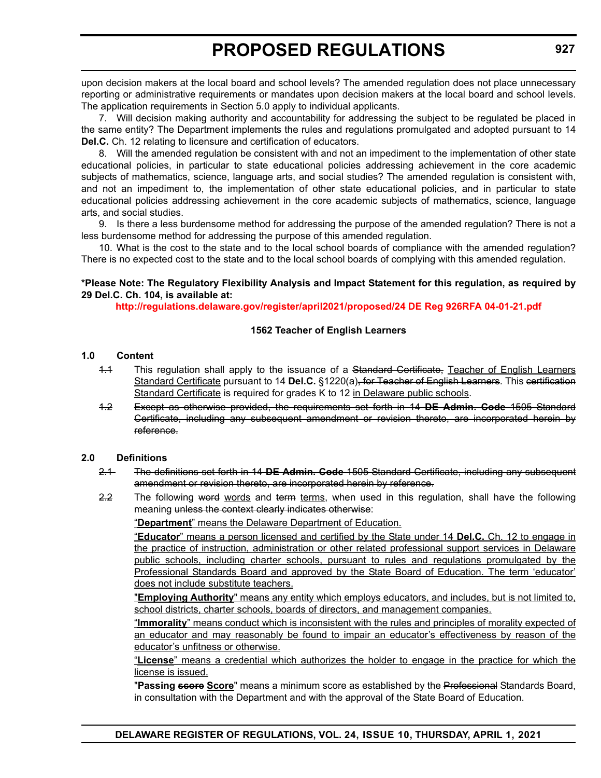upon decision makers at the local board and school levels? The amended regulation does not place unnecessary reporting or administrative requirements or mandates upon decision makers at the local board and school levels. The application requirements in Section 5.0 apply to individual applicants.

7. Will decision making authority and accountability for addressing the subject to be regulated be placed in the same entity? The Department implements the rules and regulations promulgated and adopted pursuant to 14 **Del.C.** Ch. 12 relating to licensure and certification of educators.

8. Will the amended regulation be consistent with and not an impediment to the implementation of other state educational policies, in particular to state educational policies addressing achievement in the core academic subjects of mathematics, science, language arts, and social studies? The amended regulation is consistent with, and not an impediment to, the implementation of other state educational policies, and in particular to state educational policies addressing achievement in the core academic subjects of mathematics, science, language arts, and social studies.

9. Is there a less burdensome method for addressing the purpose of the amended regulation? There is not a less burdensome method for addressing the purpose of this amended regulation.

10. What is the cost to the state and to the local school boards of compliance with the amended regulation? There is no expected cost to the state and to the local school boards of complying with this amended regulation.

#### **\*Please Note: The Regulatory Flexibility Analysis and Impact Statement for this regulation, as required by 29 Del.C. Ch. 104, is available at:**

**<http://regulations.delaware.gov/register/april2021/proposed/24 DE Reg 926RFA 04-01-21.pdf>**

#### **1562 Teacher of English Learners**

#### **1.0 Content**

- 1.1 This regulation shall apply to the issuance of a Standard Certificate, Teacher of English Learners Standard Certificate pursuant to 14 **Del.C.** §1220(a), for Teacher of English Learners. This certification Standard Certificate is required for grades K to 12 in Delaware public schools.
- 1.2 Except as otherwise provided, the requirements set forth in 14 **DE Admin. Code** 1505 Standard Certificate, including any subsequent amendment or revision thereto, are incorporated herein by reference.

#### **2.0 Definitions**

- 2.1 The definitions set forth in 14 **DE Admin. Code** 1505 Standard Certificate, including any subsequent amendment or revision thereto, are incorporated herein by reference.
- 2.2 The following word words and term terms, when used in this regulation, shall have the following meaning unless the context clearly indicates otherwise:

"**Department**" means the Delaware Department of Education.

"**Educator**" means a person licensed and certified by the State under 14 **Del.C.** Ch. 12 to engage in the practice of instruction, administration or other related professional support services in Delaware public schools, including charter schools, pursuant to rules and regulations promulgated by the Professional Standards Board and approved by the State Board of Education. The term 'educator' does not include substitute teachers.

"**Employing Authority**" means any entity which employs educators, and includes, but is not limited to, school districts, charter schools, boards of directors, and management companies.

"**Immorality**" means conduct which is inconsistent with the rules and principles of morality expected of an educator and may reasonably be found to impair an educator's effectiveness by reason of the educator's unfitness or otherwise.

"**License**" means a credential which authorizes the holder to engage in the practice for which the license is issued.

"**Passing score Score**" means a minimum score as established by the Professional Standards Board, in consultation with the Department and with the approval of the State Board of Education.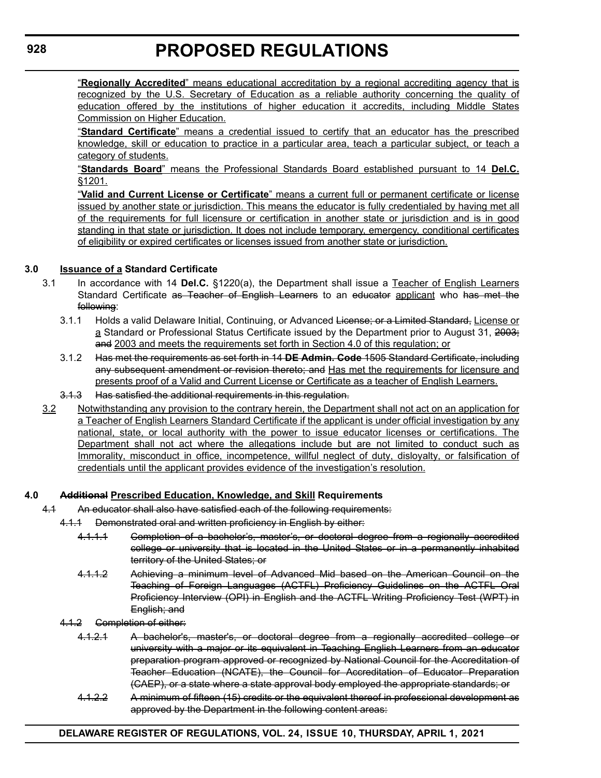"**Regionally Accredited**" means educational accreditation by a regional accrediting agency that is recognized by the U.S. Secretary of Education as a reliable authority concerning the quality of education offered by the institutions of higher education it accredits, including Middle States Commission on Higher Education.

"**Standard Certificate**" means a credential issued to certify that an educator has the prescribed knowledge, skill or education to practice in a particular area, teach a particular subject, or teach a category of students.

"**Standards Board**" means the Professional Standards Board established pursuant to 14 **Del.C.** §1201.

"**Valid and Current License or Certificate**" means a current full or permanent certificate or license issued by another state or jurisdiction. This means the educator is fully credentialed by having met all of the requirements for full licensure or certification in another state or jurisdiction and is in good standing in that state or jurisdiction. It does not include temporary, emergency, conditional certificates of eligibility or expired certificates or licenses issued from another state or jurisdiction.

#### **3.0 Issuance of a Standard Certificate**

- 3.1 In accordance with 14 **Del.C.** §1220(a), the Department shall issue a Teacher of English Learners Standard Certificate as Teacher of English Learners to an educator applicant who has met the following:
	- 3.1.1 Holds a valid Delaware Initial, Continuing, or Advanced License; or a Limited Standard, License or a Standard or Professional Status Certificate issued by the Department prior to August 31, 2003; and 2003 and meets the requirements set forth in Section 4.0 of this regulation; or
	- 3.1.2 Has met the requirements as set forth in 14 **DE Admin. Code** 1505 Standard Certificate, including any subsequent amendment or revision thereto; and Has met the requirements for licensure and presents proof of a Valid and Current License or Certificate as a teacher of English Learners.
	- 3.1.3 Has satisfied the additional requirements in this regulation.
- 3.2 Notwithstanding any provision to the contrary herein, the Department shall not act on an application for a Teacher of English Learners Standard Certificate if the applicant is under official investigation by any national, state, or local authority with the power to issue educator licenses or certifications. The Department shall not act where the allegations include but are not limited to conduct such as Immorality, misconduct in office, incompetence, willful neglect of duty, disloyalty, or falsification of credentials until the applicant provides evidence of the investigation's resolution.

#### **4.0 Additional Prescribed Education, Knowledge, and Skill Requirements**

- 4.1 An educator shall also have satisfied each of the following requirements:
	- 4.1.1 Demonstrated oral and written proficiency in English by either:
		- 4.1.1.1 Completion of a bachelor's, master's, or doctoral degree from a regionally accredited college or university that is located in the United States or in a permanently inhabited territory of the United States; or
		- 4.1.1.2 Achieving a minimum level of Advanced Mid based on the American Council on the Teaching of Foreign Languages (ACTFL) Proficiency Guidelines on the ACTFL Oral Proficiency Interview (OPI) in English and the ACTFL Writing Proficiency Test (WPT) in English; and
	- 4.1.2 Completion of either:
		- 4.1.2.1 A bachelor's, master's, or doctoral degree from a regionally accredited college or university with a major or its equivalent in Teaching English Learners from an educator preparation program approved or recognized by National Council for the Accreditation of Teacher Education (NCATE), the Council for Accreditation of Educator Preparation (CAEP), or a state where a state approval body employed the appropriate standards; or
		- 4.1.2.2 A minimum of fifteen (15) credits or the equivalent thereof in professional development as approved by the Department in the following content areas:

#### **DELAWARE REGISTER OF REGULATIONS, VOL. 24, ISSUE 10, THURSDAY, APRIL 1, 2021**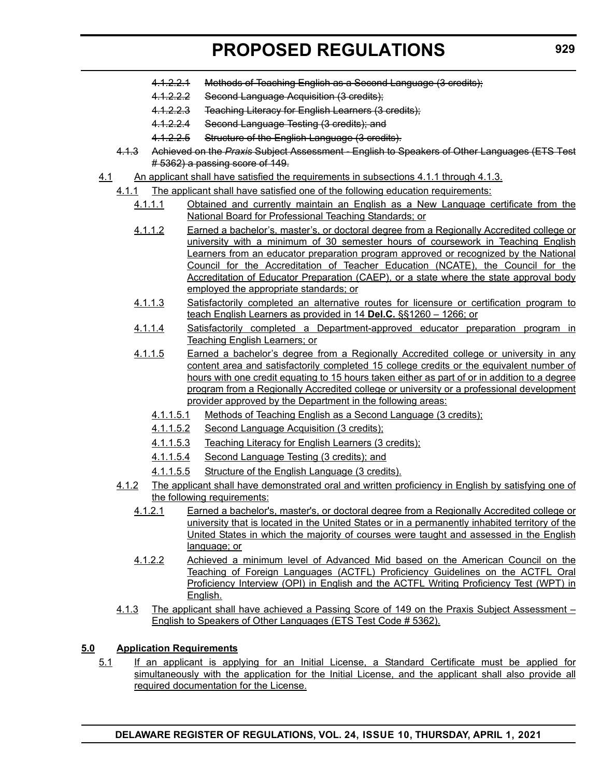- 4.1.2.2.1 Methods of Teaching English as a Second Language (3 credits);
- 4.1.2.2.2 Second Language Acquisition (3 credits);
- 4.1.2.2.3 Teaching Literacy for English Learners (3 credits);
- 4.1.2.2.4 Second Language Testing (3 credits); and
- 4.1.2.2.5 Structure of the English Language (3 credits).
- 4.1.3 Achieved on the *Praxis* Subject Assessment English to Speakers of Other Languages (ETS Test # 5362) a passing score of 149.
- 4.1 An applicant shall have satisfied the requirements in subsections 4.1.1 through 4.1.3.
	- 4.1.1 The applicant shall have satisfied one of the following education requirements:
		- 4.1.1.1 Obtained and currently maintain an English as a New Language certificate from the National Board for Professional Teaching Standards; or
		- 4.1.1.2 Earned a bachelor's, master's, or doctoral degree from a Regionally Accredited college or university with a minimum of 30 semester hours of coursework in Teaching English Learners from an educator preparation program approved or recognized by the National Council for the Accreditation of Teacher Education (NCATE), the Council for the Accreditation of Educator Preparation (CAEP), or a state where the state approval body employed the appropriate standards; or
		- 4.1.1.3 Satisfactorily completed an alternative routes for licensure or certification program to teach English Learners as provided in 14 **Del.C.** §§1260 – 1266; or
		- 4.1.1.4 Satisfactorily completed a Department-approved educator preparation program in Teaching English Learners; or
		- 4.1.1.5 Earned a bachelor's degree from a Regionally Accredited college or university in any content area and satisfactorily completed 15 college credits or the equivalent number of hours with one credit equating to 15 hours taken either as part of or in addition to a degree program from a Regionally Accredited college or university or a professional development provider approved by the Department in the following areas:
			- 4.1.1.5.1 Methods of Teaching English as a Second Language (3 credits);
			- 4.1.1.5.2 Second Language Acquisition (3 credits);
			- 4.1.1.5.3 Teaching Literacy for English Learners (3 credits);
			- 4.1.1.5.4 Second Language Testing (3 credits); and
			- 4.1.1.5.5 Structure of the English Language (3 credits).
	- 4.1.2 The applicant shall have demonstrated oral and written proficiency in English by satisfying one of the following requirements:
		- 4.1.2.1 Earned a bachelor's, master's, or doctoral degree from a Regionally Accredited college or university that is located in the United States or in a permanently inhabited territory of the United States in which the majority of courses were taught and assessed in the English language; or
		- 4.1.2.2 Achieved a minimum level of Advanced Mid based on the American Council on the Teaching of Foreign Languages (ACTFL) Proficiency Guidelines on the ACTFL Oral Proficiency Interview (OPI) in English and the ACTFL Writing Proficiency Test (WPT) in English.
	- 4.1.3 The applicant shall have achieved a Passing Score of 149 on the Praxis Subject Assessment English to Speakers of Other Languages (ETS Test Code # 5362).

#### **5.0 Application Requirements**

5.1 If an applicant is applying for an Initial License, a Standard Certificate must be applied for simultaneously with the application for the Initial License, and the applicant shall also provide all required documentation for the License.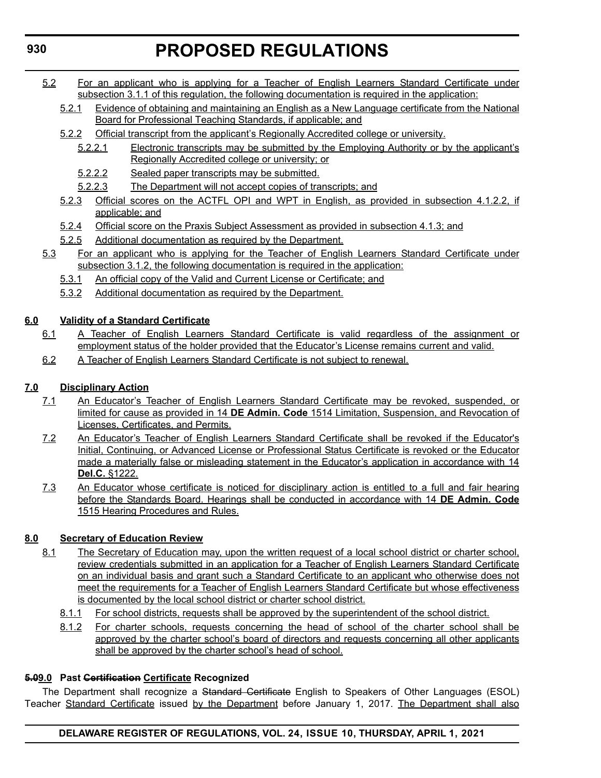- 5.2 For an applicant who is applying for a Teacher of English Learners Standard Certificate under subsection 3.1.1 of this regulation, the following documentation is required in the application:
	- 5.2.1 Evidence of obtaining and maintaining an English as a New Language certificate from the National Board for Professional Teaching Standards, if applicable; and
	- 5.2.2 Official transcript from the applicant's Regionally Accredited college or university.
		- 5.2.2.1 Electronic transcripts may be submitted by the Employing Authority or by the applicant's Regionally Accredited college or university; or
		- 5.2.2.2 Sealed paper transcripts may be submitted.
		- 5.2.2.3 The Department will not accept copies of transcripts; and
	- 5.2.3 Official scores on the ACTFL OPI and WPT in English, as provided in subsection 4.1.2.2, if applicable; and
	- 5.2.4 Official score on the Praxis Subject Assessment as provided in subsection 4.1.3; and
	- 5.2.5 Additional documentation as required by the Department.
- 5.3 For an applicant who is applying for the Teacher of English Learners Standard Certificate under subsection 3.1.2, the following documentation is required in the application:
	- 5.3.1 An official copy of the Valid and Current License or Certificate; and
	- 5.3.2 Additional documentation as required by the Department.

#### **6.0 Validity of a Standard Certificate**

- 6.1 A Teacher of English Learners Standard Certificate is valid regardless of the assignment or employment status of the holder provided that the Educator's License remains current and valid.
- 6.2 A Teacher of English Learners Standard Certificate is not subject to renewal.

#### **7.0 Disciplinary Action**

- 7.1 An Educator's Teacher of English Learners Standard Certificate may be revoked, suspended, or limited for cause as provided in 14 **DE Admin. Code** 1514 Limitation, Suspension, and Revocation of Licenses, Certificates, and Permits.
- 7.2 An Educator's Teacher of English Learners Standard Certificate shall be revoked if the Educator's Initial, Continuing, or Advanced License or Professional Status Certificate is revoked or the Educator made a materially false or misleading statement in the Educator's application in accordance with 14 **Del.C.** §1222.
- 7.3 An Educator whose certificate is noticed for disciplinary action is entitled to a full and fair hearing before the Standards Board. Hearings shall be conducted in accordance with 14 **DE Admin. Code** 1515 Hearing Procedures and Rules.

#### **8.0 Secretary of Education Review**

- 8.1 The Secretary of Education may, upon the written request of a local school district or charter school, review credentials submitted in an application for a Teacher of English Learners Standard Certificate on an individual basis and grant such a Standard Certificate to an applicant who otherwise does not meet the requirements for a Teacher of English Learners Standard Certificate but whose effectiveness is documented by the local school district or charter school district.
	- 8.1.1 For school districts, requests shall be approved by the superintendent of the school district.
	- 8.1.2 For charter schools, requests concerning the head of school of the charter school shall be approved by the charter school's board of directors and requests concerning all other applicants shall be approved by the charter school's head of school.

#### **5.09.0 Past Certification Certificate Recognized**

The Department shall recognize a Standard Certificate English to Speakers of Other Languages (ESOL) Teacher Standard Certificate issued by the Department before January 1, 2017. The Department shall also

#### **DELAWARE REGISTER OF REGULATIONS, VOL. 24, ISSUE 10, THURSDAY, APRIL 1, 2021**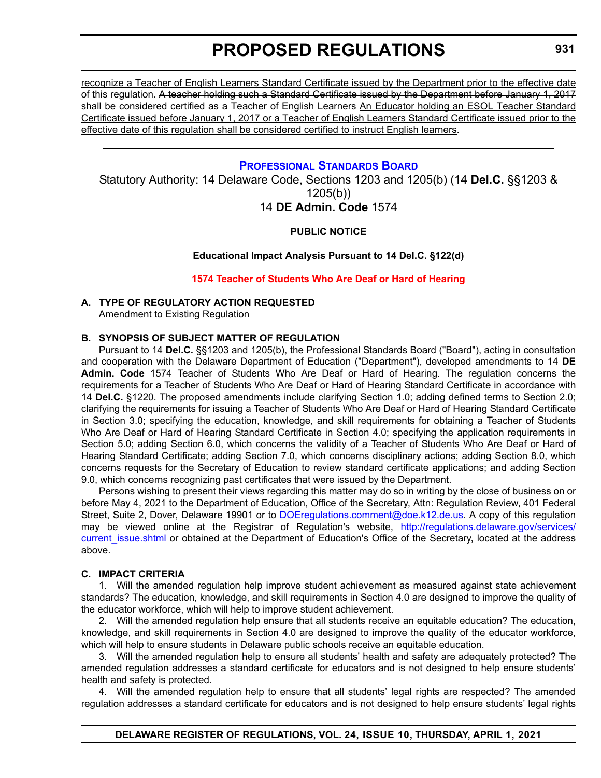<span id="page-38-0"></span>recognize a Teacher of English Learners Standard Certificate issued by the Department prior to the effective date of this regulation. A teacher holding such a Standard Certificate issued by the Department before January 1, 2017 shall be considered certified as a Teacher of English Learners An Educator holding an ESOL Teacher Standard Certificate issued before January 1, 2017 or a Teacher of English Learners Standard Certificate issued prior to the effective date of this regulation shall be considered certified to instruct English learners.

#### **[PROFESSIONAL STANDARDS BOARD](https://www.doe.k12.de.us/domain/172)**

Statutory Authority: 14 Delaware Code, Sections 1203 and 1205(b) (14 **Del.C.** §§1203 & 1205(b))

#### 14 **DE Admin. Code** 1574

#### **PUBLIC NOTICE**

#### **Educational Impact Analysis Pursuant to 14 Del.C. §122(d)**

#### **[1574 Teacher of Students Who Are Deaf or Hard of Hearing](#page-3-0)**

#### **A. TYPE OF REGULATORY ACTION REQUESTED**

Amendment to Existing Regulation

#### **B. SYNOPSIS OF SUBJECT MATTER OF REGULATION**

Pursuant to 14 **Del.C.** §§1203 and 1205(b), the Professional Standards Board ("Board"), acting in consultation and cooperation with the Delaware Department of Education ("Department"), developed amendments to 14 **DE Admin. Code** 1574 Teacher of Students Who Are Deaf or Hard of Hearing. The regulation concerns the requirements for a Teacher of Students Who Are Deaf or Hard of Hearing Standard Certificate in accordance with 14 **Del.C.** §1220. The proposed amendments include clarifying Section 1.0; adding defined terms to Section 2.0; clarifying the requirements for issuing a Teacher of Students Who Are Deaf or Hard of Hearing Standard Certificate in Section 3.0; specifying the education, knowledge, and skill requirements for obtaining a Teacher of Students Who Are Deaf or Hard of Hearing Standard Certificate in Section 4.0; specifying the application requirements in Section 5.0; adding Section 6.0, which concerns the validity of a Teacher of Students Who Are Deaf or Hard of Hearing Standard Certificate; adding Section 7.0, which concerns disciplinary actions; adding Section 8.0, which concerns requests for the Secretary of Education to review standard certificate applications; and adding Section 9.0, which concerns recognizing past certificates that were issued by the Department.

Persons wishing to present their views regarding this matter may do so in writing by the close of business on or before May 4, 2021 to the Department of Education, Office of the Secretary, Attn: Regulation Review, 401 Federal Street, Suite 2, Dover, Delaware 19901 or to [DOEregulations.comment@doe.k12.de.us](mailto:DOEregulations.comment@doe.k12.de.us). A copy of this regulation may be viewed online at the Registrar of Regulation's website, [http://regulations.delaware.gov/services/](http://regulations.delaware.gov/services/current_issue.shtml) current issue.shtml or obtained at the Department of Education's Office of the Secretary, located at the address above.

#### **C. IMPACT CRITERIA**

1. Will the amended regulation help improve student achievement as measured against state achievement standards? The education, knowledge, and skill requirements in Section 4.0 are designed to improve the quality of the educator workforce, which will help to improve student achievement.

2. Will the amended regulation help ensure that all students receive an equitable education? The education, knowledge, and skill requirements in Section 4.0 are designed to improve the quality of the educator workforce, which will help to ensure students in Delaware public schools receive an equitable education.

3. Will the amended regulation help to ensure all students' health and safety are adequately protected? The amended regulation addresses a standard certificate for educators and is not designed to help ensure students' health and safety is protected.

4. Will the amended regulation help to ensure that all students' legal rights are respected? The amended regulation addresses a standard certificate for educators and is not designed to help ensure students' legal rights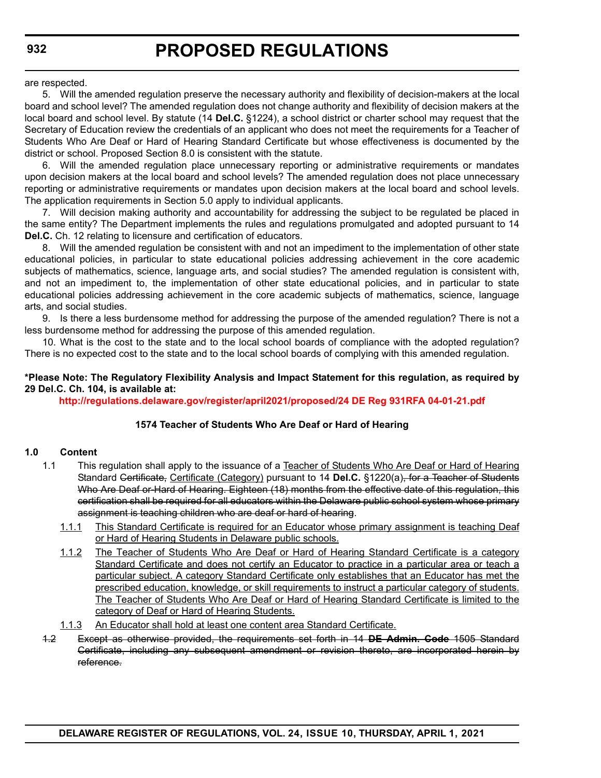are respected.

5. Will the amended regulation preserve the necessary authority and flexibility of decision-makers at the local board and school level? The amended regulation does not change authority and flexibility of decision makers at the local board and school level. By statute (14 **Del.C.** §1224), a school district or charter school may request that the Secretary of Education review the credentials of an applicant who does not meet the requirements for a Teacher of Students Who Are Deaf or Hard of Hearing Standard Certificate but whose effectiveness is documented by the district or school. Proposed Section 8.0 is consistent with the statute.

6. Will the amended regulation place unnecessary reporting or administrative requirements or mandates upon decision makers at the local board and school levels? The amended regulation does not place unnecessary reporting or administrative requirements or mandates upon decision makers at the local board and school levels. The application requirements in Section 5.0 apply to individual applicants.

7. Will decision making authority and accountability for addressing the subject to be regulated be placed in the same entity? The Department implements the rules and regulations promulgated and adopted pursuant to 14 **Del.C.** Ch. 12 relating to licensure and certification of educators.

8. Will the amended regulation be consistent with and not an impediment to the implementation of other state educational policies, in particular to state educational policies addressing achievement in the core academic subjects of mathematics, science, language arts, and social studies? The amended regulation is consistent with, and not an impediment to, the implementation of other state educational policies, and in particular to state educational policies addressing achievement in the core academic subjects of mathematics, science, language arts, and social studies.

9. Is there a less burdensome method for addressing the purpose of the amended regulation? There is not a less burdensome method for addressing the purpose of this amended regulation.

10. What is the cost to the state and to the local school boards of compliance with the adopted regulation? There is no expected cost to the state and to the local school boards of complying with this amended regulation.

#### **\*Please Note: The Regulatory Flexibility Analysis and Impact Statement for this regulation, as required by 29 Del.C. Ch. 104, is available at:**

**<http://regulations.delaware.gov/register/april2021/proposed/24 DE Reg 931RFA 04-01-21.pdf>**

#### **1574 Teacher of Students Who Are Deaf or Hard of Hearing**

#### **1.0 Content**

- 1.1 This regulation shall apply to the issuance of a Teacher of Students Who Are Deaf or Hard of Hearing Standard Certificate, Certificate (Category) pursuant to 14 **Del.C.** §1220(a), for a Teacher of Students Who Are Deaf or Hard of Hearing. Eighteen (18) months from the effective date of this regulation, this certification shall be required for all educators within the Delaware public school system whose primary assignment is teaching children who are deaf or hard of hearing.
	- 1.1.1 This Standard Certificate is required for an Educator whose primary assignment is teaching Deaf or Hard of Hearing Students in Delaware public schools.
	- 1.1.2 The Teacher of Students Who Are Deaf or Hard of Hearing Standard Certificate is a category Standard Certificate and does not certify an Educator to practice in a particular area or teach a particular subject. A category Standard Certificate only establishes that an Educator has met the prescribed education, knowledge, or skill requirements to instruct a particular category of students. The Teacher of Students Who Are Deaf or Hard of Hearing Standard Certificate is limited to the category of Deaf or Hard of Hearing Students.
	- 1.1.3 An Educator shall hold at least one content area Standard Certificate.
- 1.2 Except as otherwise provided, the requirements set forth in 14 **DE Admin. Code** 1505 Standard Certificate, including any subsequent amendment or revision thereto, are incorporated herein by reference.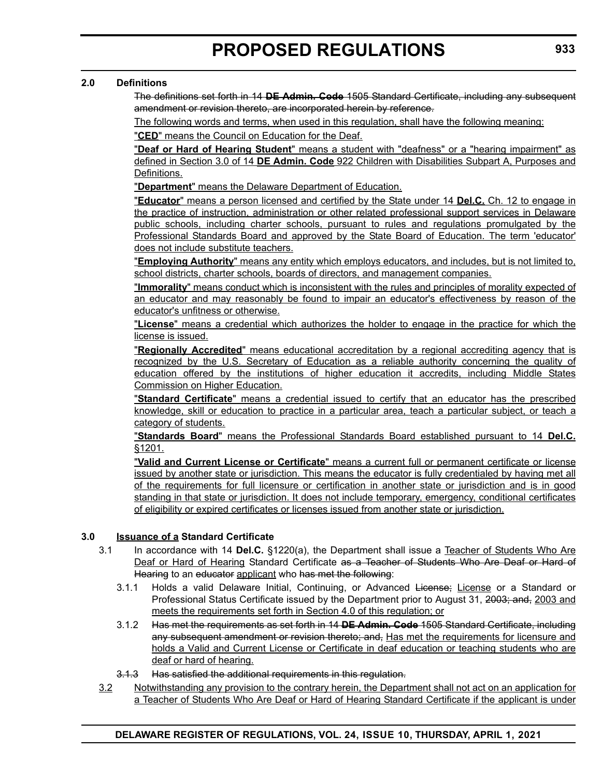#### **2.0 Definitions**

The definitions set forth in 14 **DE Admin. Code** 1505 Standard Certificate, including any subsequent amendment or revision thereto, are incorporated herein by reference.

The following words and terms, when used in this regulation, shall have the following meaning:

"**CED**" means the Council on Education for the Deaf.

"**Deaf or Hard of Hearing Student**" means a student with "deafness" or a "hearing impairment" as defined in Section 3.0 of 14 **DE Admin. Code** 922 Children with Disabilities Subpart A, Purposes and Definitions.

"**Department**" means the Delaware Department of Education.

"**Educator**" means a person licensed and certified by the State under 14 **Del.C.** Ch. 12 to engage in the practice of instruction, administration or other related professional support services in Delaware public schools, including charter schools, pursuant to rules and regulations promulgated by the Professional Standards Board and approved by the State Board of Education. The term 'educator' does not include substitute teachers.

"**Employing Authority**" means any entity which employs educators, and includes, but is not limited to, school districts, charter schools, boards of directors, and management companies.

"**Immorality**" means conduct which is inconsistent with the rules and principles of morality expected of an educator and may reasonably be found to impair an educator's effectiveness by reason of the educator's unfitness or otherwise.

"**License**" means a credential which authorizes the holder to engage in the practice for which the license is issued.

"**Regionally Accredited**" means educational accreditation by a regional accrediting agency that is recognized by the U.S. Secretary of Education as a reliable authority concerning the quality of education offered by the institutions of higher education it accredits, including Middle States Commission on Higher Education.

"**Standard Certificate**" means a credential issued to certify that an educator has the prescribed knowledge, skill or education to practice in a particular area, teach a particular subject, or teach a category of students.

"**Standards Board**" means the Professional Standards Board established pursuant to 14 **Del.C.** §1201.

"**Valid and Current License or Certificate**" means a current full or permanent certificate or license issued by another state or jurisdiction. This means the educator is fully credentialed by having met all of the requirements for full licensure or certification in another state or jurisdiction and is in good standing in that state or jurisdiction. It does not include temporary, emergency, conditional certificates of eligibility or expired certificates or licenses issued from another state or jurisdiction.

#### **3.0 Issuance of a Standard Certificate**

- 3.1 In accordance with 14 **Del.C.** §1220(a), the Department shall issue a Teacher of Students Who Are Deaf or Hard of Hearing Standard Certificate as a Teacher of Students Who Are Deaf or Hard of Hearing to an educator applicant who has met the following:
	- 3.1.1 Holds a valid Delaware Initial, Continuing, or Advanced License; License or a Standard or Professional Status Certificate issued by the Department prior to August 31, 2003; and, 2003 and meets the requirements set forth in Section 4.0 of this regulation; or
	- 3.1.2 Has met the requirements as set forth in 14 **DE Admin. Code** 1505 Standard Certificate, including any subsequent amendment or revision thereto; and, Has met the requirements for licensure and holds a Valid and Current License or Certificate in deaf education or teaching students who are deaf or hard of hearing.
	- 3.1.3 Has satisfied the additional requirements in this regulation.
- 3.2 Notwithstanding any provision to the contrary herein, the Department shall not act on an application for a Teacher of Students Who Are Deaf or Hard of Hearing Standard Certificate if the applicant is under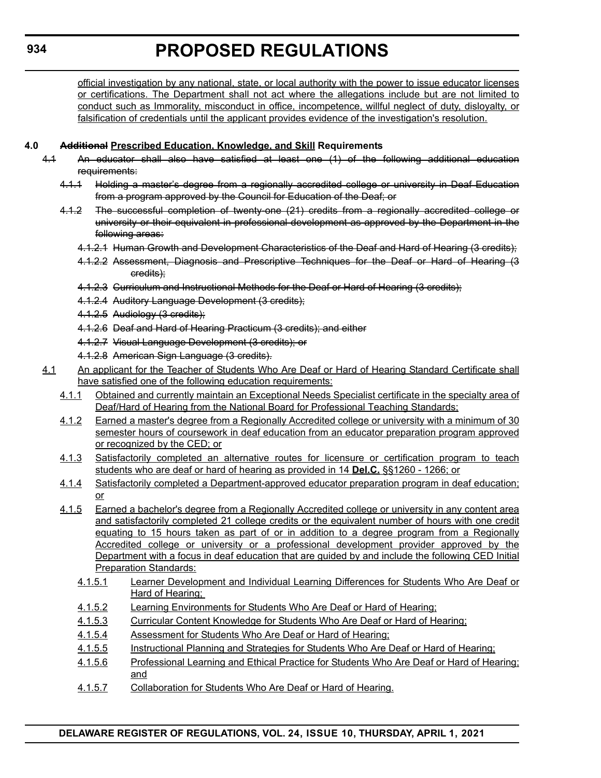official investigation by any national, state, or local authority with the power to issue educator licenses or certifications. The Department shall not act where the allegations include but are not limited to conduct such as Immorality, misconduct in office, incompetence, willful neglect of duty, disloyalty, or falsification of credentials until the applicant provides evidence of the investigation's resolution.

#### **4.0 Additional Prescribed Education, Knowledge, and Skill Requirements**

- 4.1 An educator shall also have satisfied at least one (1) of the following additional education requirements:
	- 4.1.1 Holding a master's degree from a regionally accredited college or university in Deaf Education from a program approved by the Council for Education of the Deaf; or
	- 4.1.2 The successful completion of twenty-one (21) credits from a regionally accredited college or university or their equivalent in professional development as approved by the Department in the following areas:
		- 4.1.2.1 Human Growth and Development Characteristics of the Deaf and Hard of Hearing (3 credits);
		- 4.1.2.2 Assessment, Diagnosis and Prescriptive Techniques for the Deaf or Hard of Hearing (3 credits);
		- 4.1.2.3 Curriculum and Instructional Methods for the Deaf or Hard of Hearing (3 credits);
		- 4.1.2.4 Auditory Language Development (3 credits);
		- 4.1.2.5 Audiology (3 credits);
		- 4.1.2.6 Deaf and Hard of Hearing Practicum (3 credits); and either
		- 4.1.2.7 Visual Language Development (3 credits); or
		- 4.1.2.8 American Sign Language (3 credits).
- 4.1 An applicant for the Teacher of Students Who Are Deaf or Hard of Hearing Standard Certificate shall have satisfied one of the following education requirements:
	- 4.1.1 Obtained and currently maintain an Exceptional Needs Specialist certificate in the specialty area of Deaf/Hard of Hearing from the National Board for Professional Teaching Standards;
	- 4.1.2 Earned a master's degree from a Regionally Accredited college or university with a minimum of 30 semester hours of coursework in deaf education from an educator preparation program approved or recognized by the CED; or
	- 4.1.3 Satisfactorily completed an alternative routes for licensure or certification program to teach students who are deaf or hard of hearing as provided in 14 **Del.C.** §§1260 - 1266; or
	- 4.1.4 Satisfactorily completed a Department-approved educator preparation program in deaf education; or
	- 4.1.5 Earned a bachelor's degree from a Regionally Accredited college or university in any content area and satisfactorily completed 21 college credits or the equivalent number of hours with one credit equating to 15 hours taken as part of or in addition to a degree program from a Regionally Accredited college or university or a professional development provider approved by the Department with a focus in deaf education that are guided by and include the following CED Initial **Preparation Standards:** 
		- 4.1.5.1 Learner Development and Individual Learning Differences for Students Who Are Deaf or Hard of Hearing;
		- 4.1.5.2 Learning Environments for Students Who Are Deaf or Hard of Hearing;
		- 4.1.5.3 Curricular Content Knowledge for Students Who Are Deaf or Hard of Hearing;
		- 4.1.5.4 Assessment for Students Who Are Deaf or Hard of Hearing;
		- 4.1.5.5 Instructional Planning and Strategies for Students Who Are Deaf or Hard of Hearing;
		- 4.1.5.6 Professional Learning and Ethical Practice for Students Who Are Deaf or Hard of Hearing; and
		- 4.1.5.7 Collaboration for Students Who Are Deaf or Hard of Hearing.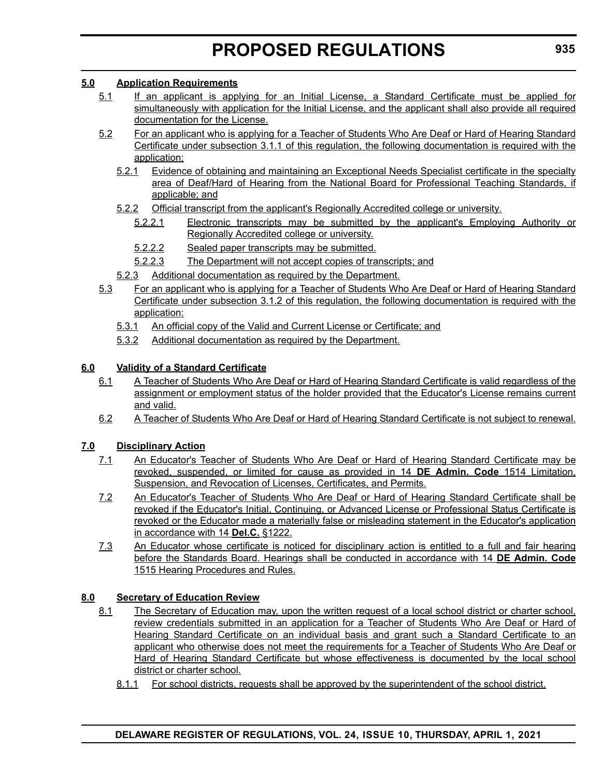#### **5.0 Application Requirements**

- 5.1 If an applicant is applying for an Initial License, a Standard Certificate must be applied for simultaneously with application for the Initial License, and the applicant shall also provide all required documentation for the License.
- 5.2 For an applicant who is applying for a Teacher of Students Who Are Deaf or Hard of Hearing Standard Certificate under subsection 3.1.1 of this regulation, the following documentation is required with the application:
	- 5.2.1 Evidence of obtaining and maintaining an Exceptional Needs Specialist certificate in the specialty area of Deaf/Hard of Hearing from the National Board for Professional Teaching Standards, if applicable; and
	- 5.2.2 Official transcript from the applicant's Regionally Accredited college or university.
		- 5.2.2.1 Electronic transcripts may be submitted by the applicant's Employing Authority or Regionally Accredited college or university.
		- 5.2.2.2 Sealed paper transcripts may be submitted.
		- 5.2.2.3 The Department will not accept copies of transcripts; and
	- 5.2.3 Additional documentation as required by the Department.
- 5.3 For an applicant who is applying for a Teacher of Students Who Are Deaf or Hard of Hearing Standard Certificate under subsection 3.1.2 of this regulation, the following documentation is required with the application:
	- 5.3.1 An official copy of the Valid and Current License or Certificate; and
	- 5.3.2 Additional documentation as required by the Department.

#### **6.0 Validity of a Standard Certificate**

- 6.1 A Teacher of Students Who Are Deaf or Hard of Hearing Standard Certificate is valid regardless of the assignment or employment status of the holder provided that the Educator's License remains current and valid.
- 6.2 A Teacher of Students Who Are Deaf or Hard of Hearing Standard Certificate is not subject to renewal.

#### **7.0 Disciplinary Action**

- 7.1 An Educator's Teacher of Students Who Are Deaf or Hard of Hearing Standard Certificate may be revoked, suspended, or limited for cause as provided in 14 **DE Admin. Code** 1514 Limitation, Suspension, and Revocation of Licenses, Certificates, and Permits.
- 7.2 An Educator's Teacher of Students Who Are Deaf or Hard of Hearing Standard Certificate shall be revoked if the Educator's Initial, Continuing, or Advanced License or Professional Status Certificate is revoked or the Educator made a materially false or misleading statement in the Educator's application in accordance with 14 **Del.C.** §1222.
- 7.3 An Educator whose certificate is noticed for disciplinary action is entitled to a full and fair hearing before the Standards Board. Hearings shall be conducted in accordance with 14 **DE Admin. Code** 1515 Hearing Procedures and Rules.

#### **8.0 Secretary of Education Review**

- 8.1 The Secretary of Education may, upon the written request of a local school district or charter school, review credentials submitted in an application for a Teacher of Students Who Are Deaf or Hard of Hearing Standard Certificate on an individual basis and grant such a Standard Certificate to an applicant who otherwise does not meet the requirements for a Teacher of Students Who Are Deaf or Hard of Hearing Standard Certificate but whose effectiveness is documented by the local school district or charter school.
	- 8.1.1 For school districts, requests shall be approved by the superintendent of the school district.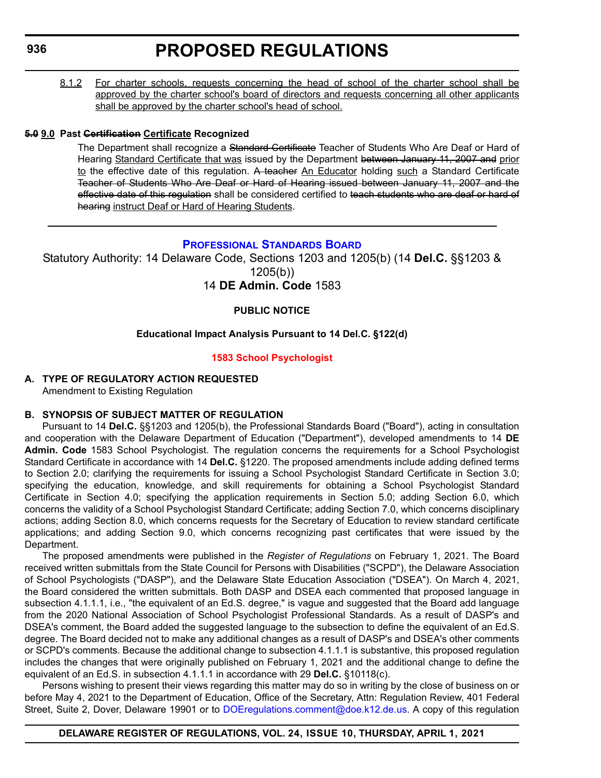<span id="page-43-0"></span>8.1.2 For charter schools, requests concerning the head of school of the charter school shall be approved by the charter school's board of directors and requests concerning all other applicants shall be approved by the charter school's head of school.

#### **5.0 9.0 Past Certification Certificate Recognized**

The Department shall recognize a Standard Certificate Teacher of Students Who Are Deaf or Hard of Hearing Standard Certificate that was issued by the Department between January 11, 2007 and prior to the effective date of this regulation. A teacher An Educator holding such a Standard Certificate Teacher of Students Who Are Deaf or Hard of Hearing issued between January 11, 2007 and the effective date of this regulation shall be considered certified to teach students who are deaf or hard of hearing instruct Deaf or Hard of Hearing Students.

#### **[PROFESSIONAL STANDARDS BOARD](https://www.doe.k12.de.us/domain/172)**

Statutory Authority: 14 Delaware Code, Sections 1203 and 1205(b) (14 **Del.C.** §§1203 & 1205(b))

#### 14 **DE Admin. Code** 1583

#### **PUBLIC NOTICE**

#### **Educational Impact Analysis Pursuant to 14 Del.C. §122(d)**

#### **[1583 School Psychologist](#page-3-0)**

#### **A. TYPE OF REGULATORY ACTION REQUESTED** Amendment to Existing Regulation

#### **B. SYNOPSIS OF SUBJECT MATTER OF REGULATION**

Pursuant to 14 **Del.C.** §§1203 and 1205(b), the Professional Standards Board ("Board"), acting in consultation and cooperation with the Delaware Department of Education ("Department"), developed amendments to 14 **DE Admin. Code** 1583 School Psychologist. The regulation concerns the requirements for a School Psychologist Standard Certificate in accordance with 14 **Del.C.** §1220. The proposed amendments include adding defined terms to Section 2.0; clarifying the requirements for issuing a School Psychologist Standard Certificate in Section 3.0; specifying the education, knowledge, and skill requirements for obtaining a School Psychologist Standard Certificate in Section 4.0; specifying the application requirements in Section 5.0; adding Section 6.0, which concerns the validity of a School Psychologist Standard Certificate; adding Section 7.0, which concerns disciplinary actions; adding Section 8.0, which concerns requests for the Secretary of Education to review standard certificate applications; and adding Section 9.0, which concerns recognizing past certificates that were issued by the Department.

The proposed amendments were published in the *Register of Regulations* on February 1, 2021. The Board received written submittals from the State Council for Persons with Disabilities ("SCPD"), the Delaware Association of School Psychologists ("DASP"), and the Delaware State Education Association ("DSEA"). On March 4, 2021, the Board considered the written submittals. Both DASP and DSEA each commented that proposed language in subsection 4.1.1.1, i.e., "the equivalent of an Ed.S. degree," is vague and suggested that the Board add language from the 2020 National Association of School Psychologist Professional Standards. As a result of DASP's and DSEA's comment, the Board added the suggested language to the subsection to define the equivalent of an Ed.S. degree. The Board decided not to make any additional changes as a result of DASP's and DSEA's other comments or SCPD's comments. Because the additional change to subsection 4.1.1.1 is substantive, this proposed regulation includes the changes that were originally published on February 1, 2021 and the additional change to define the equivalent of an Ed.S. in subsection 4.1.1.1 in accordance with 29 **Del.C.** §10118(c).

Persons wishing to present their views regarding this matter may do so in writing by the close of business on or before May 4, 2021 to the Department of Education, Office of the Secretary, Attn: Regulation Review, 401 Federal Street, Suite 2, Dover, Delaware 19901 or t[o DOEregulations.comment@doe.k12.de.us.](maito:DOEregulations.comment@doe.k12.de.us) A copy of this regulation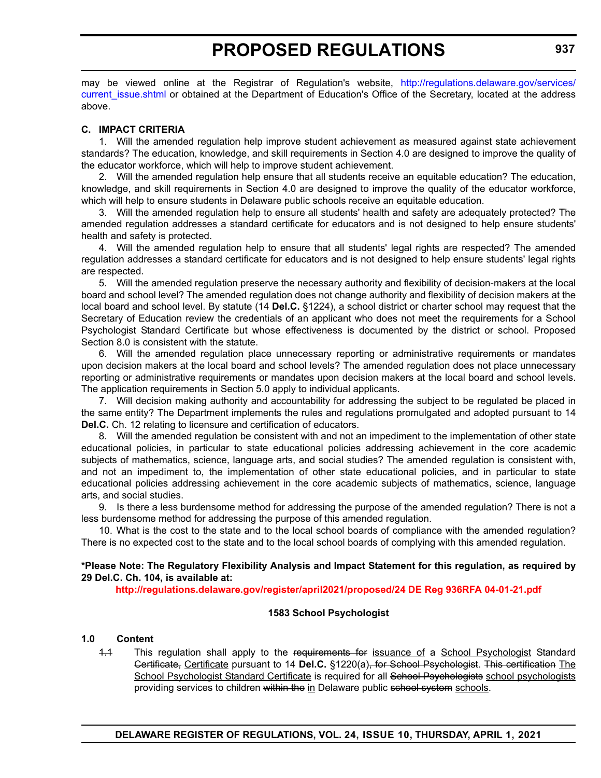may be viewed online at the Registrar of Regulation's website, [http://regulations.delaware.gov/services/](http://regulations.delaware.gov/services/current_issue.shtml) current issue.shtml or obtained at the Department of Education's Office of the Secretary, located at the address above.

#### **C. IMPACT CRITERIA**

1. Will the amended regulation help improve student achievement as measured against state achievement standards? The education, knowledge, and skill requirements in Section 4.0 are designed to improve the quality of the educator workforce, which will help to improve student achievement.

2. Will the amended regulation help ensure that all students receive an equitable education? The education, knowledge, and skill requirements in Section 4.0 are designed to improve the quality of the educator workforce, which will help to ensure students in Delaware public schools receive an equitable education.

3. Will the amended regulation help to ensure all students' health and safety are adequately protected? The amended regulation addresses a standard certificate for educators and is not designed to help ensure students' health and safety is protected.

4. Will the amended regulation help to ensure that all students' legal rights are respected? The amended regulation addresses a standard certificate for educators and is not designed to help ensure students' legal rights are respected.

5. Will the amended regulation preserve the necessary authority and flexibility of decision-makers at the local board and school level? The amended regulation does not change authority and flexibility of decision makers at the local board and school level. By statute (14 **Del.C.** §1224), a school district or charter school may request that the Secretary of Education review the credentials of an applicant who does not meet the requirements for a School Psychologist Standard Certificate but whose effectiveness is documented by the district or school. Proposed Section 8.0 is consistent with the statute.

6. Will the amended regulation place unnecessary reporting or administrative requirements or mandates upon decision makers at the local board and school levels? The amended regulation does not place unnecessary reporting or administrative requirements or mandates upon decision makers at the local board and school levels. The application requirements in Section 5.0 apply to individual applicants.

7. Will decision making authority and accountability for addressing the subject to be regulated be placed in the same entity? The Department implements the rules and regulations promulgated and adopted pursuant to 14 **Del.C.** Ch. 12 relating to licensure and certification of educators.

8. Will the amended regulation be consistent with and not an impediment to the implementation of other state educational policies, in particular to state educational policies addressing achievement in the core academic subjects of mathematics, science, language arts, and social studies? The amended regulation is consistent with, and not an impediment to, the implementation of other state educational policies, and in particular to state educational policies addressing achievement in the core academic subjects of mathematics, science, language arts, and social studies.

9. Is there a less burdensome method for addressing the purpose of the amended regulation? There is not a less burdensome method for addressing the purpose of this amended regulation.

10. What is the cost to the state and to the local school boards of compliance with the amended regulation? There is no expected cost to the state and to the local school boards of complying with this amended regulation.

**\*Please Note: The Regulatory Flexibility Analysis and Impact Statement for this regulation, as required by 29 Del.C. Ch. 104, is available at:**

**<http://regulations.delaware.gov/register/april2021/proposed/24 DE Reg 936RFA 04-01-21.pdf>**

#### **1583 School Psychologist**

#### **1.0 Content**

1.1 This regulation shall apply to the requirements for issuance of a School Psychologist Standard Certificate, Certificate pursuant to 14 **Del.C.** §1220(a), for School Psychologist. This certification The School Psychologist Standard Certificate is required for all School Psychologists school psychologists providing services to children within the in Delaware public school system schools.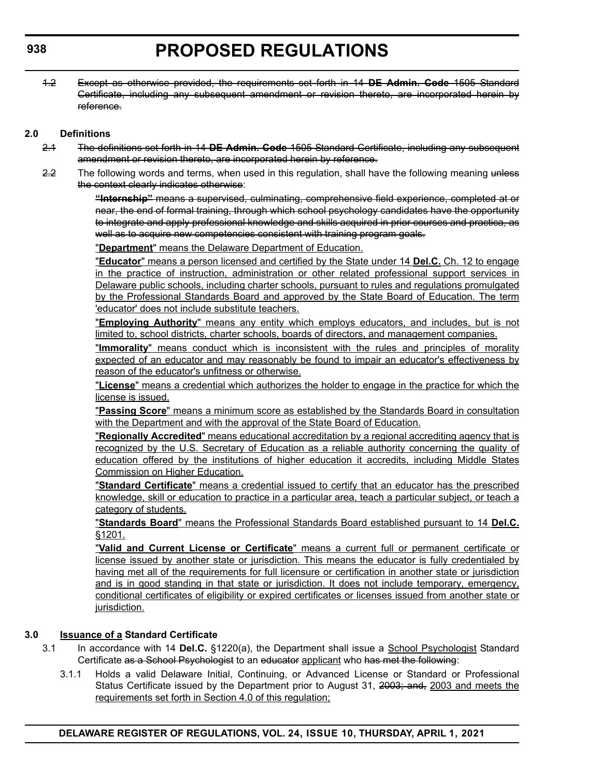1.2 Except as otherwise provided, the requirements set forth in 14 **DE Admin. Code** 1505 Standard Certificate, including any subsequent amendment or revision thereto, are incorporated herein by reference.

#### **2.0 Definitions**

- 2.1 The definitions set forth in 14 **DE Admin. Code** 1505 Standard Certificate, including any subsequent amendment or revision thereto, are incorporated herein by reference.
- 2.2 The following words and terms, when used in this regulation, shall have the following meaning unless the context clearly indicates otherwise:

**"Internship"** means a supervised, culminating, comprehensive field experience, completed at or near, the end of formal training, through which school psychology candidates have the opportunity to integrate and apply professional knowledge and skills acquired in prior courses and practica, as well as to acquire new competencies consistent with training program goals.

"**Department**" means the Delaware Department of Education.

"**Educator**" means a person licensed and certified by the State under 14 **Del.C.** Ch. 12 to engage in the practice of instruction, administration or other related professional support services in Delaware public schools, including charter schools, pursuant to rules and regulations promulgated by the Professional Standards Board and approved by the State Board of Education. The term 'educator' does not include substitute teachers.

"**Employing Authority**" means any entity which employs educators, and includes, but is not limited to, school districts, charter schools, boards of directors, and management companies.

"**Immorality**" means conduct which is inconsistent with the rules and principles of morality expected of an educator and may reasonably be found to impair an educator's effectiveness by reason of the educator's unfitness or otherwise.

"**License**" means a credential which authorizes the holder to engage in the practice for which the license is issued.

"**Passing Score**" means a minimum score as established by the Standards Board in consultation with the Department and with the approval of the State Board of Education.

"**Regionally Accredited**" means educational accreditation by a regional accrediting agency that is recognized by the U.S. Secretary of Education as a reliable authority concerning the quality of education offered by the institutions of higher education it accredits, including Middle States Commission on Higher Education.

"**Standard Certificate**" means a credential issued to certify that an educator has the prescribed knowledge, skill or education to practice in a particular area, teach a particular subject, or teach a category of students.

"**Standards Board**" means the Professional Standards Board established pursuant to 14 **Del.C.** §1201.

"**Valid and Current License or Certificate**" means a current full or permanent certificate or license issued by another state or jurisdiction. This means the educator is fully credentialed by having met all of the requirements for full licensure or certification in another state or jurisdiction and is in good standing in that state or jurisdiction. It does not include temporary, emergency, conditional certificates of eligibility or expired certificates or licenses issued from another state or jurisdiction.

#### **3.0 Issuance of a Standard Certificate**

- 3.1 In accordance with 14 **Del.C.** §1220(a), the Department shall issue a School Psychologist Standard Certificate as a School Psychologist to an educator applicant who has met the following:
	- 3.1.1 Holds a valid Delaware Initial, Continuing, or Advanced License or Standard or Professional Status Certificate issued by the Department prior to August 31, 2003; and, 2003 and meets the requirements set forth in Section 4.0 of this regulation;

**938**

**DELAWARE REGISTER OF REGULATIONS, VOL. 24, ISSUE 10, THURSDAY, APRIL 1, 2021**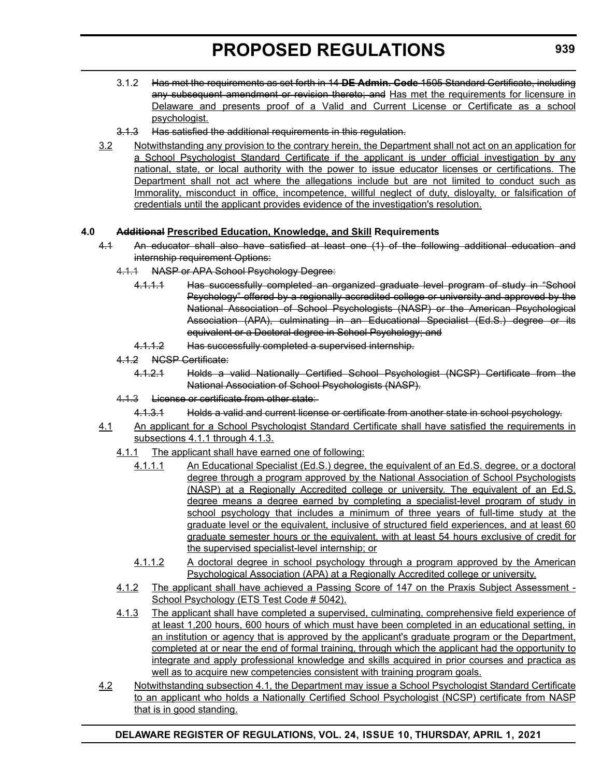- 3.1.2 Has met the requirements as set forth in 14 **DE Admin. Code** 1505 Standard Certificate, including any subsequent amendment or revision thereto; and Has met the requirements for licensure in Delaware and presents proof of a Valid and Current License or Certificate as a school psychologist.
- 3.1.3 Has satisfied the additional requirements in this regulation.
- 3.2 Notwithstanding any provision to the contrary herein, the Department shall not act on an application for a School Psychologist Standard Certificate if the applicant is under official investigation by any national, state, or local authority with the power to issue educator licenses or certifications. The Department shall not act where the allegations include but are not limited to conduct such as Immorality, misconduct in office, incompetence, willful neglect of duty, disloyalty, or falsification of credentials until the applicant provides evidence of the investigation's resolution.

#### **4.0 Additional Prescribed Education, Knowledge, and Skill Requirements**

- 4.1 An educator shall also have satisfied at least one (1) of the following additional education and internship requirement Options:
	- 4.1.1 NASP or APA School Psychology Degree:
		- 4.1.1.1 Has successfully completed an organized graduate level program of study in "School Psychology" offered by a regionally accredited college or university and approved by the National Association of School Psychologists (NASP) or the American Psychological Association (APA), culminating in an Educational Specialist (Ed.S.) degree or its equivalent or a Doctoral degree in School Psychology; and
		- 4.1.1.2 Has successfully completed a supervised internship.
	- 4.1.2 NCSP Certificate:
		- 4.1.2.1 Holds a valid Nationally Certified School Psychologist (NCSP) Certificate from the National Association of School Psychologists (NASP).
	- 4.1.3 License or certificate from other state:
		- 4.1.3.1 Holds a valid and current license or certificate from another state in school psychology.
- 4.1 An applicant for a School Psychologist Standard Certificate shall have satisfied the requirements in subsections 4.1.1 through 4.1.3.
	- 4.1.1 The applicant shall have earned one of following:
		- 4.1.1.1 An Educational Specialist (Ed.S.) degree, the equivalent of an Ed.S. degree, or a doctoral degree through a program approved by the National Association of School Psychologists (NASP) at a Regionally Accredited college or university. The equivalent of an Ed.S. degree means a degree earned by completing a specialist-level program of study in school psychology that includes a minimum of three years of full-time study at the graduate level or the equivalent, inclusive of structured field experiences, and at least 60 graduate semester hours or the equivalent, with at least 54 hours exclusive of credit for the supervised specialist-level internship; or
		- 4.1.1.2 A doctoral degree in school psychology through a program approved by the American Psychological Association (APA) at a Regionally Accredited college or university.
	- 4.1.2 The applicant shall have achieved a Passing Score of 147 on the Praxis Subject Assessment School Psychology (ETS Test Code # 5042).
	- 4.1.3 The applicant shall have completed a supervised, culminating, comprehensive field experience of at least 1,200 hours, 600 hours of which must have been completed in an educational setting, in an institution or agency that is approved by the applicant's graduate program or the Department, completed at or near the end of formal training, through which the applicant had the opportunity to integrate and apply professional knowledge and skills acquired in prior courses and practica as well as to acquire new competencies consistent with training program goals.
- 4.2 Notwithstanding subsection 4.1, the Department may issue a School Psychologist Standard Certificate to an applicant who holds a Nationally Certified School Psychologist (NCSP) certificate from NASP that is in good standing.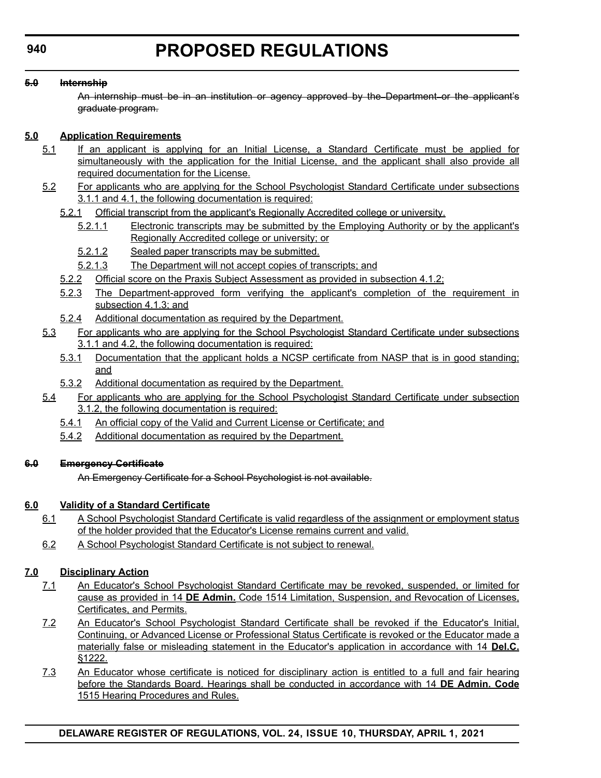#### **5.0 Internship**

An internship must be in an institution or agency approved by the Department or the applicant's graduate program.

#### **5.0 Application Requirements**

- 5.1 If an applicant is applying for an Initial License, a Standard Certificate must be applied for simultaneously with the application for the Initial License, and the applicant shall also provide all required documentation for the License.
- 5.2 For applicants who are applying for the School Psychologist Standard Certificate under subsections 3.1.1 and 4.1, the following documentation is required:
	- 5.2.1 Official transcript from the applicant's Regionally Accredited college or university.
		- 5.2.1.1 Electronic transcripts may be submitted by the Employing Authority or by the applicant's Regionally Accredited college or university; or
		- 5.2.1.2 Sealed paper transcripts may be submitted.
		- 5.2.1.3 The Department will not accept copies of transcripts; and
	- 5.2.2 Official score on the Praxis Subject Assessment as provided in subsection 4.1.2;
	- 5.2.3 The Department-approved form verifying the applicant's completion of the requirement in subsection 4.1.3; and
	- 5.2.4 Additional documentation as required by the Department.
- 5.3 For applicants who are applying for the School Psychologist Standard Certificate under subsections 3.1.1 and 4.2, the following documentation is required:
	- 5.3.1 Documentation that the applicant holds a NCSP certificate from NASP that is in good standing; and
	- 5.3.2 Additional documentation as required by the Department.
- 5.4 For applicants who are applying for the School Psychologist Standard Certificate under subsection 3.1.2, the following documentation is required:
	- 5.4.1 An official copy of the Valid and Current License or Certificate; and
	- 5.4.2 Additional documentation as required by the Department.

#### **6.0 Emergency Certificate**

An Emergency Certificate for a School Psychologist is not available.

#### **6.0 Validity of a Standard Certificate**

- 6.1 A School Psychologist Standard Certificate is valid regardless of the assignment or employment status of the holder provided that the Educator's License remains current and valid.
- 6.2 A School Psychologist Standard Certificate is not subject to renewal.

#### **7.0 Disciplinary Action**

- 7.1 An Educator's School Psychologist Standard Certificate may be revoked, suspended, or limited for cause as provided in 14 **DE Admin.** Code 1514 Limitation, Suspension, and Revocation of Licenses, Certificates, and Permits.
- 7.2 An Educator's School Psychologist Standard Certificate shall be revoked if the Educator's Initial, Continuing, or Advanced License or Professional Status Certificate is revoked or the Educator made a materially false or misleading statement in the Educator's application in accordance with 14 **Del.C.** §1222.
- 7.3 An Educator whose certificate is noticed for disciplinary action is entitled to a full and fair hearing before the Standards Board. Hearings shall be conducted in accordance with 14 **DE Admin. Code** 1515 Hearing Procedures and Rules.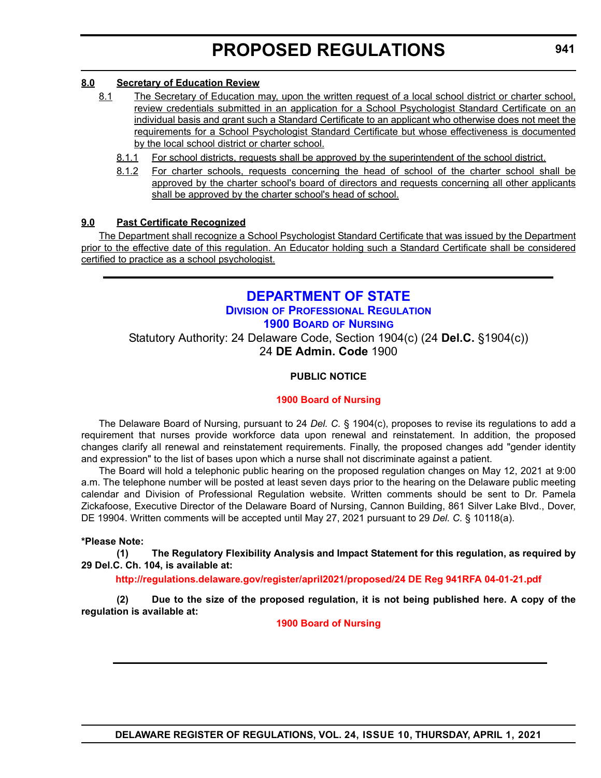#### <span id="page-48-0"></span>**8.0 Secretary of Education Review**

- 8.1 The Secretary of Education may, upon the written request of a local school district or charter school, review credentials submitted in an application for a School Psychologist Standard Certificate on an individual basis and grant such a Standard Certificate to an applicant who otherwise does not meet the requirements for a School Psychologist Standard Certificate but whose effectiveness is documented by the local school district or charter school.
	- 8.1.1 For school districts, requests shall be approved by the superintendent of the school district.
	- 8.1.2 For charter schools, requests concerning the head of school of the charter school shall be approved by the charter school's board of directors and requests concerning all other applicants shall be approved by the charter school's head of school.

#### **9.0 Past Certificate Recognized**

The Department shall recognize a School Psychologist Standard Certificate that was issued by the Department prior to the effective date of this regulation. An Educator holding such a Standard Certificate shall be considered certified to practice as a school psychologist.

#### **[DEPARTMENT OF STATE](https://sos.delaware.gov/) DIVISION [OF PROFESSIONAL REGULATION](https://dpr.delaware.gov/) [1900 BOARD](https://dpr.delaware.gov/boards/nursing/) OF NURSING** Statutory Authority: 24 Delaware Code, Section 1904(c) (24 **Del.C.** §1904(c)) 24 **DE Admin. Code** 1900

#### **PUBLIC NOTICE**

#### **[1900 Board of Nursing](#page-3-0)**

The Delaware Board of Nursing, pursuant to 24 *Del. C.* § 1904(c), proposes to revise its regulations to add a requirement that nurses provide workforce data upon renewal and reinstatement. In addition, the proposed changes clarify all renewal and reinstatement requirements. Finally, the proposed changes add "gender identity and expression" to the list of bases upon which a nurse shall not discriminate against a patient.

The Board will hold a telephonic public hearing on the proposed regulation changes on May 12, 2021 at 9:00 a.m. The telephone number will be posted at least seven days prior to the hearing on the Delaware public meeting calendar and Division of Professional Regulation website. Written comments should be sent to Dr. Pamela Zickafoose, Executive Director of the Delaware Board of Nursing, Cannon Building, 861 Silver Lake Blvd., Dover, DE 19904. Written comments will be accepted until May 27, 2021 pursuant to 29 *Del. C.* § 10118(a).

#### **\*Please Note:**

**(1) The Regulatory Flexibility Analysis and Impact Statement for this regulation, as required by 29 Del.C. Ch. 104, is available at:**

**<http://regulations.delaware.gov/register/april2021/proposed/24 DE Reg 941RFA 04-01-21.pdf>**

**(2) Due to the size of the proposed regulation, it is not being published here. A copy of the regulation is available at:**

**[1900 Board of Nursing](http://regulations.delaware.gov/register/april2021/proposed/24 DE Reg 941 04-01-21.htm)**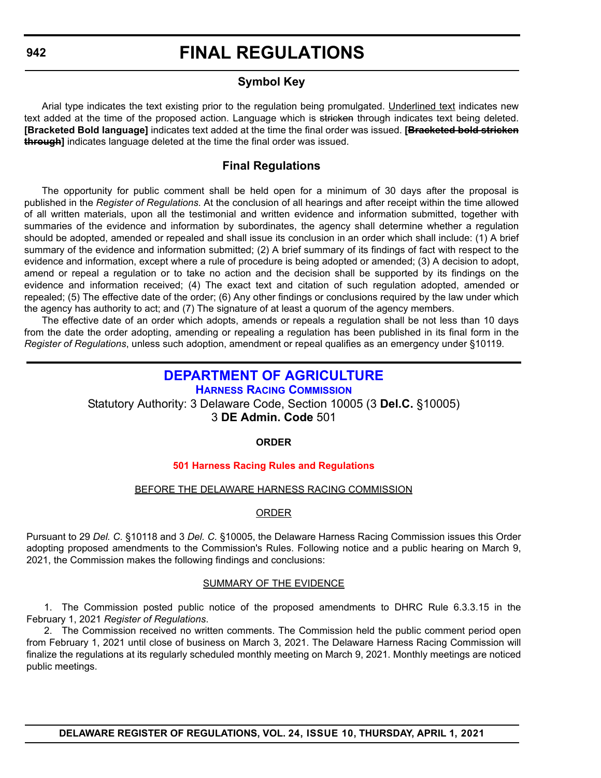### **FINAL REGULATIONS**

#### **Symbol Key**

<span id="page-49-0"></span>Arial type indicates the text existing prior to the regulation being promulgated. Underlined text indicates new text added at the time of the proposed action. Language which is stricken through indicates text being deleted. **[Bracketed Bold language]** indicates text added at the time the final order was issued. **[Bracketed bold stricken through]** indicates language deleted at the time the final order was issued.

#### **Final Regulations**

The opportunity for public comment shall be held open for a minimum of 30 days after the proposal is published in the *Register of Regulations*. At the conclusion of all hearings and after receipt within the time allowed of all written materials, upon all the testimonial and written evidence and information submitted, together with summaries of the evidence and information by subordinates, the agency shall determine whether a regulation should be adopted, amended or repealed and shall issue its conclusion in an order which shall include: (1) A brief summary of the evidence and information submitted; (2) A brief summary of its findings of fact with respect to the evidence and information, except where a rule of procedure is being adopted or amended; (3) A decision to adopt, amend or repeal a regulation or to take no action and the decision shall be supported by its findings on the evidence and information received; (4) The exact text and citation of such regulation adopted, amended or repealed; (5) The effective date of the order; (6) Any other findings or conclusions required by the law under which the agency has authority to act; and (7) The signature of at least a quorum of the agency members.

The effective date of an order which adopts, amends or repeals a regulation shall be not less than 10 days from the date the order adopting, amending or repealing a regulation has been published in its final form in the *Register of Regulations*, unless such adoption, amendment or repeal qualifies as an emergency under §10119.

#### **[DEPARTMENT OF AGRICULTURE](https://agriculture.delaware.gov/)**

**[HARNESS RACING COMMISSION](https://agriculture.delaware.gov/harness-racing-commission/)** Statutory Authority: 3 Delaware Code, Section 10005 (3 **Del.C.** §10005) 3 **DE Admin. Code** 501

#### **ORDER**

#### **[501 Harness Racing Rules and Regulations](#page-3-0)**

#### BEFORE THE DELAWARE HARNESS RACING COMMISSION

#### ORDER

Pursuant to 29 *Del. C.* §10118 and 3 *Del. C.* §10005, the Delaware Harness Racing Commission issues this Order adopting proposed amendments to the Commission's Rules. Following notice and a public hearing on March 9, 2021, the Commission makes the following findings and conclusions:

#### SUMMARY OF THE EVIDENCE

1. The Commission posted public notice of the proposed amendments to DHRC Rule 6.3.3.15 in the February 1, 2021 *Register of Regulations*.

2. The Commission received no written comments. The Commission held the public comment period open from February 1, 2021 until close of business on March 3, 2021. The Delaware Harness Racing Commission will finalize the regulations at its regularly scheduled monthly meeting on March 9, 2021. Monthly meetings are noticed public meetings.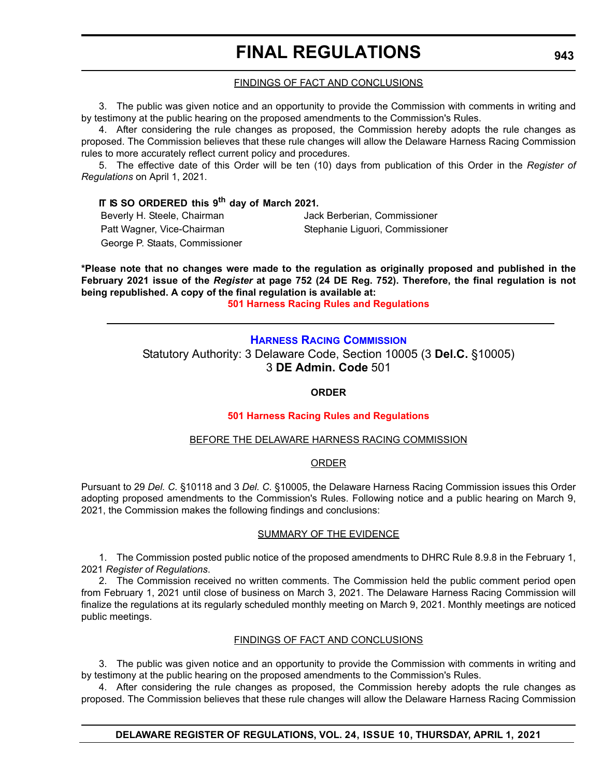### **FINAL REGULATIONS**

#### FINDINGS OF FACT AND CONCLUSIONS

<span id="page-50-0"></span>3. The public was given notice and an opportunity to provide the Commission with comments in writing and by testimony at the public hearing on the proposed amendments to the Commission's Rules.

4. After considering the rule changes as proposed, the Commission hereby adopts the rule changes as proposed. The Commission believes that these rule changes will allow the Delaware Harness Racing Commission rules to more accurately reflect current policy and procedures.

5. The effective date of this Order will be ten (10) days from publication of this Order in the *Register of Regulations* on April 1, 2021.

#### **IT IS SO ORDERED this 9th day of March 2021.**

Beverly H. Steele, Chairman Vack Berberian, Commissioner Patt Wagner, Vice-Chairman Stephanie Liguori, Commissioner George P. Staats, Commissioner

**\*Please note that no changes were made to the regulation as originally proposed and published in the February 2021 issue of the** *Register* **at page 752 (24 DE Reg. 752). Therefore, the final regulation is not being republished. A copy of the final regulation is available at:**

**[501 Harness Racing Rules and Regulations](http://regulations.delaware.gov/register/april2021/final/24 DE Reg 942 04-01-21.htm)**

#### **[HARNESS RACING COMMISSION](https://agriculture.delaware.gov/harness-racing-commission/)**

Statutory Authority: 3 Delaware Code, Section 10005 (3 **Del.C.** §10005) 3 **DE Admin. Code** 501

#### **ORDER**

#### **[501 Harness Racing Rules and Regulations](#page-3-0)**

#### BEFORE THE DELAWARE HARNESS RACING COMMISSION

#### ORDER

Pursuant to 29 *Del. C.* §10118 and 3 *Del. C.* §10005, the Delaware Harness Racing Commission issues this Order adopting proposed amendments to the Commission's Rules. Following notice and a public hearing on March 9, 2021, the Commission makes the following findings and conclusions:

#### SUMMARY OF THE EVIDENCE

1. The Commission posted public notice of the proposed amendments to DHRC Rule 8.9.8 in the February 1, 2021 *Register of Regulations*.

2. The Commission received no written comments. The Commission held the public comment period open from February 1, 2021 until close of business on March 3, 2021. The Delaware Harness Racing Commission will finalize the regulations at its regularly scheduled monthly meeting on March 9, 2021. Monthly meetings are noticed public meetings.

#### FINDINGS OF FACT AND CONCLUSIONS

3. The public was given notice and an opportunity to provide the Commission with comments in writing and by testimony at the public hearing on the proposed amendments to the Commission's Rules.

4. After considering the rule changes as proposed, the Commission hereby adopts the rule changes as proposed. The Commission believes that these rule changes will allow the Delaware Harness Racing Commission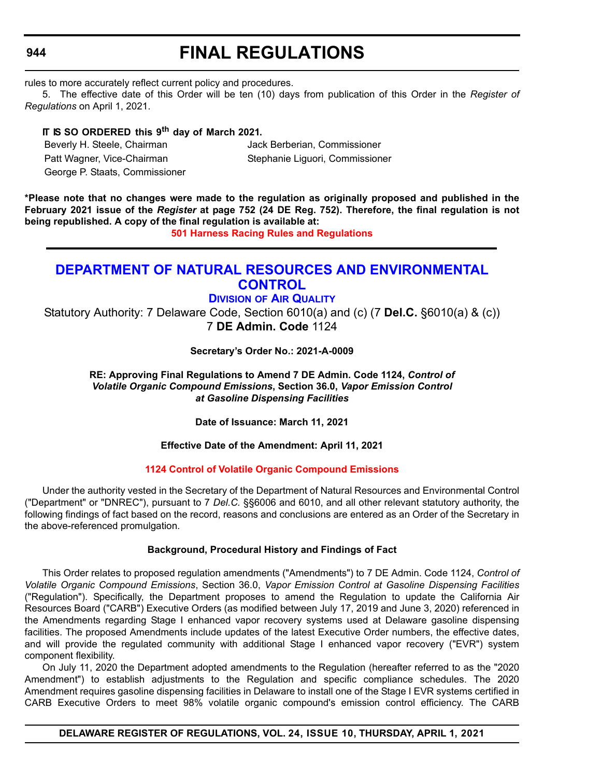<span id="page-51-0"></span>**944**

### **FINAL REGULATIONS**

rules to more accurately reflect current policy and procedures.

5. The effective date of this Order will be ten (10) days from publication of this Order in the *Register of Regulations* on April 1, 2021.

#### **IT IS SO ORDERED this 9th day of March 2021.**

Beverly H. Steele, Chairman Jack Berberian, Commissioner

Patt Wagner, Vice-Chairman Stephanie Liguori, Commissioner

George P. Staats, Commissioner

**\*Please note that no changes were made to the regulation as originally proposed and published in the February 2021 issue of the** *Register* **at page 752 (24 DE Reg. 752). Therefore, the final regulation is not being republished. A copy of the final regulation is available at:**

**[501 Harness Racing Rules and Regulations](http://regulations.delaware.gov/register/april2021/final/24 DE Reg 943 04-01-21.htm)**

#### **[DEPARTMENT OF NATURAL RESOURCES AND ENVIRONMENTAL](https://dnrec.alpha.delaware.gov/)  CONTROL**

#### **DIVISION [OF AIR QUALITY](https://dnrec.alpha.delaware.gov/air/ )**

Statutory Authority: 7 Delaware Code, Section 6010(a) and (c) (7 **Del.C.** §6010(a) & (c)) 7 **DE Admin. Code** 1124

**Secretary's Order No.: 2021-A-0009**

**RE: Approving Final Regulations to Amend 7 DE Admin. Code 1124,** *Control of Volatile Organic Compound Emissions***, Section 36.0,** *Vapor Emission Control at Gasoline Dispensing Facilities*

**Date of Issuance: March 11, 2021**

**Effective Date of the Amendment: April 11, 2021**

#### **[1124 Control of Volatile Organic Compound Emissions](#page-3-0)**

Under the authority vested in the Secretary of the Department of Natural Resources and Environmental Control ("Department" or "DNREC"), pursuant to 7 *Del.C.* §§6006 and 6010, and all other relevant statutory authority, the following findings of fact based on the record, reasons and conclusions are entered as an Order of the Secretary in the above-referenced promulgation.

#### **Background, Procedural History and Findings of Fact**

This Order relates to proposed regulation amendments ("Amendments") to 7 DE Admin. Code 1124, *Control of Volatile Organic Compound Emissions*, Section 36.0, *Vapor Emission Control at Gasoline Dispensing Facilities* ("Regulation"). Specifically, the Department proposes to amend the Regulation to update the California Air Resources Board ("CARB") Executive Orders (as modified between July 17, 2019 and June 3, 2020) referenced in the Amendments regarding Stage I enhanced vapor recovery systems used at Delaware gasoline dispensing facilities. The proposed Amendments include updates of the latest Executive Order numbers, the effective dates, and will provide the regulated community with additional Stage I enhanced vapor recovery ("EVR") system component flexibility.

On July 11, 2020 the Department adopted amendments to the Regulation (hereafter referred to as the "2020 Amendment") to establish adjustments to the Regulation and specific compliance schedules. The 2020 Amendment requires gasoline dispensing facilities in Delaware to install one of the Stage I EVR systems certified in CARB Executive Orders to meet 98% volatile organic compound's emission control efficiency. The CARB

**DELAWARE REGISTER OF REGULATIONS, VOL. 24, ISSUE 10, THURSDAY, APRIL 1, 2021**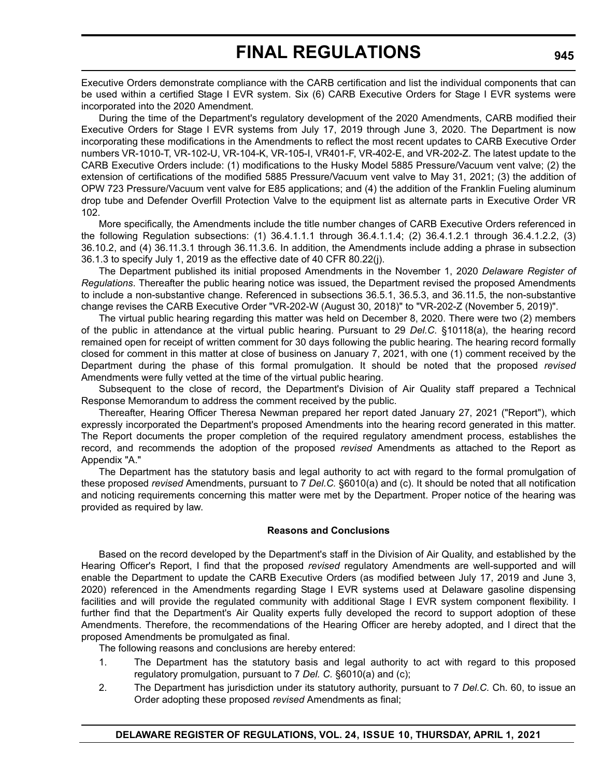Executive Orders demonstrate compliance with the CARB certification and list the individual components that can be used within a certified Stage I EVR system. Six (6) CARB Executive Orders for Stage I EVR systems were incorporated into the 2020 Amendment.

During the time of the Department's regulatory development of the 2020 Amendments, CARB modified their Executive Orders for Stage I EVR systems from July 17, 2019 through June 3, 2020. The Department is now incorporating these modifications in the Amendments to reflect the most recent updates to CARB Executive Order numbers VR-1010-T, VR-102-U, VR-104-K, VR-105-I, VR401-F, VR-402-E, and VR-202-Z. The latest update to the CARB Executive Orders include: (1) modifications to the Husky Model 5885 Pressure/Vacuum vent valve; (2) the extension of certifications of the modified 5885 Pressure/Vacuum vent valve to May 31, 2021; (3) the addition of OPW 723 Pressure/Vacuum vent valve for E85 applications; and (4) the addition of the Franklin Fueling aluminum drop tube and Defender Overfill Protection Valve to the equipment list as alternate parts in Executive Order VR 102.

More specifically, the Amendments include the title number changes of CARB Executive Orders referenced in the following Regulation subsections: (1) 36.4.1.1.1 through 36.4.1.1.4; (2) 36.4.1.2.1 through 36.4.1.2.2, (3) 36.10.2, and (4) 36.11.3.1 through 36.11.3.6. In addition, the Amendments include adding a phrase in subsection 36.1.3 to specify July 1, 2019 as the effective date of 40 CFR 80.22(j).

The Department published its initial proposed Amendments in the November 1, 2020 *Delaware Register of Regulations*. Thereafter the public hearing notice was issued, the Department revised the proposed Amendments to include a non-substantive change. Referenced in subsections 36.5.1, 36.5.3, and 36.11.5, the non-substantive change revises the CARB Executive Order "VR-202-W (August 30, 2018)" to "VR-202-Z (November 5, 2019)".

The virtual public hearing regarding this matter was held on December 8, 2020. There were two (2) members of the public in attendance at the virtual public hearing. Pursuant to 29 *Del.C.* §10118(a), the hearing record remained open for receipt of written comment for 30 days following the public hearing. The hearing record formally closed for comment in this matter at close of business on January 7, 2021, with one (1) comment received by the Department during the phase of this formal promulgation. It should be noted that the proposed *revised* Amendments were fully vetted at the time of the virtual public hearing.

Subsequent to the close of record, the Department's Division of Air Quality staff prepared a Technical Response Memorandum to address the comment received by the public.

Thereafter, Hearing Officer Theresa Newman prepared her report dated January 27, 2021 ("Report"), which expressly incorporated the Department's proposed Amendments into the hearing record generated in this matter. The Report documents the proper completion of the required regulatory amendment process, establishes the record, and recommends the adoption of the proposed *revised* Amendments as attached to the Report as Appendix "A."

The Department has the statutory basis and legal authority to act with regard to the formal promulgation of these proposed *revised* Amendments, pursuant to 7 *Del.C.* §6010(a) and (c). It should be noted that all notification and noticing requirements concerning this matter were met by the Department. Proper notice of the hearing was provided as required by law.

#### **Reasons and Conclusions**

Based on the record developed by the Department's staff in the Division of Air Quality, and established by the Hearing Officer's Report, I find that the proposed *revised* regulatory Amendments are well-supported and will enable the Department to update the CARB Executive Orders (as modified between July 17, 2019 and June 3, 2020) referenced in the Amendments regarding Stage I EVR systems used at Delaware gasoline dispensing facilities and will provide the regulated community with additional Stage I EVR system component flexibility. I further find that the Department's Air Quality experts fully developed the record to support adoption of these Amendments. Therefore, the recommendations of the Hearing Officer are hereby adopted, and I direct that the proposed Amendments be promulgated as final.

The following reasons and conclusions are hereby entered:

- 1. The Department has the statutory basis and legal authority to act with regard to this proposed regulatory promulgation, pursuant to 7 *Del. C.* §6010(a) and (c);
- 2. The Department has jurisdiction under its statutory authority, pursuant to 7 *Del.C.* Ch. 60, to issue an Order adopting these proposed *revised* Amendments as final;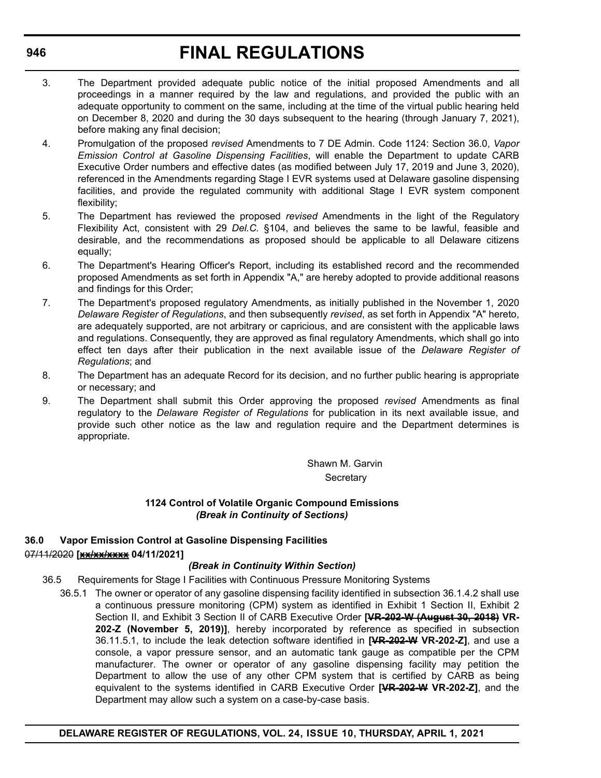### **FINAL REGULATIONS**

- 3. The Department provided adequate public notice of the initial proposed Amendments and all proceedings in a manner required by the law and regulations, and provided the public with an adequate opportunity to comment on the same, including at the time of the virtual public hearing held on December 8, 2020 and during the 30 days subsequent to the hearing (through January 7, 2021), before making any final decision;
- 4. Promulgation of the proposed *revised* Amendments to 7 DE Admin. Code 1124: Section 36.0, *Vapor Emission Control at Gasoline Dispensing Facilities*, will enable the Department to update CARB Executive Order numbers and effective dates (as modified between July 17, 2019 and June 3, 2020), referenced in the Amendments regarding Stage I EVR systems used at Delaware gasoline dispensing facilities, and provide the regulated community with additional Stage I EVR system component flexibility;
- 5. The Department has reviewed the proposed *revised* Amendments in the light of the Regulatory Flexibility Act, consistent with 29 *Del.C.* §104, and believes the same to be lawful, feasible and desirable, and the recommendations as proposed should be applicable to all Delaware citizens equally;
- 6. The Department's Hearing Officer's Report, including its established record and the recommended proposed Amendments as set forth in Appendix "A," are hereby adopted to provide additional reasons and findings for this Order;
- 7. The Department's proposed regulatory Amendments, as initially published in the November 1, 2020 *Delaware Register of Regulations*, and then subsequently *revised*, as set forth in Appendix "A" hereto, are adequately supported, are not arbitrary or capricious, and are consistent with the applicable laws and regulations. Consequently, they are approved as final regulatory Amendments, which shall go into effect ten days after their publication in the next available issue of the *Delaware Register of Regulations*; and
- 8. The Department has an adequate Record for its decision, and no further public hearing is appropriate or necessary; and
- 9. The Department shall submit this Order approving the proposed *revised* Amendments as final regulatory to the *Delaware Register of Regulations* for publication in its next available issue, and provide such other notice as the law and regulation require and the Department determines is appropriate.

Shawn M. Garvin **Secretary** 

#### **1124 Control of Volatile Organic Compound Emissions** *(Break in Continuity of Sections)*

#### **36.0 Vapor Emission Control at Gasoline Dispensing Facilities** 07/11/2020 **[xx/xx/xxxx 04/11/2021]**

#### *(Break in Continuity Within Section)*

- 36.5 Requirements for Stage I Facilities with Continuous Pressure Monitoring Systems
	- 36.5.1 The owner or operator of any gasoline dispensing facility identified in subsection 36.1.4.2 shall use a continuous pressure monitoring (CPM) system as identified in Exhibit 1 Section II, Exhibit 2 Section II, and Exhibit 3 Section II of CARB Executive Order **[VR-202-W (August 30, 2018) VR-202-Z (November 5, 2019)]**, hereby incorporated by reference as specified in subsection 36.11.5.1, to include the leak detection software identified in **[VR-202-W VR-202-Z]**, and use a console, a vapor pressure sensor, and an automatic tank gauge as compatible per the CPM manufacturer. The owner or operator of any gasoline dispensing facility may petition the Department to allow the use of any other CPM system that is certified by CARB as being equivalent to the systems identified in CARB Executive Order **[VR-202-W VR-202-Z]**, and the Department may allow such a system on a case-by-case basis.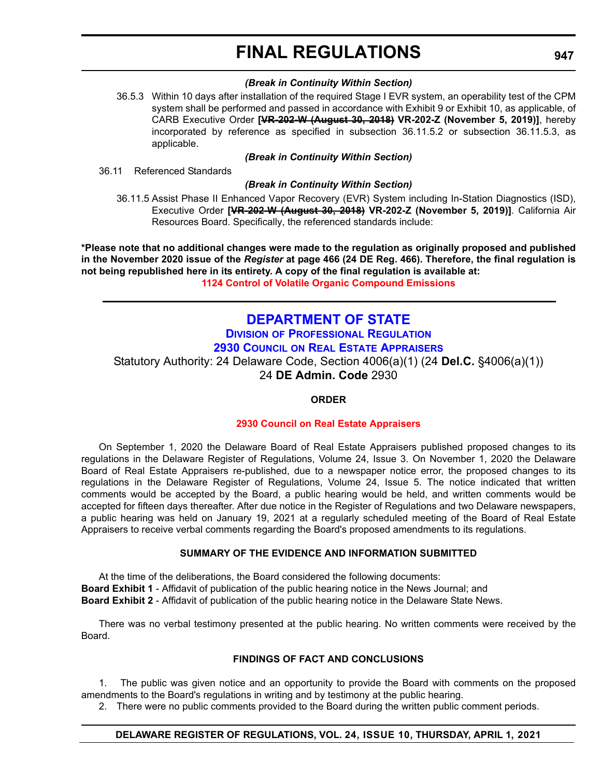### **FINAL REGULATIONS**

#### *(Break in Continuity Within Section)*

<span id="page-54-0"></span>36.5.3 Within 10 days after installation of the required Stage I EVR system, an operability test of the CPM system shall be performed and passed in accordance with Exhibit 9 or Exhibit 10, as applicable, of CARB Executive Order **[VR-202-W (August 30, 2018) VR-202-Z (November 5, 2019)]**, hereby incorporated by reference as specified in subsection 36.11.5.2 or subsection 36.11.5.3, as applicable.

#### *(Break in Continuity Within Section)*

36.11 Referenced Standards

#### *(Break in Continuity Within Section)*

36.11.5 Assist Phase II Enhanced Vapor Recovery (EVR) System including In-Station Diagnostics (ISD), Executive Order **[VR-202-W (August 30, 2018) VR-202-Z (November 5, 2019)]**. California Air Resources Board. Specifically, the referenced standards include:

**\*Please note that no additional changes were made to the regulation as originally proposed and published in the November 2020 issue of the** *Register* **at page 466 (24 DE Reg. 466). Therefore, the final regulation is not being republished here in its entirety. A copy of the final regulation is available at: [1124 Control of Volatile Organic Compound Emissions](http://regulations.delaware.gov/register/april2021/final/24 DE Reg 944 04-01-21.htm)**

### **[DEPARTMENT OF STATE](https://sos.delaware.gov/)**

#### **DIVISION [OF PROFESSIONAL REGULATION](https://dpr.delaware.gov/) 2930 COUNCIL [ON REAL ESTATE APPRAISERS](https://dpr.delaware.gov/boards/realestateappraisers/)**

Statutory Authority: 24 Delaware Code, Section 4006(a)(1) (24 **Del.C.** §4006(a)(1)) 24 **DE Admin. Code** 2930

#### **ORDER**

#### **[2930 Council on Real Estate Appraisers](#page-3-0)**

On September 1, 2020 the Delaware Board of Real Estate Appraisers published proposed changes to its regulations in the Delaware Register of Regulations, Volume 24, Issue 3. On November 1, 2020 the Delaware Board of Real Estate Appraisers re-published, due to a newspaper notice error, the proposed changes to its regulations in the Delaware Register of Regulations, Volume 24, Issue 5. The notice indicated that written comments would be accepted by the Board, a public hearing would be held, and written comments would be accepted for fifteen days thereafter. After due notice in the Register of Regulations and two Delaware newspapers, a public hearing was held on January 19, 2021 at a regularly scheduled meeting of the Board of Real Estate Appraisers to receive verbal comments regarding the Board's proposed amendments to its regulations.

#### **SUMMARY OF THE EVIDENCE AND INFORMATION SUBMITTED**

At the time of the deliberations, the Board considered the following documents: **Board Exhibit 1** - Affidavit of publication of the public hearing notice in the News Journal; and **Board Exhibit 2** - Affidavit of publication of the public hearing notice in the Delaware State News.

There was no verbal testimony presented at the public hearing. No written comments were received by the Board.

#### **FINDINGS OF FACT AND CONCLUSIONS**

1. The public was given notice and an opportunity to provide the Board with comments on the proposed amendments to the Board's regulations in writing and by testimony at the public hearing.

2. There were no public comments provided to the Board during the written public comment periods.

#### **DELAWARE REGISTER OF REGULATIONS, VOL. 24, ISSUE 10, THURSDAY, APRIL 1, 2021**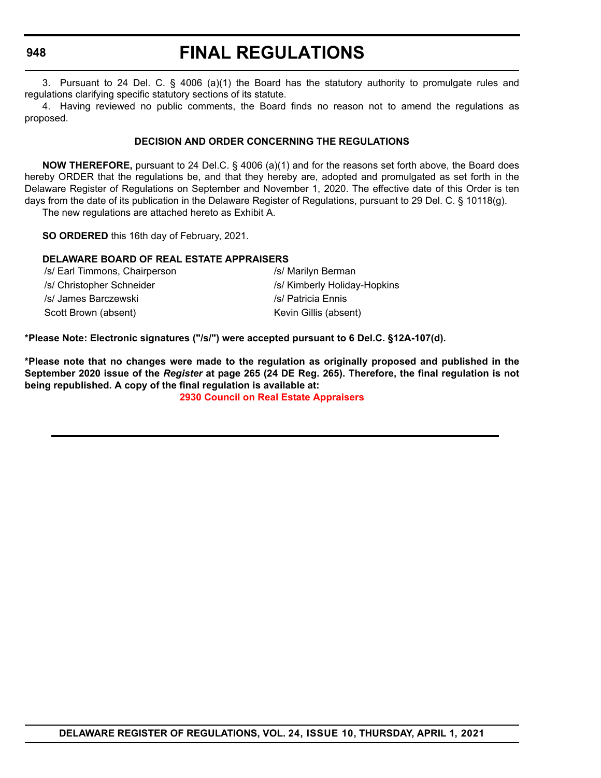#### **948**

### **FINAL REGULATIONS**

3. Pursuant to 24 Del. C. § 4006 (a)(1) the Board has the statutory authority to promulgate rules and regulations clarifying specific statutory sections of its statute.

4. Having reviewed no public comments, the Board finds no reason not to amend the regulations as proposed.

#### **DECISION AND ORDER CONCERNING THE REGULATIONS**

**NOW THEREFORE,** pursuant to 24 Del.C. § 4006 (a)(1) and for the reasons set forth above, the Board does hereby ORDER that the regulations be, and that they hereby are, adopted and promulgated as set forth in the Delaware Register of Regulations on September and November 1, 2020. The effective date of this Order is ten days from the date of its publication in the Delaware Register of Regulations, pursuant to 29 Del. C. § 10118(g). The new regulations are attached hereto as Exhibit A.

**SO ORDERED** this 16th day of February, 2021.

#### **DELAWARE BOARD OF REAL ESTATE APPRAISERS**

| /s/ Earl Timmons, Chairperson | /s/ Marilyn Berman           |
|-------------------------------|------------------------------|
| /s/ Christopher Schneider     | /s/ Kimberly Holiday-Hopkins |
| /s/ James Barczewski          | /s/ Patricia Ennis           |
| Scott Brown (absent)          | Kevin Gillis (absent)        |

**\*Please Note: Electronic signatures ("/s/") were accepted pursuant to 6 Del.C. §12A-107(d).**

**\*Please note that no changes were made to the regulation as originally proposed and published in the September 2020 issue of the** *Register* **at page 265 (24 DE Reg. 265). Therefore, the final regulation is not being republished. A copy of the final regulation is available at:**

**[2930 Council on Real Estate Appraisers](http://regulations.delaware.gov/register/april2021/final/24 DE Reg 947 04-01-21.htm)**